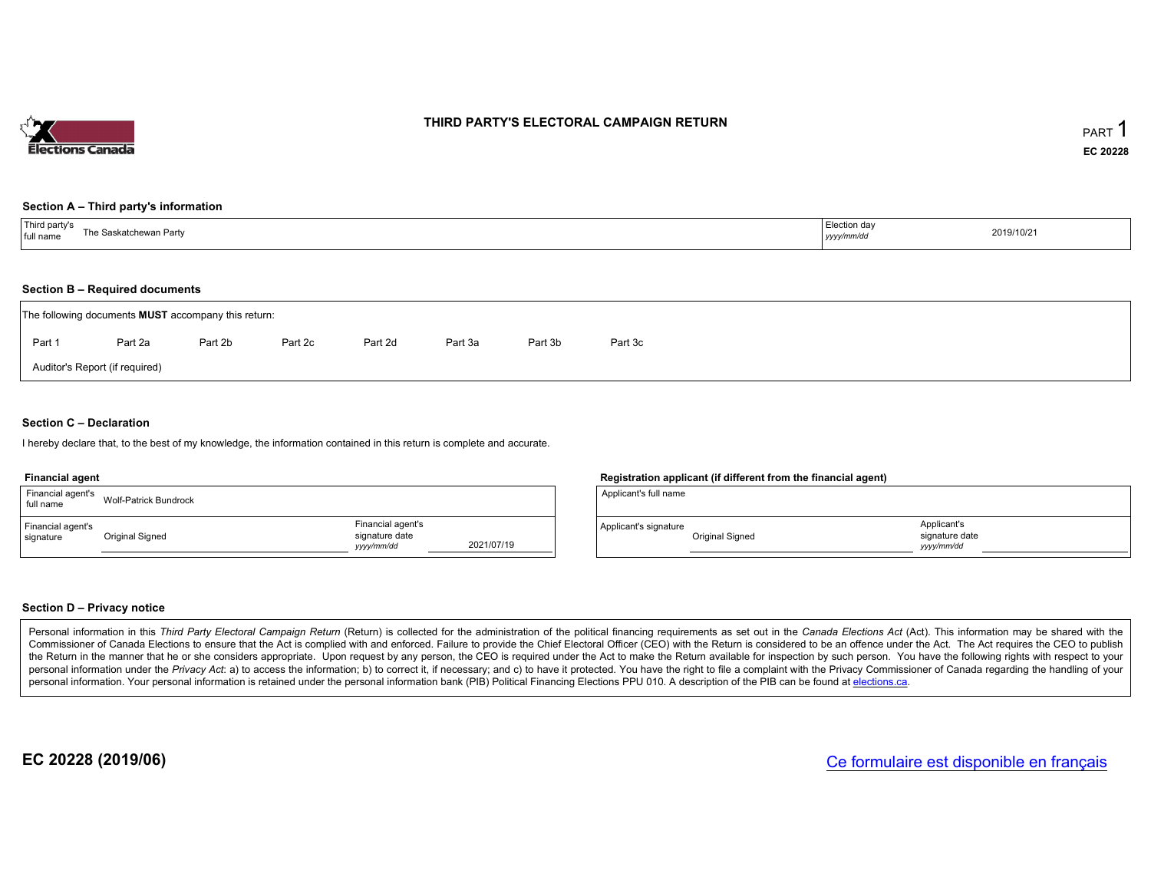

# THIRD PARTY'S ELECTORAL CAMPAIGN RETURN

## Section <sup>A</sup> – Third party's information

| Third party's<br>The Saskatchewan Party<br>full name | Election day<br>yyyy/mm/dd | 2019/10/21 |
|------------------------------------------------------|----------------------------|------------|
|------------------------------------------------------|----------------------------|------------|

## Section <sup>B</sup> – Required documents

|        | The following documents <b>MUST</b> accompany this return: |         |         |         |         |         |         |  |  |  |  |  |
|--------|------------------------------------------------------------|---------|---------|---------|---------|---------|---------|--|--|--|--|--|
| Part 1 | Part 2a                                                    | Part 2b | Part 2c | Part 2d | Part 3a | Part 3b | Part 3c |  |  |  |  |  |
|        | Auditor's Report (if required)                             |         |         |         |         |         |         |  |  |  |  |  |

## Section <sup>C</sup> – Declaration

hereby declare that, to the best of my knowledge, the information contained in this return is complete and accurate.

#### Financial agent

| Financial agent's<br>full name | <b>Wolf-Patrick Bundrock</b> |                                                  |            |
|--------------------------------|------------------------------|--------------------------------------------------|------------|
| Financial agent's<br>signature | Original Signed              | Financial agent's<br>signature date<br>vyy/mm/dd | 2021/07/19 |

## Registration applicant (if different from the financial agent)

| Applicant's full name                    |                                            |  |
|------------------------------------------|--------------------------------------------|--|
| Applicant's signature<br>Original Signed | Applicant's<br>signature date<br>yyy/mm/dd |  |

## Section <sup>D</sup> – Privacy notice

Personal information in this Third Party Electoral Campaign Return (Return) is collected for the administration of the political financing requirements as set out in the Canada Elections Act (Act). This information may be Commissioner of Canada Elections to ensure that the Act is complied with and enforced. Failure to provide the Chief Electoral Officer (CEO) with the Return is considered to be an offence under the Act. The Act requires the the Return in the manner that he or she considers appropriate. Upon request by any person, the CEO is required under the Act to make the Return available for inspection by such person. You have the capacity with respect to personal information under the Privacy Act. a) to access the information; b) to correct it, if necessary; and c) to have it protected. You have the right to file a complaint with the Privacy Commissioner of Canada regardin personal information. Your personal information is retained under the personal information bank (PIB) Political Financing Elections PPU 010. A description of the PIB can be found at <u>elections.ca</u>.

EC 20228 (2019/06)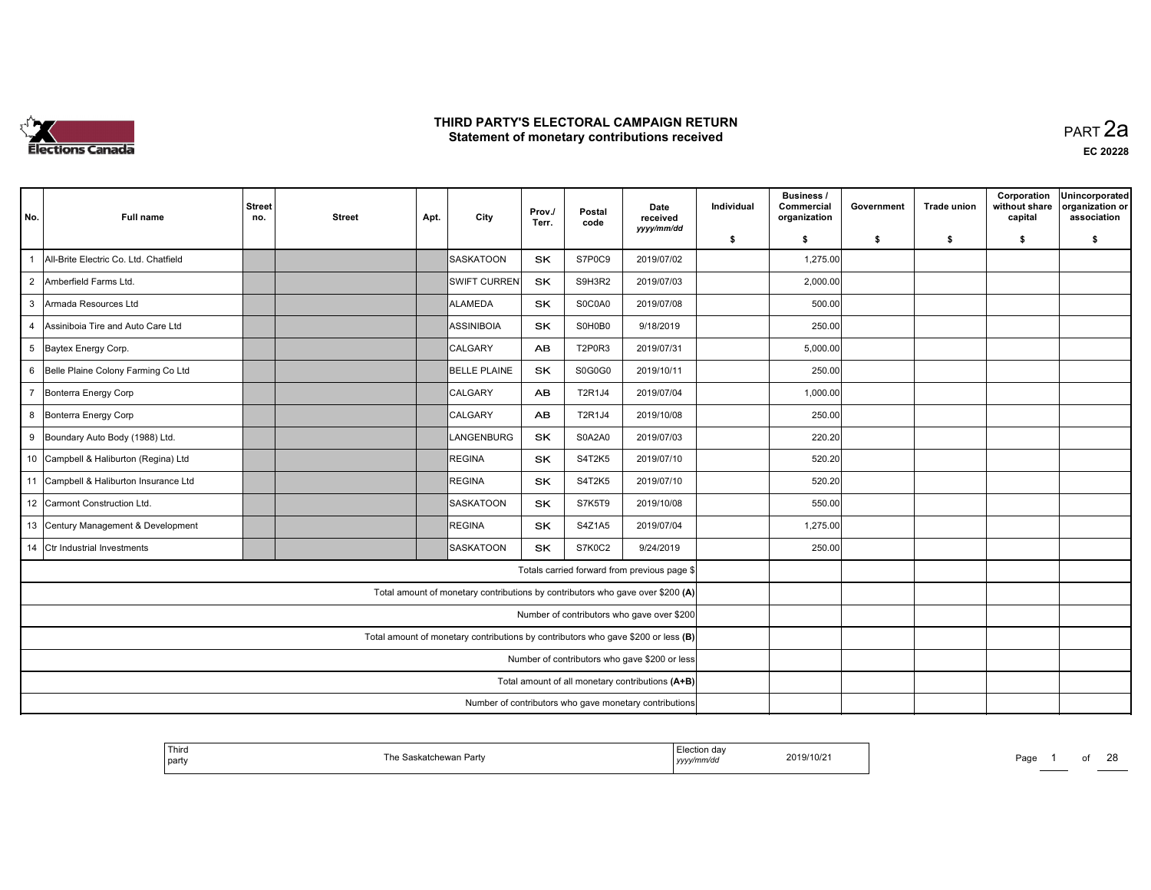

 PART 2aEC <sup>20228</sup>

| No.            | <b>Full name</b>                       | <b>Street</b><br>no. | <b>Street</b> | Apt. | City                                                                              | Prov./<br>Terr. | Postal<br>code | Date<br>received<br>yyyy/mm/dd                         | Individual | <b>Business /</b><br>Commercial<br>organization | Government | <b>Trade union</b> | Corporation<br>without share<br>capital | Unincorporated<br>organization or<br>association |
|----------------|----------------------------------------|----------------------|---------------|------|-----------------------------------------------------------------------------------|-----------------|----------------|--------------------------------------------------------|------------|-------------------------------------------------|------------|--------------------|-----------------------------------------|--------------------------------------------------|
|                |                                        |                      |               |      |                                                                                   |                 |                |                                                        | \$         | \$                                              | \$         | \$                 | \$                                      | \$                                               |
| $\mathbf{1}$   | All-Brite Electric Co. Ltd. Chatfield  |                      |               |      | SASKATOON                                                                         | <b>SK</b>       | S7P0C9         | 2019/07/02                                             |            | 1,275.00                                        |            |                    |                                         |                                                  |
| $\overline{2}$ | Amberfield Farms Ltd.                  |                      |               |      | <b>SWIFT CURREN</b>                                                               | SK              | S9H3R2         | 2019/07/03                                             |            | 2,000.00                                        |            |                    |                                         |                                                  |
| $\mathbf{3}$   | Armada Resources Ltd                   |                      |               |      | ALAMEDA                                                                           | <b>SK</b>       | S0C0A0         | 2019/07/08                                             |            | 500.00                                          |            |                    |                                         |                                                  |
| $\overline{4}$ | Assiniboia Tire and Auto Care Ltd      |                      |               |      | IASSINIBOIA                                                                       | <b>SK</b>       | S0H0B0         | 9/18/2019                                              |            | 250.00                                          |            |                    |                                         |                                                  |
|                | 5 Baytex Energy Corp.                  |                      |               |      | <b>CALGARY</b>                                                                    | AB.             | <b>T2P0R3</b>  | 2019/07/31                                             |            | 5,000.00                                        |            |                    |                                         |                                                  |
|                | 6 Belle Plaine Colony Farming Co Ltd   |                      |               |      | BELLE PLAINE                                                                      | <b>SK</b>       | S0G0G0         | 2019/10/11                                             |            | 250.00                                          |            |                    |                                         |                                                  |
| $\overline{7}$ | Bonterra Energy Corp                   |                      |               |      | <b>CALGARY</b>                                                                    | <b>AB</b>       | T2R1J4         | 2019/07/04                                             |            | 1,000.00                                        |            |                    |                                         |                                                  |
| 8              | Bonterra Energy Corp                   |                      |               |      | <b>CALGARY</b>                                                                    | <b>AB</b>       | T2R1J4         | 2019/10/08                                             |            | 250.00                                          |            |                    |                                         |                                                  |
|                | 9 Boundary Auto Body (1988) Ltd.       |                      |               |      | LANGENBURG                                                                        | SK              | <b>S0A2A0</b>  | 2019/07/03                                             |            | 220.20                                          |            |                    |                                         |                                                  |
|                | 10 Campbell & Haliburton (Regina) Ltd  |                      |               |      | <b>REGINA</b>                                                                     | SK              | <b>S4T2K5</b>  | 2019/07/10                                             |            | 520.20                                          |            |                    |                                         |                                                  |
|                | 11 Campbell & Haliburton Insurance Ltd |                      |               |      | <b>REGINA</b>                                                                     | <b>SK</b>       | S4T2K5         | 2019/07/10                                             |            | 520.20                                          |            |                    |                                         |                                                  |
|                | 12 Carmont Construction Ltd.           |                      |               |      | SASKATOON                                                                         | <b>SK</b>       | S7K5T9         | 2019/10/08                                             |            | 550.00                                          |            |                    |                                         |                                                  |
|                | 13 Century Management & Development    |                      |               |      | <b>REGINA</b>                                                                     | SK              | S4Z1A5         | 2019/07/04                                             |            | 1,275.00                                        |            |                    |                                         |                                                  |
|                | 14 Ctr Industrial Investments          |                      |               |      | Isaskatoon                                                                        | <b>SK</b>       | S7K0C2         | 9/24/2019                                              |            | 250.00                                          |            |                    |                                         |                                                  |
|                |                                        |                      |               |      |                                                                                   |                 |                | Totals carried forward from previous page \$           |            |                                                 |            |                    |                                         |                                                  |
|                |                                        |                      |               |      | Total amount of monetary contributions by contributors who gave over \$200 (A)    |                 |                |                                                        |            |                                                 |            |                    |                                         |                                                  |
|                |                                        |                      |               |      |                                                                                   |                 |                | Number of contributors who gave over \$200             |            |                                                 |            |                    |                                         |                                                  |
|                |                                        |                      |               |      | Total amount of monetary contributions by contributors who gave \$200 or less (B) |                 |                |                                                        |            |                                                 |            |                    |                                         |                                                  |
|                |                                        |                      |               |      |                                                                                   |                 |                | Number of contributors who gave \$200 or less          |            |                                                 |            |                    |                                         |                                                  |
|                |                                        |                      |               |      |                                                                                   |                 |                | Total amount of all monetary contributions (A+B)       |            |                                                 |            |                    |                                         |                                                  |
|                |                                        |                      |               |      |                                                                                   |                 |                | Number of contributors who gave monetary contributions |            |                                                 |            |                    |                                         |                                                  |

| Third<br>party | Part<br>Πe<br>אומרי<br>150001 | …ction dav<br>2019/10/21<br>.<br>,,,,, | Page |
|----------------|-------------------------------|----------------------------------------|------|
|----------------|-------------------------------|----------------------------------------|------|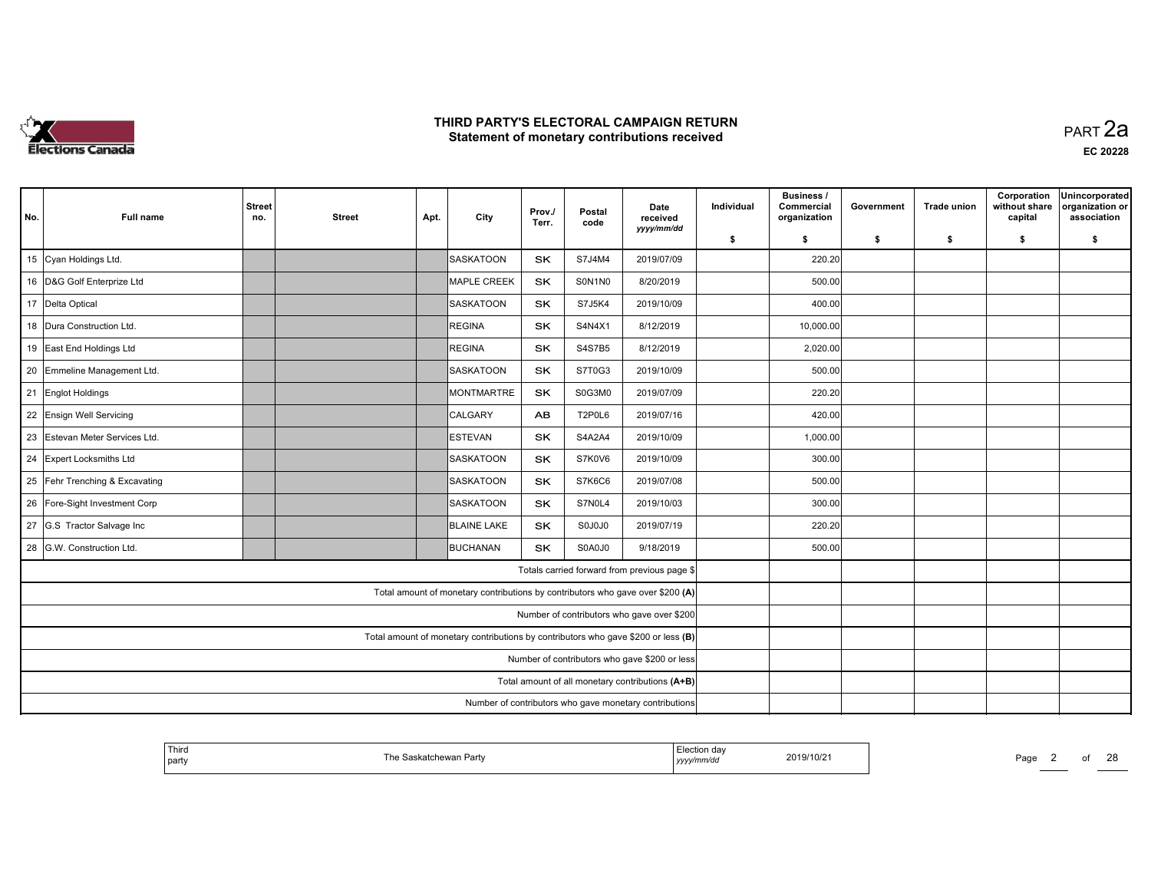

 PART 2aEC <sup>20228</sup>

| No. | <b>Full name</b>               | <b>Street</b><br>no. | <b>Street</b> | Apt. | City               | Prov./<br>Terr. | Postal<br>code | Date<br>received<br>yyyy/mm/dd                                                    | Individual | <b>Business /</b><br>Commercial<br>organization | Government | <b>Trade union</b> | Corporation<br>without share<br>capital | Unincorporated<br>organization or<br>association |
|-----|--------------------------------|----------------------|---------------|------|--------------------|-----------------|----------------|-----------------------------------------------------------------------------------|------------|-------------------------------------------------|------------|--------------------|-----------------------------------------|--------------------------------------------------|
|     |                                |                      |               |      |                    |                 |                |                                                                                   | \$         | \$                                              | \$         | \$                 | \$                                      | \$                                               |
|     | 15 Cyan Holdings Ltd.          |                      |               |      | <b>SASKATOON</b>   | <b>SK</b>       | S7J4M4         | 2019/07/09                                                                        |            | 220.20                                          |            |                    |                                         |                                                  |
|     | 16 D&G Golf Enterprize Ltd     |                      |               |      | <b>MAPLE CREEK</b> | <b>SK</b>       | S0N1N0         | 8/20/2019                                                                         |            | 500.00                                          |            |                    |                                         |                                                  |
|     | 17 Delta Optical               |                      |               |      | <b>SASKATOON</b>   | <b>SK</b>       | S7J5K4         | 2019/10/09                                                                        |            | 400.00                                          |            |                    |                                         |                                                  |
|     | 18 Dura Construction Ltd.      |                      |               |      | REGINA             | <b>SK</b>       | S4N4X1         | 8/12/2019                                                                         |            | 10,000.00                                       |            |                    |                                         |                                                  |
|     | 19 East End Holdings Ltd       |                      |               |      | REGINA             | <b>SK</b>       | <b>S4S7B5</b>  | 8/12/2019                                                                         |            | 2,020.00                                        |            |                    |                                         |                                                  |
|     | 20 Emmeline Management Ltd.    |                      |               |      | SASKATOON          | SK              | S7T0G3         | 2019/10/09                                                                        |            | 500.00                                          |            |                    |                                         |                                                  |
|     | 21 Englot Holdings             |                      |               |      | MONTMARTRE         | <b>SK</b>       | S0G3M0         | 2019/07/09                                                                        |            | 220.20                                          |            |                    |                                         |                                                  |
|     | 22 Ensign Well Servicing       |                      |               |      | CALGARY            | AB              | <b>T2P0L6</b>  | 2019/07/16                                                                        |            | 420.00                                          |            |                    |                                         |                                                  |
|     | 23 Estevan Meter Services Ltd. |                      |               |      | <b>IESTEVAN</b>    | <b>SK</b>       | S4A2A4         | 2019/10/09                                                                        |            | 1,000.00                                        |            |                    |                                         |                                                  |
|     | 24 Expert Locksmiths Ltd       |                      |               |      | SASKATOON          | SK              | S7K0V6         | 2019/10/09                                                                        |            | 300.00                                          |            |                    |                                         |                                                  |
|     | 25 Fehr Trenching & Excavating |                      |               |      | SASKATOON          | <b>SK</b>       | S7K6C6         | 2019/07/08                                                                        |            | 500.00                                          |            |                    |                                         |                                                  |
|     | 26 Fore-Sight Investment Corp  |                      |               |      | SASKATOON          | <b>SK</b>       | S7N0L4         | 2019/10/03                                                                        |            | 300.00                                          |            |                    |                                         |                                                  |
|     | 27 G.S Tractor Salvage Inc     |                      |               |      | <b>BLAINE LAKE</b> | SK              | S0J0J0         | 2019/07/19                                                                        |            | 220.20                                          |            |                    |                                         |                                                  |
|     | 28 G.W. Construction Ltd.      |                      |               |      | <b>BUCHANAN</b>    | <b>SK</b>       | S0A0J0         | 9/18/2019                                                                         |            | 500.00                                          |            |                    |                                         |                                                  |
|     |                                |                      |               |      |                    |                 |                | Totals carried forward from previous page \$                                      |            |                                                 |            |                    |                                         |                                                  |
|     |                                |                      |               |      |                    |                 |                | Total amount of monetary contributions by contributors who gave over \$200 (A)    |            |                                                 |            |                    |                                         |                                                  |
|     |                                |                      |               |      |                    |                 |                | Number of contributors who gave over \$200                                        |            |                                                 |            |                    |                                         |                                                  |
|     |                                |                      |               |      |                    |                 |                | Total amount of monetary contributions by contributors who gave \$200 or less (B) |            |                                                 |            |                    |                                         |                                                  |
|     |                                |                      |               |      |                    |                 |                | Number of contributors who gave \$200 or less                                     |            |                                                 |            |                    |                                         |                                                  |
|     |                                |                      |               |      |                    |                 |                | Total amount of all monetary contributions (A+B)                                  |            |                                                 |            |                    |                                         |                                                  |
|     |                                |                      |               |      |                    |                 |                | Number of contributors who gave monetary contributions                            |            |                                                 |            |                    |                                         |                                                  |

| ' Third<br>party | ∛askatchewan Partv<br>⊺he S | Election dav<br>с еслог<br>2019/10/21<br>yyyy/mm/dd | Page |
|------------------|-----------------------------|-----------------------------------------------------|------|
|                  |                             |                                                     |      |

2 of 28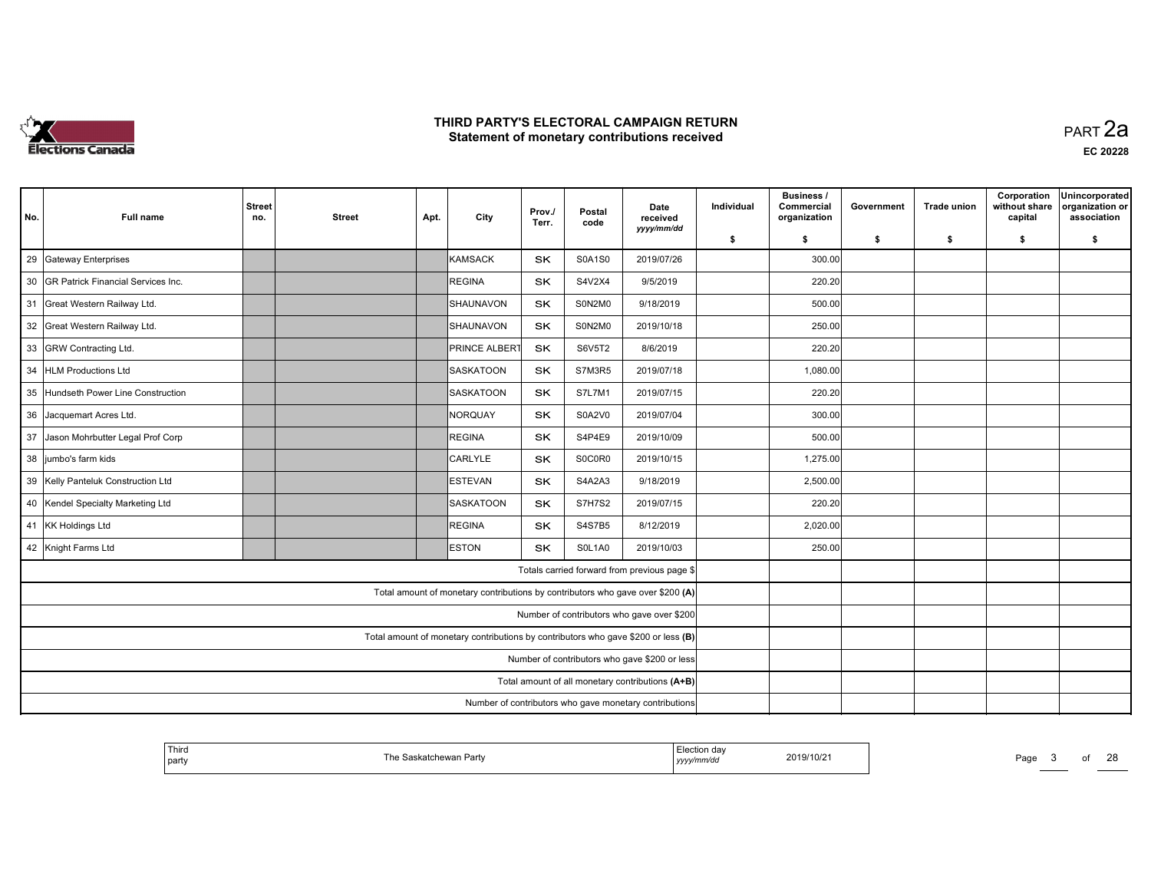

| No. | <b>Full name</b>                      | <b>Street</b><br>no. | <b>Street</b> | Apt. | City                                                                              | Prov./<br>Terr. | Postal<br>code | Date<br>received                                       | Individual | <b>Business /</b><br>Commercial<br>organization | Government | <b>Trade union</b> | Corporation<br>without share<br>capital | Unincorporated<br>organization or<br>association |
|-----|---------------------------------------|----------------------|---------------|------|-----------------------------------------------------------------------------------|-----------------|----------------|--------------------------------------------------------|------------|-------------------------------------------------|------------|--------------------|-----------------------------------------|--------------------------------------------------|
|     |                                       |                      |               |      |                                                                                   |                 |                | yyyy/mm/dd                                             | \$         | \$                                              | \$         | \$                 | \$                                      | \$                                               |
| 29  | Gateway Enterprises                   |                      |               |      | KAMSACK                                                                           | SK              | S0A1S0         | 2019/07/26                                             |            | 300.00                                          |            |                    |                                         |                                                  |
|     | 30 GR Patrick Financial Services Inc. |                      |               |      | REGINA                                                                            | SK              | S4V2X4         | 9/5/2019                                               |            | 220.20                                          |            |                    |                                         |                                                  |
|     | 31 Great Western Railway Ltd.         |                      |               |      | SHAUNAVON                                                                         | SK              | S0N2M0         | 9/18/2019                                              |            | 500.00                                          |            |                    |                                         |                                                  |
|     | 32 Great Western Railway Ltd.         |                      |               |      | SHAUNAVON                                                                         | <b>SK</b>       | S0N2M0         | 2019/10/18                                             |            | 250.00                                          |            |                    |                                         |                                                  |
|     | 33 GRW Contracting Ltd.               |                      |               |      | <b>PRINCE ALBERT</b>                                                              | SK              | S6V5T2         | 8/6/2019                                               |            | 220.20                                          |            |                    |                                         |                                                  |
|     | 34 HLM Productions Ltd                |                      |               |      | SASKATOON                                                                         | SK              | S7M3R5         | 2019/07/18                                             |            | 1,080.00                                        |            |                    |                                         |                                                  |
|     | 35 Hundseth Power Line Construction   |                      |               |      | <b>SASKATOON</b>                                                                  | <b>SK</b>       | S7L7M1         | 2019/07/15                                             |            | 220.20                                          |            |                    |                                         |                                                  |
|     | 36 Jacquemart Acres Ltd.              |                      |               |      | NORQUAY                                                                           | <b>SK</b>       | <b>S0A2V0</b>  | 2019/07/04                                             |            | 300.00                                          |            |                    |                                         |                                                  |
|     | 37 Jason Mohrbutter Legal Prof Corp   |                      |               |      | REGINA                                                                            | <b>SK</b>       | S4P4E9         | 2019/10/09                                             |            | 500.00                                          |            |                    |                                         |                                                  |
|     | 38 jumbo's farm kids                  |                      |               |      | CARLYLE                                                                           | SK              | S0C0R0         | 2019/10/15                                             |            | 1,275.00                                        |            |                    |                                         |                                                  |
|     | 39 Kelly Panteluk Construction Ltd    |                      |               |      | <b>ESTEVAN</b>                                                                    | SK              | S4A2A3         | 9/18/2019                                              |            | 2,500.00                                        |            |                    |                                         |                                                  |
|     | 40 Kendel Specialty Marketing Ltd     |                      |               |      | SASKATOON                                                                         | SK              | <b>S7H7S2</b>  | 2019/07/15                                             |            | 220.20                                          |            |                    |                                         |                                                  |
|     | 41 KK Holdings Ltd                    |                      |               |      | REGINA                                                                            | SK              | <b>S4S7B5</b>  | 8/12/2019                                              |            | 2,020.00                                        |            |                    |                                         |                                                  |
|     | 42 Knight Farms Ltd                   |                      |               |      | <b>ESTON</b>                                                                      | <b>SK</b>       | SOL1A0         | 2019/10/03                                             |            | 250.00                                          |            |                    |                                         |                                                  |
|     |                                       |                      |               |      |                                                                                   |                 |                | Totals carried forward from previous page \$           |            |                                                 |            |                    |                                         |                                                  |
|     |                                       |                      |               |      | Total amount of monetary contributions by contributors who gave over \$200 (A)    |                 |                |                                                        |            |                                                 |            |                    |                                         |                                                  |
|     |                                       |                      |               |      |                                                                                   |                 |                | Number of contributors who gave over \$200             |            |                                                 |            |                    |                                         |                                                  |
|     |                                       |                      |               |      | Total amount of monetary contributions by contributors who gave \$200 or less (B) |                 |                |                                                        |            |                                                 |            |                    |                                         |                                                  |
|     |                                       |                      |               |      |                                                                                   |                 |                | Number of contributors who gave \$200 or less          |            |                                                 |            |                    |                                         |                                                  |
|     |                                       |                      |               |      |                                                                                   |                 |                | Total amount of all monetary contributions (A+B)       |            |                                                 |            |                    |                                         |                                                  |
|     |                                       |                      |               |      |                                                                                   |                 |                | Number of contributors who gave monetary contributions |            |                                                 |            |                    |                                         |                                                  |

| Third<br>  party | ∘Saskatchewan Partv | Election dav<br>2019/10/21<br>yyyymm/aa | . .<br>⊃aq∈<br>o |
|------------------|---------------------|-----------------------------------------|------------------|
|                  |                     |                                         |                  |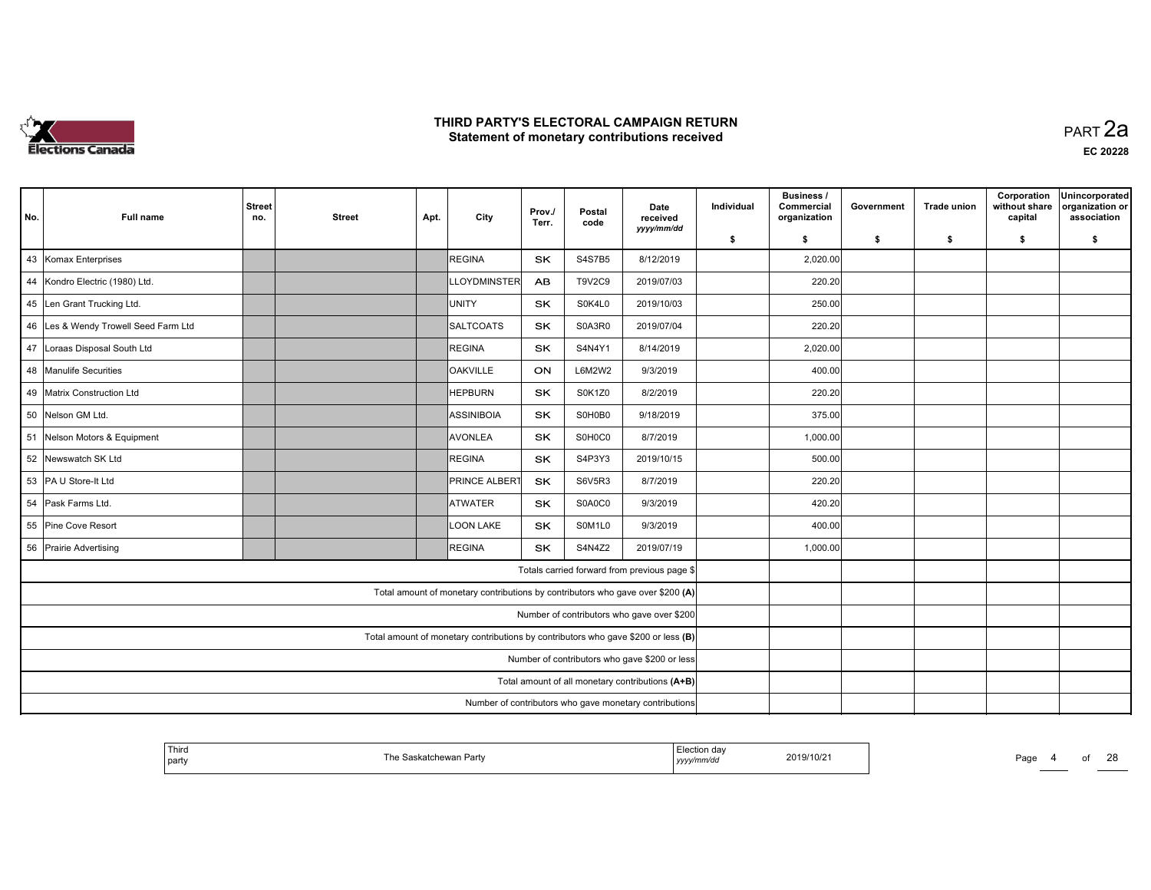

 PART 2aEC <sup>20228</sup>

| No. | <b>Full name</b>                     | <b>Street</b><br>no. | <b>Street</b> | Apt. | City                                                                              | Prov./<br>Terr. | Postal<br>code | Date<br>received<br>yyyy/mm/dd                         | Individual | <b>Business /</b><br>Commercial<br>organization | Government | <b>Trade union</b> | Corporation<br>without share<br>capital | Unincorporated<br>organization or<br>association |
|-----|--------------------------------------|----------------------|---------------|------|-----------------------------------------------------------------------------------|-----------------|----------------|--------------------------------------------------------|------------|-------------------------------------------------|------------|--------------------|-----------------------------------------|--------------------------------------------------|
|     |                                      |                      |               |      |                                                                                   |                 |                |                                                        | \$         | \$                                              | \$         | \$                 | \$                                      | \$                                               |
|     | 43 Komax Enterprises                 |                      |               |      | REGINA                                                                            | <b>SK</b>       | S4S7B5         | 8/12/2019                                              |            | 2,020.00                                        |            |                    |                                         |                                                  |
|     | 44 Kondro Electric (1980) Ltd.       |                      |               |      | <b>LLOYDMINSTER</b>                                                               | <b>AB</b>       | <b>T9V2C9</b>  | 2019/07/03                                             |            | 220.20                                          |            |                    |                                         |                                                  |
|     | 45 Len Grant Trucking Ltd.           |                      |               |      | Iunity                                                                            | <b>SK</b>       | S0K4L0         | 2019/10/03                                             |            | 250.00                                          |            |                    |                                         |                                                  |
|     | 46 Les & Wendy Trowell Seed Farm Ltd |                      |               |      | SALTCOATS                                                                         | <b>SK</b>       | S0A3R0         | 2019/07/04                                             |            | 220.20                                          |            |                    |                                         |                                                  |
|     | 47 Loraas Disposal South Ltd         |                      |               |      | REGINA                                                                            | SK              | S4N4Y1         | 8/14/2019                                              |            | 2,020.00                                        |            |                    |                                         |                                                  |
|     | 48 Manulife Securities               |                      |               |      | <b>OAKVILLE</b>                                                                   | ON              | L6M2W2         | 9/3/2019                                               |            | 400.00                                          |            |                    |                                         |                                                  |
|     | 49 Matrix Construction Ltd           |                      |               |      | <b>HEPBURN</b>                                                                    | <b>SK</b>       | S0K1Z0         | 8/2/2019                                               |            | 220.20                                          |            |                    |                                         |                                                  |
|     | 50 Nelson GM Ltd.                    |                      |               |      | ASSINIBOIA                                                                        | <b>SK</b>       | S0H0B0         | 9/18/2019                                              |            | 375.00                                          |            |                    |                                         |                                                  |
|     | 51 Nelson Motors & Equipment         |                      |               |      | <b>AVONLEA</b>                                                                    | <b>SK</b>       | S0H0C0         | 8/7/2019                                               |            | 1,000.00                                        |            |                    |                                         |                                                  |
| 52  | Newswatch SK Ltd                     |                      |               |      | REGINA                                                                            | <b>SK</b>       | S4P3Y3         | 2019/10/15                                             |            | 500.00                                          |            |                    |                                         |                                                  |
|     | 53 PA U Store-It Ltd                 |                      |               |      | <b>PRINCE ALBERT</b>                                                              | <b>SK</b>       | S6V5R3         | 8/7/2019                                               |            | 220.20                                          |            |                    |                                         |                                                  |
|     | 54 Pask Farms Ltd.                   |                      |               |      | <b>ATWATER</b>                                                                    | <b>SK</b>       | S0A0C0         | 9/3/2019                                               |            | 420.20                                          |            |                    |                                         |                                                  |
|     | 55 Pine Cove Resort                  |                      |               |      | LOON LAKE                                                                         | SK              | S0M1L0         | 9/3/2019                                               |            | 400.00                                          |            |                    |                                         |                                                  |
|     | 56 Prairie Advertising               |                      |               |      | <b>REGINA</b>                                                                     | <b>SK</b>       | S4N4Z2         | 2019/07/19                                             |            | 1,000.00                                        |            |                    |                                         |                                                  |
|     |                                      |                      |               |      |                                                                                   |                 |                | Totals carried forward from previous page \$           |            |                                                 |            |                    |                                         |                                                  |
|     |                                      |                      |               |      | Total amount of monetary contributions by contributors who gave over \$200 (A)    |                 |                |                                                        |            |                                                 |            |                    |                                         |                                                  |
|     |                                      |                      |               |      |                                                                                   |                 |                | Number of contributors who gave over \$200             |            |                                                 |            |                    |                                         |                                                  |
|     |                                      |                      |               |      | Total amount of monetary contributions by contributors who gave \$200 or less (B) |                 |                |                                                        |            |                                                 |            |                    |                                         |                                                  |
|     |                                      |                      |               |      |                                                                                   |                 |                | Number of contributors who gave \$200 or less          |            |                                                 |            |                    |                                         |                                                  |
|     |                                      |                      |               |      |                                                                                   |                 |                | Total amount of all monetary contributions (A+B)       |            |                                                 |            |                    |                                         |                                                  |
|     |                                      |                      |               |      |                                                                                   |                 |                | Number of contributors who gave monetary contributions |            |                                                 |            |                    |                                         |                                                  |

| Third<br>  party | মchewan Partv<br>The Saskatchewan F | <sub>-</sub> .JU⊔uun dav<br>2019/10/21<br>mmra<br>уууу | Page |
|------------------|-------------------------------------|--------------------------------------------------------|------|
|------------------|-------------------------------------|--------------------------------------------------------|------|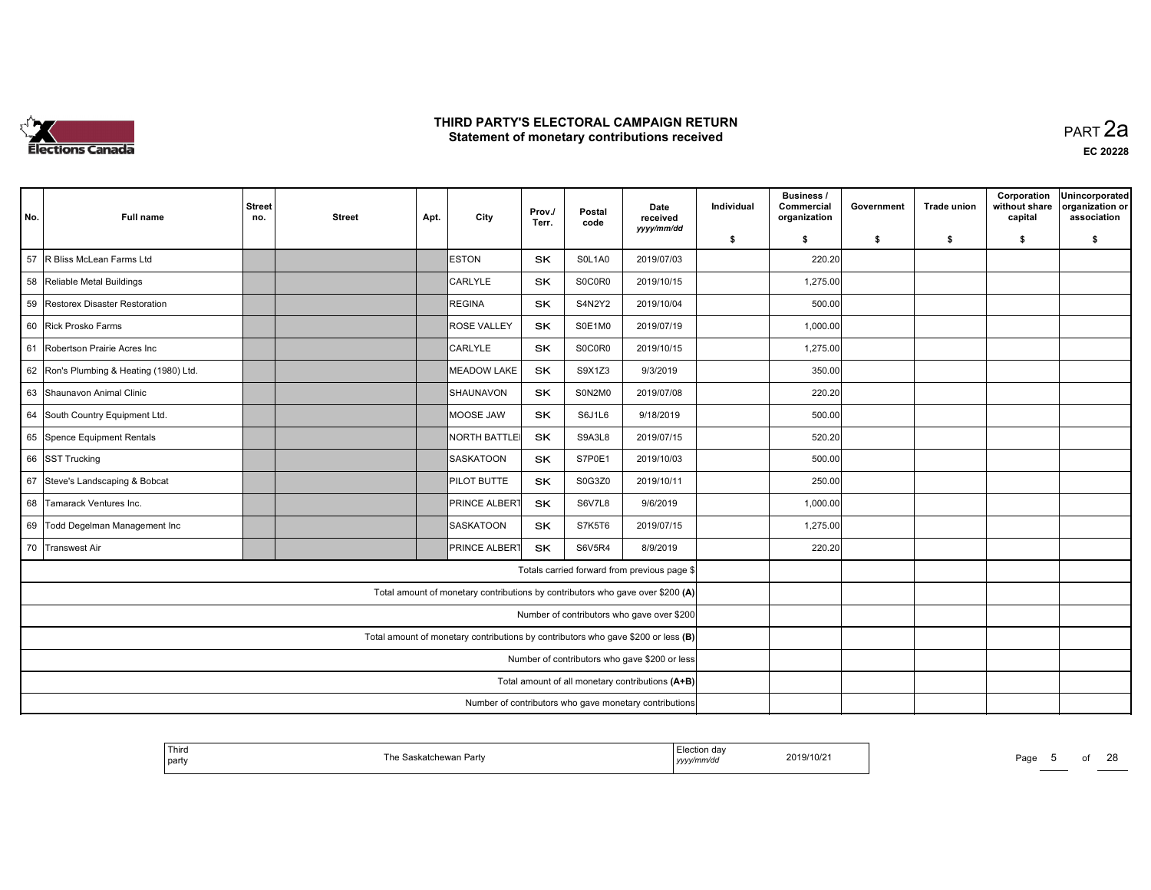

 PART 2aEC <sup>20228</sup>

| No.                                           | <b>Full name</b>                     | <b>Street</b><br>no.                                                              | <b>Street</b> | Apt. | City                                                                           | Prov./<br>Terr. | Postal<br>code | Date<br>received<br>yyyy/mm/dd                   | Individual | <b>Business /</b><br>Commercial<br>organization | Government | <b>Trade union</b> | Corporation<br>without share<br>capital | Unincorporated<br>organization or<br>association |
|-----------------------------------------------|--------------------------------------|-----------------------------------------------------------------------------------|---------------|------|--------------------------------------------------------------------------------|-----------------|----------------|--------------------------------------------------|------------|-------------------------------------------------|------------|--------------------|-----------------------------------------|--------------------------------------------------|
|                                               |                                      |                                                                                   |               |      |                                                                                |                 |                |                                                  | \$         | \$                                              | \$         | \$                 | \$                                      | \$                                               |
| 57                                            | R Bliss McLean Farms Ltd             |                                                                                   |               |      | <b>ESTON</b>                                                                   | SK              | SOL1A0         | 2019/07/03                                       |            | 220.20                                          |            |                    |                                         |                                                  |
| 58                                            | Reliable Metal Buildings             |                                                                                   |               |      | CARLYLE                                                                        | SK              | S0C0R0         | 2019/10/15                                       |            | 1,275.00                                        |            |                    |                                         |                                                  |
| 59                                            | Restorex Disaster Restoration        |                                                                                   |               |      | REGINA                                                                         | <b>SK</b>       | S4N2Y2         | 2019/10/04                                       |            | 500.00                                          |            |                    |                                         |                                                  |
|                                               | 60 Rick Prosko Farms                 |                                                                                   |               |      | <b>ROSE VALLEY</b>                                                             | <b>SK</b>       | S0E1M0         | 2019/07/19                                       |            | 1,000.00                                        |            |                    |                                         |                                                  |
| 61                                            | Robertson Prairie Acres Inc          |                                                                                   |               |      | <b>CARLYLE</b>                                                                 | <b>SK</b>       | S0C0R0         | 2019/10/15                                       |            | 1,275.00                                        |            |                    |                                         |                                                  |
| 62                                            | Ron's Plumbing & Heating (1980) Ltd. |                                                                                   |               |      | <b>MEADOW LAKE</b>                                                             | <b>SK</b>       | S9X1Z3         | 9/3/2019                                         |            | 350.00                                          |            |                    |                                         |                                                  |
|                                               | 63 Shaunavon Animal Clinic           |                                                                                   |               |      | Ishaunavon                                                                     | <b>SK</b>       | S0N2M0         | 2019/07/08                                       |            | 220.20                                          |            |                    |                                         |                                                  |
|                                               | 64 South Country Equipment Ltd.      |                                                                                   |               |      | IMOOSE JAW                                                                     | <b>SK</b>       | S6J1L6         | 9/18/2019                                        |            | 500.00                                          |            |                    |                                         |                                                  |
|                                               | 65 Spence Equipment Rentals          |                                                                                   |               |      | NORTH BATTLEI                                                                  | <b>SK</b>       | S9A3L8         | 2019/07/15                                       |            | 520.20                                          |            |                    |                                         |                                                  |
| 66                                            | <b>SST Trucking</b>                  |                                                                                   |               |      | <b>SASKATOON</b>                                                               | SK              | S7P0E1         | 2019/10/03                                       |            | 500.00                                          |            |                    |                                         |                                                  |
| 67                                            | Steve's Landscaping & Bobcat         |                                                                                   |               |      | PILOT BUTTE                                                                    | SK              | S0G3Z0         | 2019/10/11                                       |            | 250.00                                          |            |                    |                                         |                                                  |
| 68                                            | Tamarack Ventures Inc.               |                                                                                   |               |      | <b>PRINCE ALBERT</b>                                                           | <b>SK</b>       | <b>S6V7L8</b>  | 9/6/2019                                         |            | 1,000.00                                        |            |                    |                                         |                                                  |
|                                               | 69 Todd Degelman Management Inc      |                                                                                   |               |      | SASKATOON                                                                      | SK              | S7K5T6         | 2019/07/15                                       |            | 1,275.00                                        |            |                    |                                         |                                                  |
| 70                                            | <b>Transwest Air</b>                 |                                                                                   |               |      | PRINCE ALBERT                                                                  | <b>SK</b>       | <b>S6V5R4</b>  | 8/9/2019                                         |            | 220.20                                          |            |                    |                                         |                                                  |
|                                               |                                      |                                                                                   |               |      |                                                                                |                 |                | Totals carried forward from previous page \$     |            |                                                 |            |                    |                                         |                                                  |
|                                               |                                      |                                                                                   |               |      | Total amount of monetary contributions by contributors who gave over \$200 (A) |                 |                |                                                  |            |                                                 |            |                    |                                         |                                                  |
| Number of contributors who gave over \$200    |                                      |                                                                                   |               |      |                                                                                |                 |                |                                                  |            |                                                 |            |                    |                                         |                                                  |
|                                               |                                      | Total amount of monetary contributions by contributors who gave \$200 or less (B) |               |      |                                                                                |                 |                |                                                  |            |                                                 |            |                    |                                         |                                                  |
| Number of contributors who gave \$200 or less |                                      |                                                                                   |               |      |                                                                                |                 |                |                                                  |            |                                                 |            |                    |                                         |                                                  |
|                                               |                                      |                                                                                   |               |      |                                                                                |                 |                | Total amount of all monetary contributions (A+B) |            |                                                 |            |                    |                                         |                                                  |
|                                               |                                      | Number of contributors who gave monetary contributions                            |               |      |                                                                                |                 |                |                                                  |            |                                                 |            |                    |                                         |                                                  |

| Third<br>and the state of the state of<br>party | Saskatchewan Party<br>The Saskatchewan | —i⇔ction dav<br>2019/10/21<br>'mm/ac<br>уууу | Page |
|-------------------------------------------------|----------------------------------------|----------------------------------------------|------|
|-------------------------------------------------|----------------------------------------|----------------------------------------------|------|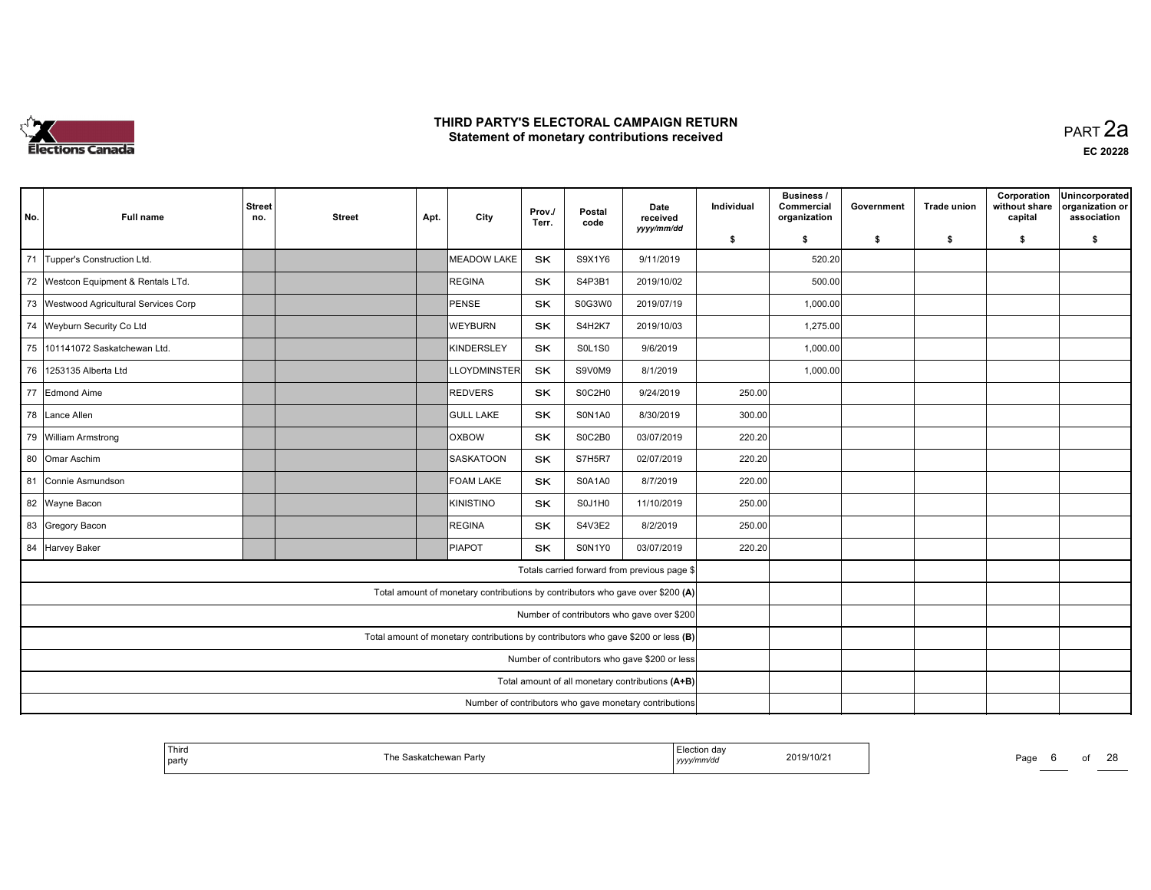

 PART 2aEC <sup>20228</sup>

| No.                                                                               | <b>Full name</b>                       | <b>Street</b><br>no.                                                           | <b>Street</b> | Apt. | City                | Prov./<br>Terr. | Postal<br>code | Date<br>received<br>yyyy/mm/dd                   | Individual | <b>Business /</b><br>Commercial<br>organization | Government | <b>Trade union</b> | Corporation<br>without share<br>capital | Unincorporated<br>organization or<br>association |
|-----------------------------------------------------------------------------------|----------------------------------------|--------------------------------------------------------------------------------|---------------|------|---------------------|-----------------|----------------|--------------------------------------------------|------------|-------------------------------------------------|------------|--------------------|-----------------------------------------|--------------------------------------------------|
|                                                                                   |                                        |                                                                                |               |      |                     |                 |                |                                                  | \$         | \$                                              | \$         | \$                 | \$                                      | \$                                               |
| 71                                                                                | Tupper's Construction Ltd.             |                                                                                |               |      | <b>MEADOW LAKE</b>  | SK              | S9X1Y6         | 9/11/2019                                        |            | 520.20                                          |            |                    |                                         |                                                  |
| 72                                                                                | Westcon Equipment & Rentals LTd.       |                                                                                |               |      | REGINA              | SK              | S4P3B1         | 2019/10/02                                       |            | 500.00                                          |            |                    |                                         |                                                  |
|                                                                                   | 73 Westwood Agricultural Services Corp |                                                                                |               |      | PENSE               | SK              | S0G3W0         | 2019/07/19                                       |            | 1,000.00                                        |            |                    |                                         |                                                  |
|                                                                                   | 74 Weyburn Security Co Ltd             |                                                                                |               |      | <b>WEYBURN</b>      | <b>SK</b>       | S4H2K7         | 2019/10/03                                       |            | 1,275.00                                        |            |                    |                                         |                                                  |
| 75                                                                                | 101141072 Saskatchewan Ltd.            |                                                                                |               |      | <b>KINDERSLEY</b>   | <b>SK</b>       | <b>S0L1S0</b>  | 9/6/2019                                         |            | 1,000.00                                        |            |                    |                                         |                                                  |
| 76                                                                                | 1253135 Alberta Ltd                    |                                                                                |               |      | <b>LLOYDMINSTER</b> | <b>SK</b>       | S9V0M9         | 8/1/2019                                         |            | 1,000.00                                        |            |                    |                                         |                                                  |
|                                                                                   | 77 Edmond Aime                         |                                                                                |               |      | <b>REDVERS</b>      | <b>SK</b>       | S0C2H0         | 9/24/2019                                        | 250.00     |                                                 |            |                    |                                         |                                                  |
| 78                                                                                | Lance Allen                            |                                                                                |               |      | <b>GULL LAKE</b>    | <b>SK</b>       | S0N1A0         | 8/30/2019                                        | 300.00     |                                                 |            |                    |                                         |                                                  |
|                                                                                   | 79 William Armstrong                   |                                                                                |               |      | <b>OXBOW</b>        | SK.             | S0C2B0         | 03/07/2019                                       | 220.20     |                                                 |            |                    |                                         |                                                  |
| 80                                                                                | Omar Aschim                            |                                                                                |               |      | <b>SASKATOON</b>    | SK              | S7H5R7         | 02/07/2019                                       | 220.20     |                                                 |            |                    |                                         |                                                  |
| 81                                                                                | Connie Asmundson                       |                                                                                |               |      | FOAM LAKE           | SK              | <b>S0A1A0</b>  | 8/7/2019                                         | 220.00     |                                                 |            |                    |                                         |                                                  |
|                                                                                   | 82 Wayne Bacon                         |                                                                                |               |      | <b>KINISTINO</b>    | <b>SK</b>       | S0J1H0         | 11/10/2019                                       | 250.00     |                                                 |            |                    |                                         |                                                  |
|                                                                                   | 83 Gregory Bacon                       |                                                                                |               |      | REGINA              | SK              | S4V3E2         | 8/2/2019                                         | 250.00     |                                                 |            |                    |                                         |                                                  |
|                                                                                   | 84 Harvey Baker                        |                                                                                |               |      | <b>PIAPOT</b>       | <b>SK</b>       | S0N1Y0         | 03/07/2019                                       | 220.20     |                                                 |            |                    |                                         |                                                  |
|                                                                                   |                                        |                                                                                |               |      |                     |                 |                | Totals carried forward from previous page \$     |            |                                                 |            |                    |                                         |                                                  |
|                                                                                   |                                        | Total amount of monetary contributions by contributors who gave over \$200 (A) |               |      |                     |                 |                |                                                  |            |                                                 |            |                    |                                         |                                                  |
|                                                                                   |                                        | Number of contributors who gave over \$200                                     |               |      |                     |                 |                |                                                  |            |                                                 |            |                    |                                         |                                                  |
| Total amount of monetary contributions by contributors who gave \$200 or less (B) |                                        |                                                                                |               |      |                     |                 |                |                                                  |            |                                                 |            |                    |                                         |                                                  |
| Number of contributors who gave \$200 or less                                     |                                        |                                                                                |               |      |                     |                 |                |                                                  |            |                                                 |            |                    |                                         |                                                  |
|                                                                                   |                                        |                                                                                |               |      |                     |                 |                | Total amount of all monetary contributions (A+B) |            |                                                 |            |                    |                                         |                                                  |
|                                                                                   |                                        | Number of contributors who gave monetary contributions                         |               |      |                     |                 |                |                                                  |            |                                                 |            |                    |                                         |                                                  |

| Third<br>  party | ıskatchewan Partv | Election dav<br>""mm/au<br>уууулг | 2019/10/21 | Page |  |
|------------------|-------------------|-----------------------------------|------------|------|--|
|                  |                   |                                   |            |      |  |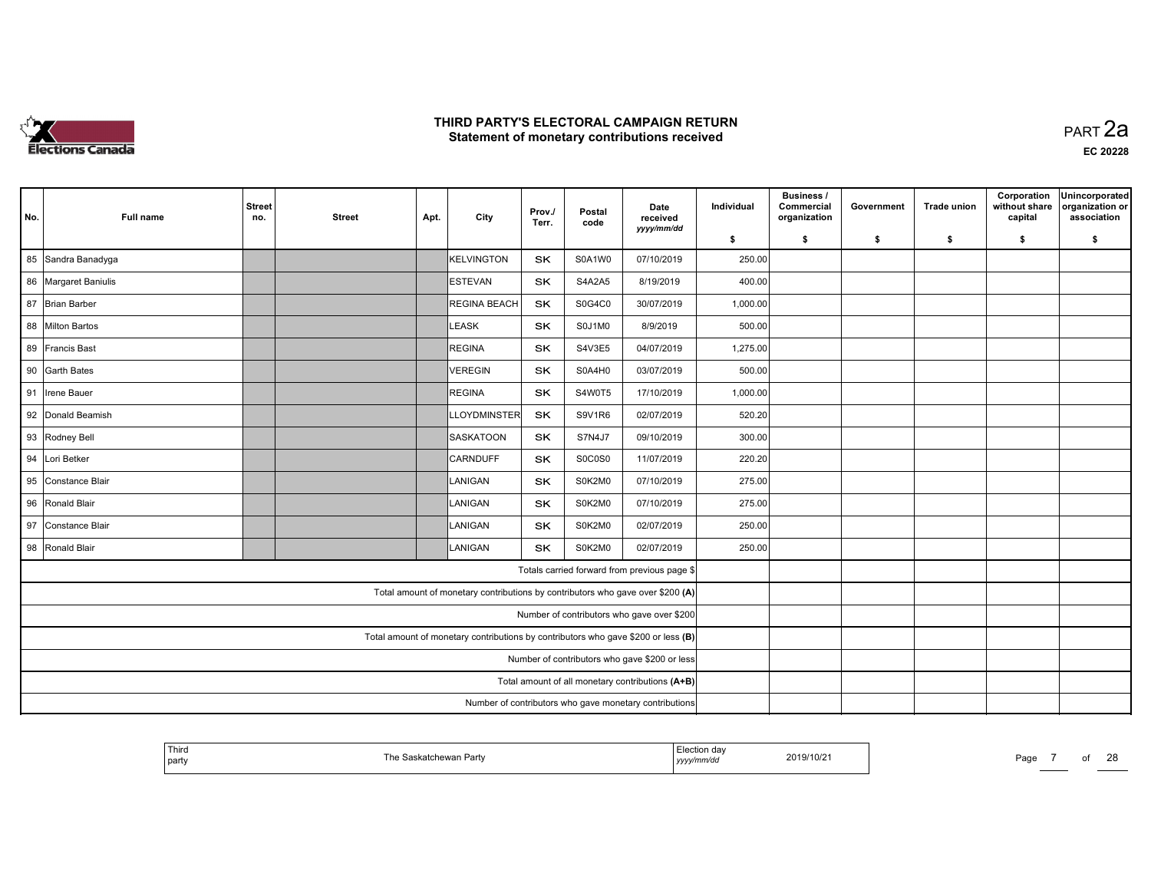

| No. | <b>Full name</b>     | <b>Street</b><br>no.                                                              | <b>Street</b>                                          | Apt. | City                                                                           | Prov./<br>Terr. | Postal<br>code | Date<br>received<br>yyyy/mm/dd               | Individual | Business /<br>Commercial<br>organization | Government | <b>Trade union</b> | Corporation<br>without share<br>capital | Unincorporated<br>organization or<br>association |
|-----|----------------------|-----------------------------------------------------------------------------------|--------------------------------------------------------|------|--------------------------------------------------------------------------------|-----------------|----------------|----------------------------------------------|------------|------------------------------------------|------------|--------------------|-----------------------------------------|--------------------------------------------------|
|     |                      |                                                                                   |                                                        |      |                                                                                |                 |                |                                              | \$         | \$                                       | \$         | \$                 | \$                                      | \$                                               |
|     | 85 Sandra Banadyga   |                                                                                   |                                                        |      | KELVINGTON                                                                     | <b>SK</b>       | S0A1W0         | 07/10/2019                                   | 250.00     |                                          |            |                    |                                         |                                                  |
|     | 86 Margaret Baniulis |                                                                                   |                                                        |      | <b>IESTEVAN</b>                                                                | <b>SK</b>       | S4A2A5         | 8/19/2019                                    | 400.00     |                                          |            |                    |                                         |                                                  |
|     | 87 Brian Barber      |                                                                                   |                                                        |      | <b>REGINA BEACH</b>                                                            | SK              | S0G4C0         | 30/07/2019                                   | 1,000.00   |                                          |            |                    |                                         |                                                  |
|     | 88 Milton Bartos     |                                                                                   |                                                        |      | LEASK                                                                          | <b>SK</b>       | S0J1M0         | 8/9/2019                                     | 500.00     |                                          |            |                    |                                         |                                                  |
|     | 89 Francis Bast      |                                                                                   |                                                        |      | REGINA                                                                         | <b>SK</b>       | S4V3E5         | 04/07/2019                                   | 1,275.00   |                                          |            |                    |                                         |                                                  |
|     | 90 Garth Bates       |                                                                                   |                                                        |      | VEREGIN                                                                        | <b>SK</b>       | S0A4H0         | 03/07/2019                                   | 500.00     |                                          |            |                    |                                         |                                                  |
|     | 91  Irene Bauer      |                                                                                   |                                                        |      | REGINA                                                                         | <b>SK</b>       | S4W0T5         | 17/10/2019                                   | 1,000.00   |                                          |            |                    |                                         |                                                  |
|     | 92 Donald Beamish    |                                                                                   |                                                        |      | <b>LLOYDMINSTER</b>                                                            | SK              | <b>S9V1R6</b>  | 02/07/2019                                   | 520.20     |                                          |            |                    |                                         |                                                  |
|     | 93 Rodney Bell       |                                                                                   |                                                        |      | SASKATOON                                                                      | SK              | <b>S7N4J7</b>  | 09/10/2019                                   | 300.00     |                                          |            |                    |                                         |                                                  |
| 94  | Lori Betker          |                                                                                   |                                                        |      | CARNDUFF                                                                       | <b>SK</b>       | S0C0S0         | 11/07/2019                                   | 220.20     |                                          |            |                    |                                         |                                                  |
|     | 95 Constance Blair   |                                                                                   |                                                        |      | LANIGAN                                                                        | <b>SK</b>       | S0K2M0         | 07/10/2019                                   | 275.00     |                                          |            |                    |                                         |                                                  |
|     | 96 Ronald Blair      |                                                                                   |                                                        |      | LANIGAN                                                                        | <b>SK</b>       | S0K2M0         | 07/10/2019                                   | 275.00     |                                          |            |                    |                                         |                                                  |
|     | 97 Constance Blair   |                                                                                   |                                                        |      | LANIGAN                                                                        | <b>SK</b>       | S0K2M0         | 02/07/2019                                   | 250.00     |                                          |            |                    |                                         |                                                  |
|     | 98 Ronald Blair      |                                                                                   |                                                        |      | ILANIGAN                                                                       | <b>SK</b>       | S0K2M0         | 02/07/2019                                   | 250.00     |                                          |            |                    |                                         |                                                  |
|     |                      |                                                                                   |                                                        |      |                                                                                |                 |                | Totals carried forward from previous page \$ |            |                                          |            |                    |                                         |                                                  |
|     |                      |                                                                                   |                                                        |      | Total amount of monetary contributions by contributors who gave over \$200 (A) |                 |                |                                              |            |                                          |            |                    |                                         |                                                  |
|     |                      |                                                                                   | Number of contributors who gave over \$200             |      |                                                                                |                 |                |                                              |            |                                          |            |                    |                                         |                                                  |
|     |                      | Total amount of monetary contributions by contributors who gave \$200 or less (B) |                                                        |      |                                                                                |                 |                |                                              |            |                                          |            |                    |                                         |                                                  |
|     |                      | Number of contributors who gave \$200 or less                                     |                                                        |      |                                                                                |                 |                |                                              |            |                                          |            |                    |                                         |                                                  |
|     |                      | Total amount of all monetary contributions (A+B)                                  |                                                        |      |                                                                                |                 |                |                                              |            |                                          |            |                    |                                         |                                                  |
|     |                      |                                                                                   | Number of contributors who gave monetary contributions |      |                                                                                |                 |                |                                              |            |                                          |            |                    |                                         |                                                  |

| l Thira<br>i he<br>Saskatchewan Partv<br>l party | lection da:<br>2019/10/21<br>™mm⁄au<br>, <i>yyyy</i> | $\sim$<br>$P$ aqe |
|--------------------------------------------------|------------------------------------------------------|-------------------|
|--------------------------------------------------|------------------------------------------------------|-------------------|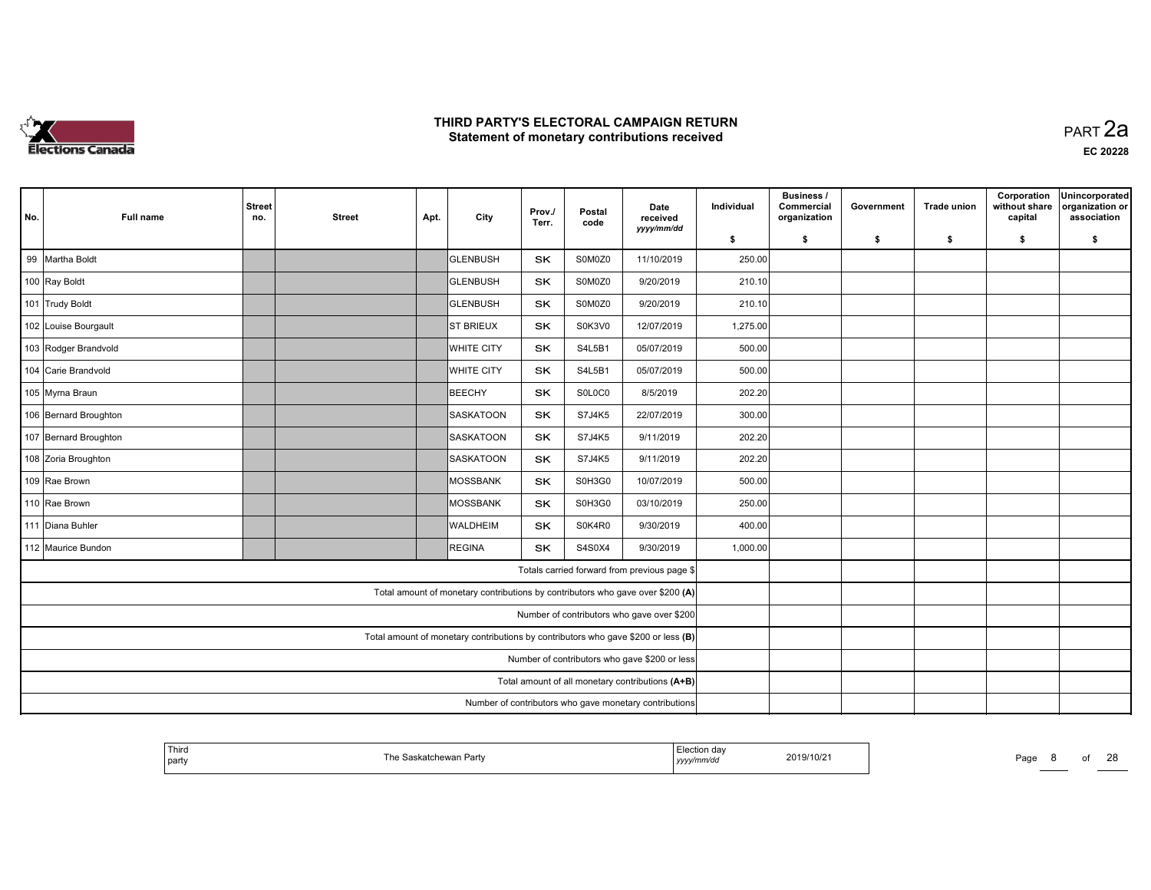

 PART 2aEC <sup>20228</sup>

| No. | <b>Full name</b>      | <b>Street</b><br>no.                             | <b>Street</b>                                                                     | Apt. | City              | Prov./<br>Terr. | Postal<br>code | Date<br>received<br>yyyy/mm/dd                                                 | Individual | <b>Business /</b><br>Commercial<br>organization | Government | <b>Trade union</b> | Corporation<br>without share<br>capital | Unincorporated<br>organization or<br>association |
|-----|-----------------------|--------------------------------------------------|-----------------------------------------------------------------------------------|------|-------------------|-----------------|----------------|--------------------------------------------------------------------------------|------------|-------------------------------------------------|------------|--------------------|-----------------------------------------|--------------------------------------------------|
|     |                       |                                                  |                                                                                   |      |                   |                 |                |                                                                                | \$         | \$                                              | \$         | \$                 | \$                                      | \$                                               |
|     | 99 Martha Boldt       |                                                  |                                                                                   |      | <b>GLENBUSH</b>   | <b>SK</b>       | S0M0Z0         | 11/10/2019                                                                     | 250.00     |                                                 |            |                    |                                         |                                                  |
|     | 100 Ray Boldt         |                                                  |                                                                                   |      | GLENBUSH          | <b>SK</b>       | S0M0Z0         | 9/20/2019                                                                      | 210.10     |                                                 |            |                    |                                         |                                                  |
|     | 101 Trudy Boldt       |                                                  |                                                                                   |      | GLENBUSH          | SK              | S0M0Z0         | 9/20/2019                                                                      | 210.10     |                                                 |            |                    |                                         |                                                  |
|     | 102 Louise Bourgault  |                                                  |                                                                                   |      | <b>ST BRIEUX</b>  | <b>SK</b>       | S0K3V0         | 12/07/2019                                                                     | 1,275.00   |                                                 |            |                    |                                         |                                                  |
|     | 103 Rodger Brandvold  |                                                  |                                                                                   |      | <b>WHITE CITY</b> | <b>SK</b>       | S4L5B1         | 05/07/2019                                                                     | 500.00     |                                                 |            |                    |                                         |                                                  |
|     | 104 Carie Brandvold   |                                                  |                                                                                   |      | <b>WHITE CITY</b> | <b>SK</b>       | S4L5B1         | 05/07/2019                                                                     | 500.00     |                                                 |            |                    |                                         |                                                  |
|     | 105 Myrna Braun       |                                                  |                                                                                   |      | BEECHY            | <b>SK</b>       | S0L0C0         | 8/5/2019                                                                       | 202.20     |                                                 |            |                    |                                         |                                                  |
|     | 106 Bernard Broughton |                                                  |                                                                                   |      | <b>SASKATOON</b>  | <b>SK</b>       | S7J4K5         | 22/07/2019                                                                     | 300.00     |                                                 |            |                    |                                         |                                                  |
|     | 107 Bernard Broughton |                                                  |                                                                                   |      | SASKATOON         | SK              | S7J4K5         | 9/11/2019                                                                      | 202.20     |                                                 |            |                    |                                         |                                                  |
|     | 108 Zoria Broughton   |                                                  |                                                                                   |      | SASKATOON         | <b>SK</b>       | S7J4K5         | 9/11/2019                                                                      | 202.20     |                                                 |            |                    |                                         |                                                  |
|     | 109 Rae Brown         |                                                  |                                                                                   |      | MOSSBANK          | SK              | S0H3G0         | 10/07/2019                                                                     | 500.00     |                                                 |            |                    |                                         |                                                  |
|     | 110 Rae Brown         |                                                  |                                                                                   |      | MOSSBANK          | SK              | S0H3G0         | 03/10/2019                                                                     | 250.00     |                                                 |            |                    |                                         |                                                  |
|     | 111 Diana Buhler      |                                                  |                                                                                   |      | <b>WALDHEIM</b>   | <b>SK</b>       | S0K4R0         | 9/30/2019                                                                      | 400.00     |                                                 |            |                    |                                         |                                                  |
|     | 112 Maurice Bundon    |                                                  |                                                                                   |      | REGINA            | <b>SK</b>       | S4S0X4         | 9/30/2019                                                                      | 1,000.00   |                                                 |            |                    |                                         |                                                  |
|     |                       |                                                  |                                                                                   |      |                   |                 |                | Totals carried forward from previous page \$                                   |            |                                                 |            |                    |                                         |                                                  |
|     |                       |                                                  |                                                                                   |      |                   |                 |                | Total amount of monetary contributions by contributors who gave over \$200 (A) |            |                                                 |            |                    |                                         |                                                  |
|     |                       | Number of contributors who gave over \$200       |                                                                                   |      |                   |                 |                |                                                                                |            |                                                 |            |                    |                                         |                                                  |
|     |                       |                                                  | Total amount of monetary contributions by contributors who gave \$200 or less (B) |      |                   |                 |                |                                                                                |            |                                                 |            |                    |                                         |                                                  |
|     |                       | Number of contributors who gave \$200 or less    |                                                                                   |      |                   |                 |                |                                                                                |            |                                                 |            |                    |                                         |                                                  |
|     |                       | Total amount of all monetary contributions (A+B) |                                                                                   |      |                   |                 |                |                                                                                |            |                                                 |            |                    |                                         |                                                  |
|     |                       |                                                  | Number of contributors who gave monetary contributions                            |      |                   |                 |                |                                                                                |            |                                                 |            |                    |                                         |                                                  |

| <sup>l</sup> Third<br>  part | e Saskatchewan Partv | Election day<br>2019/10/21<br>yyyy/mm/dd | Page<br>_____ |
|------------------------------|----------------------|------------------------------------------|---------------|
|------------------------------|----------------------|------------------------------------------|---------------|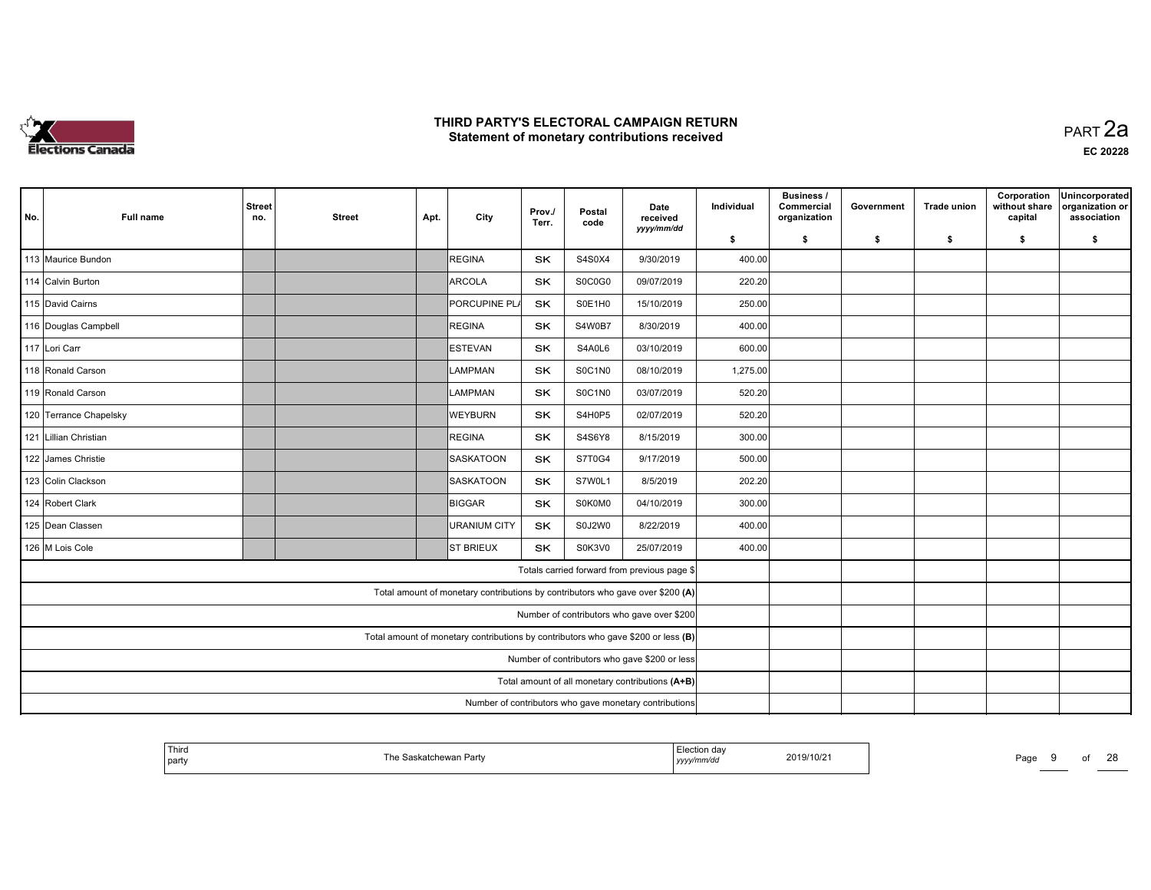

 PART 2aEC <sup>20228</sup>

| No. | <b>Full name</b>       | <b>Street</b><br>no.                                                              | <b>Street</b>                                          | Apt. | City                                                                           | Prov./<br>Terr. | Postal<br>code | Date<br>received<br>yyyy/mm/dd                   | Individual | <b>Business /</b><br>Commercial<br>organization | Government | <b>Trade union</b> | Corporation<br>without share<br>capital | Unincorporated<br>organization or<br>association |
|-----|------------------------|-----------------------------------------------------------------------------------|--------------------------------------------------------|------|--------------------------------------------------------------------------------|-----------------|----------------|--------------------------------------------------|------------|-------------------------------------------------|------------|--------------------|-----------------------------------------|--------------------------------------------------|
|     |                        |                                                                                   |                                                        |      |                                                                                |                 |                |                                                  | \$         | \$                                              | \$         | \$                 | \$                                      | \$                                               |
|     | 113 Maurice Bundon     |                                                                                   |                                                        |      | REGINA                                                                         | <b>SK</b>       | S4S0X4         | 9/30/2019                                        | 400.00     |                                                 |            |                    |                                         |                                                  |
|     | 114 Calvin Burton      |                                                                                   |                                                        |      | ARCOLA                                                                         | <b>SK</b>       | S0C0G0         | 09/07/2019                                       | 220.20     |                                                 |            |                    |                                         |                                                  |
|     | 115 David Cairns       |                                                                                   |                                                        |      | PORCUPINE PLA                                                                  | SK              | S0E1H0         | 15/10/2019                                       | 250.00     |                                                 |            |                    |                                         |                                                  |
|     | 116 Douglas Campbell   |                                                                                   |                                                        |      | REGINA                                                                         | <b>SK</b>       | S4W0B7         | 8/30/2019                                        | 400.00     |                                                 |            |                    |                                         |                                                  |
|     | 117 Lori Carr          |                                                                                   |                                                        |      | ESTEVAN                                                                        | <b>SK</b>       | S4A0L6         | 03/10/2019                                       | 600.00     |                                                 |            |                    |                                         |                                                  |
|     | 118 Ronald Carson      |                                                                                   |                                                        |      | <b>ILAMPMAN</b>                                                                | <b>SK</b>       | S0C1N0         | 08/10/2019                                       | 1,275.00   |                                                 |            |                    |                                         |                                                  |
|     | 119 Ronald Carson      |                                                                                   |                                                        |      | <b>ILAMPMAN</b>                                                                | <b>SK</b>       | S0C1N0         | 03/07/2019                                       | 520.20     |                                                 |            |                    |                                         |                                                  |
|     | 120 Terrance Chapelsky |                                                                                   |                                                        |      | <b>WEYBURN</b>                                                                 | <b>SK</b>       | S4H0P5         | 02/07/2019                                       | 520.20     |                                                 |            |                    |                                         |                                                  |
|     | 121 Lillian Christian  |                                                                                   |                                                        |      | REGINA                                                                         | <b>SK</b>       | S4S6Y8         | 8/15/2019                                        | 300.00     |                                                 |            |                    |                                         |                                                  |
|     | 122 James Christie     |                                                                                   |                                                        |      | SASKATOON                                                                      | <b>SK</b>       | S7T0G4         | 9/17/2019                                        | 500.00     |                                                 |            |                    |                                         |                                                  |
|     | 123 Colin Clackson     |                                                                                   |                                                        |      | SASKATOON                                                                      | SK              | S7W0L1         | 8/5/2019                                         | 202.20     |                                                 |            |                    |                                         |                                                  |
|     | 124 Robert Clark       |                                                                                   |                                                        |      | BIGGAR                                                                         | <b>SK</b>       | S0K0M0         | 04/10/2019                                       | 300.00     |                                                 |            |                    |                                         |                                                  |
|     | 125 Dean Classen       |                                                                                   |                                                        |      | URANIUM CITY                                                                   | <b>SK</b>       | S0J2W0         | 8/22/2019                                        | 400.00     |                                                 |            |                    |                                         |                                                  |
|     | 126 M Lois Cole        |                                                                                   |                                                        |      | <b>ST BRIEUX</b>                                                               | <b>SK</b>       | S0K3V0         | 25/07/2019                                       | 400.00     |                                                 |            |                    |                                         |                                                  |
|     |                        |                                                                                   |                                                        |      |                                                                                |                 |                | Totals carried forward from previous page \$     |            |                                                 |            |                    |                                         |                                                  |
|     |                        |                                                                                   |                                                        |      | Total amount of monetary contributions by contributors who gave over \$200 (A) |                 |                |                                                  |            |                                                 |            |                    |                                         |                                                  |
|     |                        | Number of contributors who gave over \$200                                        |                                                        |      |                                                                                |                 |                |                                                  |            |                                                 |            |                    |                                         |                                                  |
|     |                        | Total amount of monetary contributions by contributors who gave \$200 or less (B) |                                                        |      |                                                                                |                 |                |                                                  |            |                                                 |            |                    |                                         |                                                  |
|     |                        | Number of contributors who gave \$200 or less                                     |                                                        |      |                                                                                |                 |                |                                                  |            |                                                 |            |                    |                                         |                                                  |
|     |                        |                                                                                   |                                                        |      |                                                                                |                 |                | Total amount of all monetary contributions (A+B) |            |                                                 |            |                    |                                         |                                                  |
|     |                        |                                                                                   | Number of contributors who gave monetary contributions |      |                                                                                |                 |                |                                                  |            |                                                 |            |                    |                                         |                                                  |

| Third<br>party | Saskatchewan Party<br>The Saskatchewan | —i⇔ction dav<br>2019/10/21<br>'mm/ac<br>уууу | Page |
|----------------|----------------------------------------|----------------------------------------------|------|
|----------------|----------------------------------------|----------------------------------------------|------|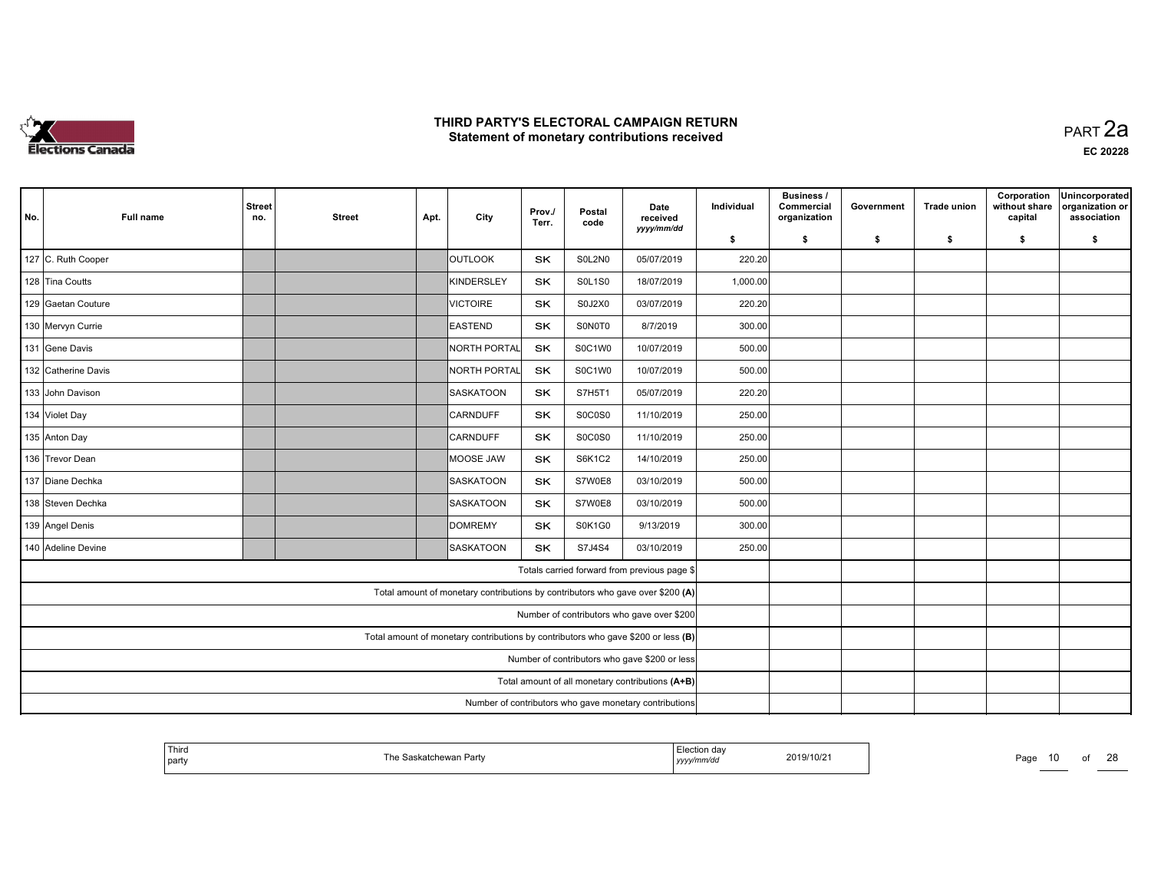

|                                               |                     | <b>Street</b>                                                                     |                                                        |      |                                                                                | Prov./    | Postal        | Date                                             | Individual | <b>Business /</b><br>Commercial | Government | <b>Trade union</b> | Corporation<br>without share | Unincorporated<br>organization or |
|-----------------------------------------------|---------------------|-----------------------------------------------------------------------------------|--------------------------------------------------------|------|--------------------------------------------------------------------------------|-----------|---------------|--------------------------------------------------|------------|---------------------------------|------------|--------------------|------------------------------|-----------------------------------|
| No.                                           | <b>Full name</b>    | no.                                                                               | <b>Street</b>                                          | Apt. | City                                                                           | Terr.     | code          | received<br>yyyy/mm/dd                           | \$         | organization<br>\$              | \$         | \$                 | capital<br>\$                | association<br>\$                 |
|                                               | 127 C. Ruth Cooper  |                                                                                   |                                                        |      | <b>OUTLOOK</b>                                                                 | SK        | S0L2N0        | 05/07/2019                                       | 220.20     |                                 |            |                    |                              |                                   |
|                                               | 128 Tina Coutts     |                                                                                   |                                                        |      | KINDERSLEY                                                                     | SK        | <b>SOL1SO</b> | 18/07/2019                                       | 1,000.00   |                                 |            |                    |                              |                                   |
|                                               | 129 Gaetan Couture  |                                                                                   |                                                        |      | <b>VICTOIRE</b>                                                                | SK        | S0J2X0        | 03/07/2019                                       | 220.20     |                                 |            |                    |                              |                                   |
|                                               | 130 Mervyn Currie   |                                                                                   |                                                        |      | <b>EASTEND</b>                                                                 | <b>SK</b> | S0N0T0        | 8/7/2019                                         | 300.00     |                                 |            |                    |                              |                                   |
|                                               | 131 Gene Davis      |                                                                                   |                                                        |      | NORTH PORTAL                                                                   | <b>SK</b> | S0C1W0        | 10/07/2019                                       | 500.00     |                                 |            |                    |                              |                                   |
|                                               | 132 Catherine Davis |                                                                                   |                                                        |      | NORTH PORTAL                                                                   | SK        | S0C1W0        | 10/07/2019                                       | 500.00     |                                 |            |                    |                              |                                   |
|                                               | 133 John Davison    |                                                                                   |                                                        |      | <b>SASKATOON</b>                                                               | <b>SK</b> | S7H5T1        | 05/07/2019                                       | 220.20     |                                 |            |                    |                              |                                   |
|                                               | 134 Violet Day      |                                                                                   |                                                        |      | <b>CARNDUFF</b>                                                                | <b>SK</b> | S0C0S0        | 11/10/2019                                       | 250.00     |                                 |            |                    |                              |                                   |
|                                               | 135 Anton Day       |                                                                                   |                                                        |      | <b>CARNDUFF</b>                                                                | <b>SK</b> | S0C0S0        | 11/10/2019                                       | 250.00     |                                 |            |                    |                              |                                   |
|                                               | 136 Trevor Dean     |                                                                                   |                                                        |      | MOOSE JAW                                                                      | SK        | <b>S6K1C2</b> | 14/10/2019                                       | 250.00     |                                 |            |                    |                              |                                   |
|                                               | 137 Diane Dechka    |                                                                                   |                                                        |      | SASKATOON                                                                      | SK        | S7W0E8        | 03/10/2019                                       | 500.00     |                                 |            |                    |                              |                                   |
|                                               | 138 Steven Dechka   |                                                                                   |                                                        |      | SASKATOON                                                                      | SK        | S7W0E8        | 03/10/2019                                       | 500.00     |                                 |            |                    |                              |                                   |
|                                               | 139 Angel Denis     |                                                                                   |                                                        |      | <b>DOMREMY</b>                                                                 | SK        | S0K1G0        | 9/13/2019                                        | 300.00     |                                 |            |                    |                              |                                   |
|                                               | 140 Adeline Devine  |                                                                                   |                                                        |      | SASKATOON                                                                      | <b>SK</b> | S7J4S4        | 03/10/2019                                       | 250.00     |                                 |            |                    |                              |                                   |
|                                               |                     |                                                                                   |                                                        |      |                                                                                |           |               | Totals carried forward from previous page \$     |            |                                 |            |                    |                              |                                   |
|                                               |                     |                                                                                   |                                                        |      | Total amount of monetary contributions by contributors who gave over \$200 (A) |           |               |                                                  |            |                                 |            |                    |                              |                                   |
|                                               |                     | Number of contributors who gave over \$200                                        |                                                        |      |                                                                                |           |               |                                                  |            |                                 |            |                    |                              |                                   |
|                                               |                     | Total amount of monetary contributions by contributors who gave \$200 or less (B) |                                                        |      |                                                                                |           |               |                                                  |            |                                 |            |                    |                              |                                   |
| Number of contributors who gave \$200 or less |                     |                                                                                   |                                                        |      |                                                                                |           |               |                                                  |            |                                 |            |                    |                              |                                   |
|                                               |                     |                                                                                   |                                                        |      |                                                                                |           |               | Total amount of all monetary contributions (A+B) |            |                                 |            |                    |                              |                                   |
|                                               |                     |                                                                                   | Number of contributors who gave monetary contributions |      |                                                                                |           |               |                                                  |            |                                 |            |                    |                              |                                   |

| <sup>l</sup> Third<br>ı he<br>katchewan Party<br>  party | Election da<br>2019/10/21<br>yyyymm/aa | $\sim$<br>Page<br>10<br>יי<br><u>_</u> |
|----------------------------------------------------------|----------------------------------------|----------------------------------------|
|----------------------------------------------------------|----------------------------------------|----------------------------------------|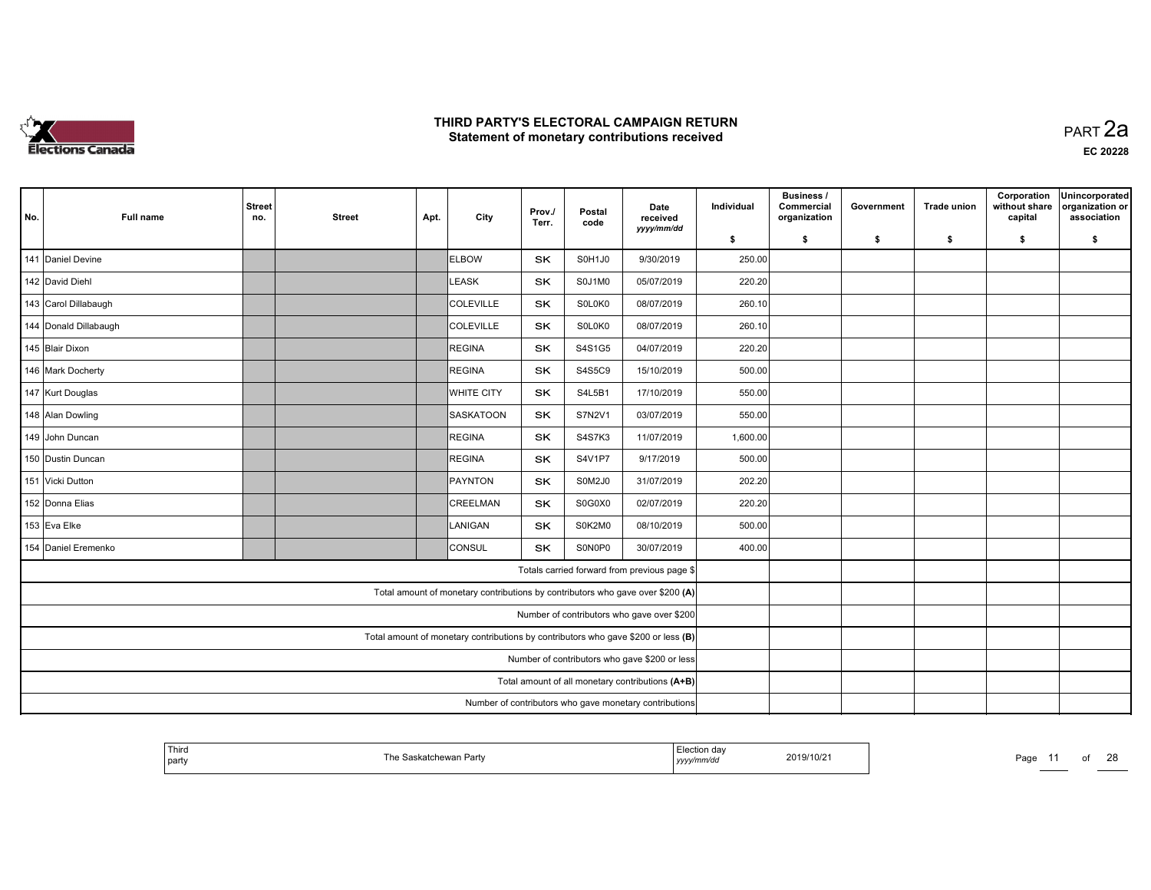

| No. | <b>Full name</b>      | <b>Street</b><br>no.                                   | <b>Street</b>                                                                     | Apt. | City                                                                           | Prov./<br>Terr. | Postal<br>code | Date<br>received<br>yyyy/mm/dd                   | Individual | Business /<br>Commercial<br>organization | Government | <b>Trade union</b> | Corporation<br>without share<br>capital | Unincorporated<br>organization or<br>association |
|-----|-----------------------|--------------------------------------------------------|-----------------------------------------------------------------------------------|------|--------------------------------------------------------------------------------|-----------------|----------------|--------------------------------------------------|------------|------------------------------------------|------------|--------------------|-----------------------------------------|--------------------------------------------------|
|     |                       |                                                        |                                                                                   |      |                                                                                |                 |                |                                                  | \$         | \$                                       | \$         | \$                 | \$                                      | \$                                               |
|     | 141 Daniel Devine     |                                                        |                                                                                   |      | <b>ELBOW</b>                                                                   | <b>SK</b>       | S0H1J0         | 9/30/2019                                        | 250.00     |                                          |            |                    |                                         |                                                  |
|     | 142 David Diehl       |                                                        |                                                                                   |      | LEASK                                                                          | <b>SK</b>       | S0J1M0         | 05/07/2019                                       | 220.20     |                                          |            |                    |                                         |                                                  |
|     | 143 Carol Dillabaugh  |                                                        |                                                                                   |      | COLEVILLE                                                                      | SK              | S0L0K0         | 08/07/2019                                       | 260.10     |                                          |            |                    |                                         |                                                  |
|     | 144 Donald Dillabaugh |                                                        |                                                                                   |      | COLEVILLE                                                                      | <b>SK</b>       | S0L0K0         | 08/07/2019                                       | 260.10     |                                          |            |                    |                                         |                                                  |
|     | 145 Blair Dixon       |                                                        |                                                                                   |      | REGINA                                                                         | <b>SK</b>       | S4S1G5         | 04/07/2019                                       | 220.20     |                                          |            |                    |                                         |                                                  |
|     | 146 Mark Docherty     |                                                        |                                                                                   |      | REGINA                                                                         | <b>SK</b>       | S4S5C9         | 15/10/2019                                       | 500.00     |                                          |            |                    |                                         |                                                  |
|     | 147 Kurt Douglas      |                                                        |                                                                                   |      | <b>WHITE CITY</b>                                                              | <b>SK</b>       | S4L5B1         | 17/10/2019                                       | 550.00     |                                          |            |                    |                                         |                                                  |
|     | 148 Alan Dowling      |                                                        |                                                                                   |      | <b>SASKATOON</b>                                                               | <b>SK</b>       | S7N2V1         | 03/07/2019                                       | 550.00     |                                          |            |                    |                                         |                                                  |
|     | 149 John Duncan       |                                                        |                                                                                   |      | REGINA                                                                         | SK              | <b>S4S7K3</b>  | 11/07/2019                                       | 1,600.00   |                                          |            |                    |                                         |                                                  |
|     | 150 Dustin Duncan     |                                                        |                                                                                   |      | REGINA                                                                         | <b>SK</b>       | <b>S4V1P7</b>  | 9/17/2019                                        | 500.00     |                                          |            |                    |                                         |                                                  |
|     | 151 Vicki Dutton      |                                                        |                                                                                   |      | PAYNTON                                                                        | SK              | S0M2J0         | 31/07/2019                                       | 202.20     |                                          |            |                    |                                         |                                                  |
|     | 152 Donna Elias       |                                                        |                                                                                   |      | CREELMAN                                                                       | SK              | S0G0X0         | 02/07/2019                                       | 220.20     |                                          |            |                    |                                         |                                                  |
|     | 153 Eva Elke          |                                                        |                                                                                   |      | LANIGAN                                                                        | <b>SK</b>       | S0K2M0         | 08/10/2019                                       | 500.00     |                                          |            |                    |                                         |                                                  |
|     | 154 Daniel Eremenko   |                                                        |                                                                                   |      | <b>CONSUL</b>                                                                  | <b>SK</b>       | S0N0P0         | 30/07/2019                                       | 400.00     |                                          |            |                    |                                         |                                                  |
|     |                       |                                                        |                                                                                   |      |                                                                                |                 |                | Totals carried forward from previous page \$     |            |                                          |            |                    |                                         |                                                  |
|     |                       |                                                        |                                                                                   |      | Total amount of monetary contributions by contributors who gave over \$200 (A) |                 |                |                                                  |            |                                          |            |                    |                                         |                                                  |
|     |                       | Number of contributors who gave over \$200             |                                                                                   |      |                                                                                |                 |                |                                                  |            |                                          |            |                    |                                         |                                                  |
|     |                       |                                                        | Total amount of monetary contributions by contributors who gave \$200 or less (B) |      |                                                                                |                 |                |                                                  |            |                                          |            |                    |                                         |                                                  |
|     |                       | Number of contributors who gave \$200 or less          |                                                                                   |      |                                                                                |                 |                |                                                  |            |                                          |            |                    |                                         |                                                  |
|     |                       |                                                        |                                                                                   |      |                                                                                |                 |                | Total amount of all monetary contributions (A+B) |            |                                          |            |                    |                                         |                                                  |
|     |                       | Number of contributors who gave monetary contributions |                                                                                   |      |                                                                                |                 |                |                                                  |            |                                          |            |                    |                                         |                                                  |

| ' Third<br>  party | ձskatchewan Partv | Election day<br>2019/10/2 <sup>-</sup><br>yyyymm/aa | Doc.<br>г ач | $\sim$ |
|--------------------|-------------------|-----------------------------------------------------|--------------|--------|
|                    |                   |                                                     |              |        |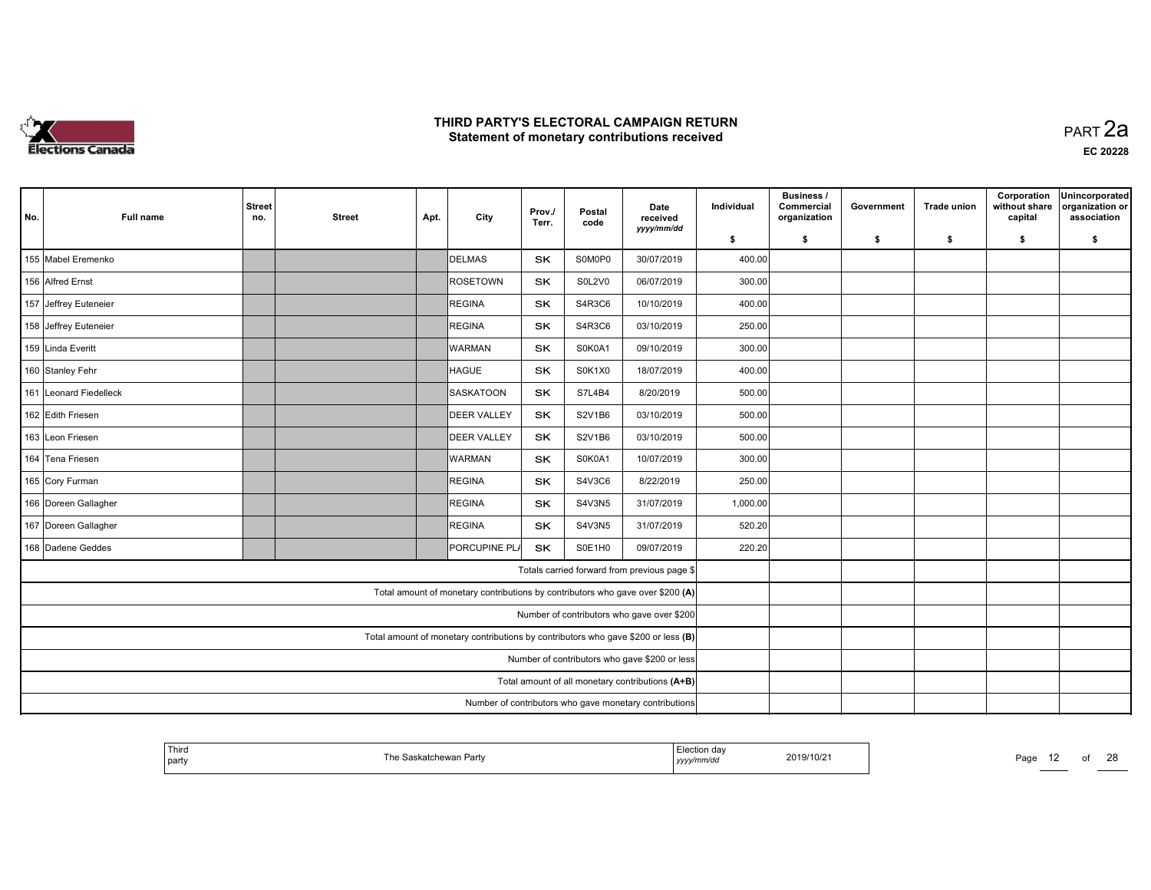

| No. | <b>Full name</b>       | <b>Street</b><br>no.                                                              | <b>Street</b>                                 | Apt. | City                                                                           | Prov./<br>Terr. | Postal<br>code | Date<br>received<br>yyyy/mm/dd                   | Individual | <b>Business /</b><br>Commercial<br>organization | Government | <b>Trade union</b> | Corporation<br>without share<br>capital | Unincorporated<br>organization or<br>association |
|-----|------------------------|-----------------------------------------------------------------------------------|-----------------------------------------------|------|--------------------------------------------------------------------------------|-----------------|----------------|--------------------------------------------------|------------|-------------------------------------------------|------------|--------------------|-----------------------------------------|--------------------------------------------------|
|     |                        |                                                                                   |                                               |      |                                                                                |                 |                |                                                  | \$         | \$                                              | \$         | \$                 | \$                                      | \$                                               |
|     | 155 Mabel Eremenko     |                                                                                   |                                               |      | DELMAS                                                                         | <b>SK</b>       | S0M0P0         | 30/07/2019                                       | 400.00     |                                                 |            |                    |                                         |                                                  |
|     | 156 Alfred Ernst       |                                                                                   |                                               |      | <b>ROSETOWN</b>                                                                | <b>SK</b>       | <b>S0L2V0</b>  | 06/07/2019                                       | 300.00     |                                                 |            |                    |                                         |                                                  |
|     | 157 Jeffrey Euteneier  |                                                                                   |                                               |      | REGINA                                                                         | SK              | S4R3C6         | 10/10/2019                                       | 400.00     |                                                 |            |                    |                                         |                                                  |
|     | 158 Jeffrey Euteneier  |                                                                                   |                                               |      | REGINA                                                                         | <b>SK</b>       | S4R3C6         | 03/10/2019                                       | 250.00     |                                                 |            |                    |                                         |                                                  |
|     | 159 Linda Everitt      |                                                                                   |                                               |      | <b>WARMAN</b>                                                                  | <b>SK</b>       | S0K0A1         | 09/10/2019                                       | 300.00     |                                                 |            |                    |                                         |                                                  |
|     | 160 Stanley Fehr       |                                                                                   |                                               |      | <b>HAGUE</b>                                                                   | <b>SK</b>       | S0K1X0         | 18/07/2019                                       | 400.00     |                                                 |            |                    |                                         |                                                  |
|     | 161 Leonard Fiedelleck |                                                                                   |                                               |      | <b>SASKATOON</b>                                                               | <b>SK</b>       | S7L4B4         | 8/20/2019                                        | 500.00     |                                                 |            |                    |                                         |                                                  |
|     | 162 Edith Friesen      |                                                                                   |                                               |      | <b>DEER VALLEY</b>                                                             | <b>SK</b>       | S2V1B6         | 03/10/2019                                       | 500.00     |                                                 |            |                    |                                         |                                                  |
|     | 163 Leon Friesen       |                                                                                   |                                               |      | <b>DEER VALLEY</b>                                                             | SK              | S2V1B6         | 03/10/2019                                       | 500.00     |                                                 |            |                    |                                         |                                                  |
|     | 164 Tena Friesen       |                                                                                   |                                               |      | <b>WARMAN</b>                                                                  | <b>SK</b>       | S0K0A1         | 10/07/2019                                       | 300.00     |                                                 |            |                    |                                         |                                                  |
|     | 165 Cory Furman        |                                                                                   |                                               |      | REGINA                                                                         | SK              | S4V3C6         | 8/22/2019                                        | 250.00     |                                                 |            |                    |                                         |                                                  |
|     | 166 Doreen Gallagher   |                                                                                   |                                               |      | REGINA                                                                         | <b>SK</b>       | S4V3N5         | 31/07/2019                                       | 1,000.00   |                                                 |            |                    |                                         |                                                  |
|     | 167 Doreen Gallagher   |                                                                                   |                                               |      | REGINA                                                                         | <b>SK</b>       | S4V3N5         | 31/07/2019                                       | 520.20     |                                                 |            |                    |                                         |                                                  |
|     | 168 Darlene Geddes     |                                                                                   |                                               |      | <b>PORCUPINE PLA</b>                                                           | <b>SK</b>       | S0E1H0         | 09/07/2019                                       | 220.20     |                                                 |            |                    |                                         |                                                  |
|     |                        |                                                                                   |                                               |      |                                                                                |                 |                | Totals carried forward from previous page \$     |            |                                                 |            |                    |                                         |                                                  |
|     |                        |                                                                                   |                                               |      | Total amount of monetary contributions by contributors who gave over \$200 (A) |                 |                |                                                  |            |                                                 |            |                    |                                         |                                                  |
|     |                        | Number of contributors who gave over \$200                                        |                                               |      |                                                                                |                 |                |                                                  |            |                                                 |            |                    |                                         |                                                  |
|     |                        | Total amount of monetary contributions by contributors who gave \$200 or less (B) |                                               |      |                                                                                |                 |                |                                                  |            |                                                 |            |                    |                                         |                                                  |
|     |                        |                                                                                   | Number of contributors who gave \$200 or less |      |                                                                                |                 |                |                                                  |            |                                                 |            |                    |                                         |                                                  |
|     |                        |                                                                                   |                                               |      |                                                                                |                 |                | Total amount of all monetary contributions (A+B) |            |                                                 |            |                    |                                         |                                                  |
|     |                        | Number of contributors who gave monetary contributions                            |                                               |      |                                                                                |                 |                |                                                  |            |                                                 |            |                    |                                         |                                                  |

| ' Third<br>  party | ۲he S<br>skatchewan Partv<br>--- | <b>Loction</b><br>Liection dav<br>yyyymmaa | 2019/10/21 | Page<br>$\overline{a}$ |  | $\sim$ |
|--------------------|----------------------------------|--------------------------------------------|------------|------------------------|--|--------|
|                    |                                  |                                            |            |                        |  |        |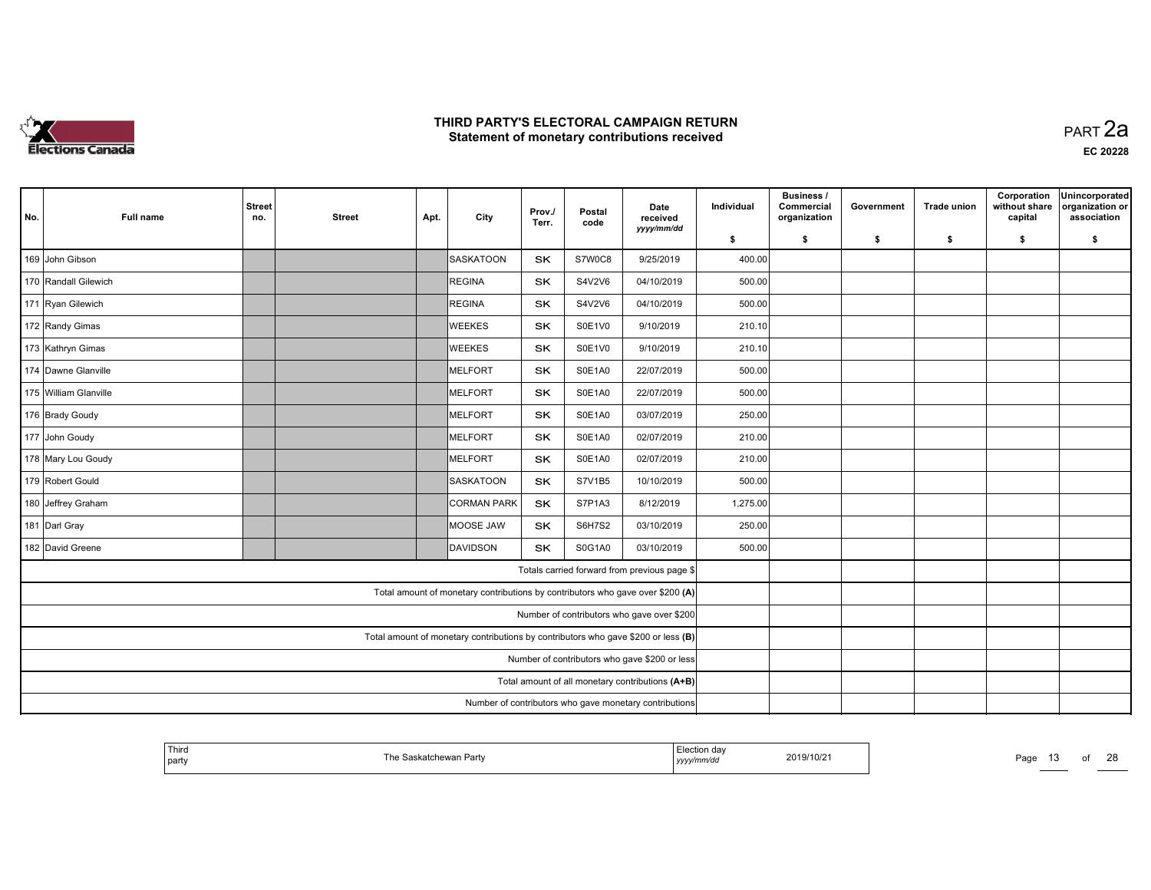

| No. | <b>Full name</b>      | <b>Street</b><br>no.                                   | <b>Street</b>                                                                     | Apt. | City                                                                           | Prov./<br>Terr. | Postal<br>code | Date<br>received<br>yyyy/mm/dd                   | Individual | Business /<br>Commercial<br>organization | Government | <b>Trade union</b> | Corporation<br>without share<br>capital | Unincorporated<br>organization or<br>association |
|-----|-----------------------|--------------------------------------------------------|-----------------------------------------------------------------------------------|------|--------------------------------------------------------------------------------|-----------------|----------------|--------------------------------------------------|------------|------------------------------------------|------------|--------------------|-----------------------------------------|--------------------------------------------------|
|     |                       |                                                        |                                                                                   |      |                                                                                |                 |                |                                                  | \$         | \$                                       | \$         | \$                 | \$                                      | \$                                               |
|     | 169 John Gibson       |                                                        |                                                                                   |      | SASKATOON                                                                      | <b>SK</b>       | S7W0C8         | 9/25/2019                                        | 400.00     |                                          |            |                    |                                         |                                                  |
|     | 170 Randall Gilewich  |                                                        |                                                                                   |      | REGINA                                                                         | <b>SK</b>       | S4V2V6         | 04/10/2019                                       | 500.00     |                                          |            |                    |                                         |                                                  |
|     | 171 Ryan Gilewich     |                                                        |                                                                                   |      | REGINA                                                                         | SK              | S4V2V6         | 04/10/2019                                       | 500.00     |                                          |            |                    |                                         |                                                  |
|     | 172 Randy Gimas       |                                                        |                                                                                   |      | <b>WEEKES</b>                                                                  | <b>SK</b>       | S0E1V0         | 9/10/2019                                        | 210.10     |                                          |            |                    |                                         |                                                  |
|     | 173 Kathryn Gimas     |                                                        |                                                                                   |      | <b>WEEKES</b>                                                                  | <b>SK</b>       | S0E1V0         | 9/10/2019                                        | 210.10     |                                          |            |                    |                                         |                                                  |
|     | 174 Dawne Glanville   |                                                        |                                                                                   |      | MELFORT                                                                        | <b>SK</b>       | S0E1A0         | 22/07/2019                                       | 500.00     |                                          |            |                    |                                         |                                                  |
|     | 175 William Glanville |                                                        |                                                                                   |      | MELFORT                                                                        | <b>SK</b>       | S0E1A0         | 22/07/2019                                       | 500.00     |                                          |            |                    |                                         |                                                  |
|     | 176 Brady Goudy       |                                                        |                                                                                   |      | <b>IMELFORT</b>                                                                | <b>SK</b>       | S0E1A0         | 03/07/2019                                       | 250.00     |                                          |            |                    |                                         |                                                  |
|     | 177 John Goudy        |                                                        |                                                                                   |      | MELFORT                                                                        | SK              | S0E1A0         | 02/07/2019                                       | 210.00     |                                          |            |                    |                                         |                                                  |
|     | 178 Mary Lou Goudy    |                                                        |                                                                                   |      | MELFORT                                                                        | <b>SK</b>       | S0E1A0         | 02/07/2019                                       | 210.00     |                                          |            |                    |                                         |                                                  |
|     | 179 Robert Gould      |                                                        |                                                                                   |      | SASKATOON                                                                      | SK              | S7V1B5         | 10/10/2019                                       | 500.00     |                                          |            |                    |                                         |                                                  |
|     | 180 Jeffrey Graham    |                                                        |                                                                                   |      | <b>CORMAN PARK</b>                                                             | SK              | S7P1A3         | 8/12/2019                                        | 1,275.00   |                                          |            |                    |                                         |                                                  |
|     | 181 Darl Gray         |                                                        |                                                                                   |      | MOOSE JAW                                                                      | SK              | <b>S6H7S2</b>  | 03/10/2019                                       | 250.00     |                                          |            |                    |                                         |                                                  |
|     | 182 David Greene      |                                                        |                                                                                   |      | <b>DAVIDSON</b>                                                                | <b>SK</b>       | S0G1A0         | 03/10/2019                                       | 500.00     |                                          |            |                    |                                         |                                                  |
|     |                       |                                                        |                                                                                   |      |                                                                                |                 |                | Totals carried forward from previous page \$     |            |                                          |            |                    |                                         |                                                  |
|     |                       |                                                        |                                                                                   |      | Total amount of monetary contributions by contributors who gave over \$200 (A) |                 |                |                                                  |            |                                          |            |                    |                                         |                                                  |
|     |                       |                                                        | Number of contributors who gave over \$200                                        |      |                                                                                |                 |                |                                                  |            |                                          |            |                    |                                         |                                                  |
|     |                       |                                                        | Total amount of monetary contributions by contributors who gave \$200 or less (B) |      |                                                                                |                 |                |                                                  |            |                                          |            |                    |                                         |                                                  |
|     |                       |                                                        | Number of contributors who gave \$200 or less                                     |      |                                                                                |                 |                |                                                  |            |                                          |            |                    |                                         |                                                  |
|     |                       |                                                        |                                                                                   |      |                                                                                |                 |                | Total amount of all monetary contributions (A+B) |            |                                          |            |                    |                                         |                                                  |
|     |                       | Number of contributors who gave monetary contributions |                                                                                   |      |                                                                                |                 |                |                                                  |            |                                          |            |                    |                                         |                                                  |

| ' Third<br>  party | The S<br>skatchewan Partv<br>--- | <b>Loction</b><br>Liection dav<br>yyyymmaa | 2019/10/21 | Page | $\overline{\phantom{a}}$ | $\sim$<br>້ |
|--------------------|----------------------------------|--------------------------------------------|------------|------|--------------------------|-------------|
|                    |                                  |                                            |            |      |                          |             |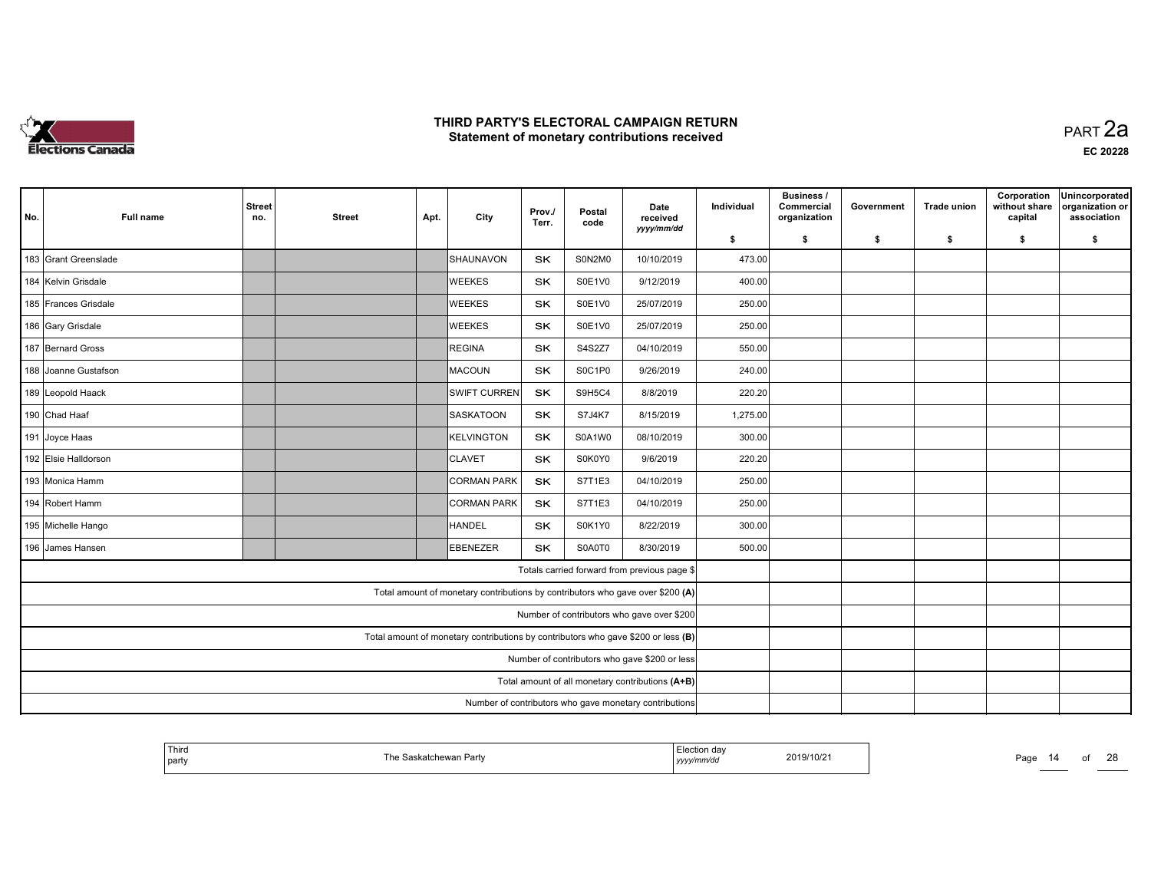

| No. | <b>Full name</b>     | <b>Street</b><br>no. | <b>Street</b>                                                                     | Apt. | City                                                                           | Prov./<br>Terr. | Postal<br>code | Date<br>received<br>yyyy/mm/dd                   | Individual | <b>Business /</b><br>Commercial<br>organization | Government | <b>Trade union</b> | Corporation<br>without share<br>capital | Unincorporated<br>organization or<br>association |
|-----|----------------------|----------------------|-----------------------------------------------------------------------------------|------|--------------------------------------------------------------------------------|-----------------|----------------|--------------------------------------------------|------------|-------------------------------------------------|------------|--------------------|-----------------------------------------|--------------------------------------------------|
|     |                      |                      |                                                                                   |      |                                                                                |                 |                |                                                  | \$         | \$                                              | \$         | \$                 | \$                                      | \$                                               |
|     | 183 Grant Greenslade |                      |                                                                                   |      | SHAUNAVON                                                                      | <b>SK</b>       | S0N2M0         | 10/10/2019                                       | 473.00     |                                                 |            |                    |                                         |                                                  |
|     | 184 Kelvin Grisdale  |                      |                                                                                   |      | <b>WEEKES</b>                                                                  | <b>SK</b>       | S0E1V0         | 9/12/2019                                        | 400.00     |                                                 |            |                    |                                         |                                                  |
|     | 185 Frances Grisdale |                      |                                                                                   |      | <b>WEEKES</b>                                                                  | SK              | S0E1V0         | 25/07/2019                                       | 250.00     |                                                 |            |                    |                                         |                                                  |
|     | 186 Gary Grisdale    |                      |                                                                                   |      | <b>WEEKES</b>                                                                  | <b>SK</b>       | S0E1V0         | 25/07/2019                                       | 250.00     |                                                 |            |                    |                                         |                                                  |
|     | 187 Bernard Gross    |                      |                                                                                   |      | REGINA                                                                         | <b>SK</b>       | S4S2Z7         | 04/10/2019                                       | 550.00     |                                                 |            |                    |                                         |                                                  |
|     | 188 Joanne Gustafson |                      |                                                                                   |      | MACOUN                                                                         | <b>SK</b>       | S0C1P0         | 9/26/2019                                        | 240.00     |                                                 |            |                    |                                         |                                                  |
|     | 189 Leopold Haack    |                      |                                                                                   |      | <b>SWIFT CURREN</b>                                                            | <b>SK</b>       | S9H5C4         | 8/8/2019                                         | 220.20     |                                                 |            |                    |                                         |                                                  |
|     | 190 Chad Haaf        |                      |                                                                                   |      | SASKATOON                                                                      | <b>SK</b>       | <b>S7J4K7</b>  | 8/15/2019                                        | 1,275.00   |                                                 |            |                    |                                         |                                                  |
|     | 191 Joyce Haas       |                      |                                                                                   |      | KELVINGTON                                                                     | SK              | S0A1W0         | 08/10/2019                                       | 300.00     |                                                 |            |                    |                                         |                                                  |
|     | 192 Elsie Halldorson |                      |                                                                                   |      | <b>CLAVET</b>                                                                  | <b>SK</b>       | S0K0Y0         | 9/6/2019                                         | 220.20     |                                                 |            |                    |                                         |                                                  |
|     | 193 Monica Hamm      |                      |                                                                                   |      | <b>CORMAN PARK</b>                                                             | SK              | S7T1E3         | 04/10/2019                                       | 250.00     |                                                 |            |                    |                                         |                                                  |
|     | 194 Robert Hamm      |                      |                                                                                   |      | <b>CORMAN PARK</b>                                                             | SK              | S7T1E3         | 04/10/2019                                       | 250.00     |                                                 |            |                    |                                         |                                                  |
|     | 195 Michelle Hango   |                      |                                                                                   |      | HANDEL                                                                         | <b>SK</b>       | S0K1Y0         | 8/22/2019                                        | 300.00     |                                                 |            |                    |                                         |                                                  |
|     | 196 James Hansen     |                      |                                                                                   |      | EBENEZER                                                                       | <b>SK</b>       | S0A0T0         | 8/30/2019                                        | 500.00     |                                                 |            |                    |                                         |                                                  |
|     |                      |                      |                                                                                   |      |                                                                                |                 |                | Totals carried forward from previous page \$     |            |                                                 |            |                    |                                         |                                                  |
|     |                      |                      |                                                                                   |      | Total amount of monetary contributions by contributors who gave over \$200 (A) |                 |                |                                                  |            |                                                 |            |                    |                                         |                                                  |
|     |                      |                      | Number of contributors who gave over \$200                                        |      |                                                                                |                 |                |                                                  |            |                                                 |            |                    |                                         |                                                  |
|     |                      |                      | Total amount of monetary contributions by contributors who gave \$200 or less (B) |      |                                                                                |                 |                |                                                  |            |                                                 |            |                    |                                         |                                                  |
|     |                      |                      | Number of contributors who gave \$200 or less                                     |      |                                                                                |                 |                |                                                  |            |                                                 |            |                    |                                         |                                                  |
|     |                      |                      |                                                                                   |      |                                                                                |                 |                | Total amount of all monetary contributions (A+B) |            |                                                 |            |                    |                                         |                                                  |
|     |                      |                      | Number of contributors who gave monetary contributions                            |      |                                                                                |                 |                |                                                  |            |                                                 |            |                    |                                         |                                                  |

| <sup>1</sup> Third<br>The Saskatchewan Party<br>' party | .<br>⊨lection dav<br>2019/10/21<br>mmva<br>,,,,, | $\sim$<br>Paɑ∈<br>I Л |
|---------------------------------------------------------|--------------------------------------------------|-----------------------|
|---------------------------------------------------------|--------------------------------------------------|-----------------------|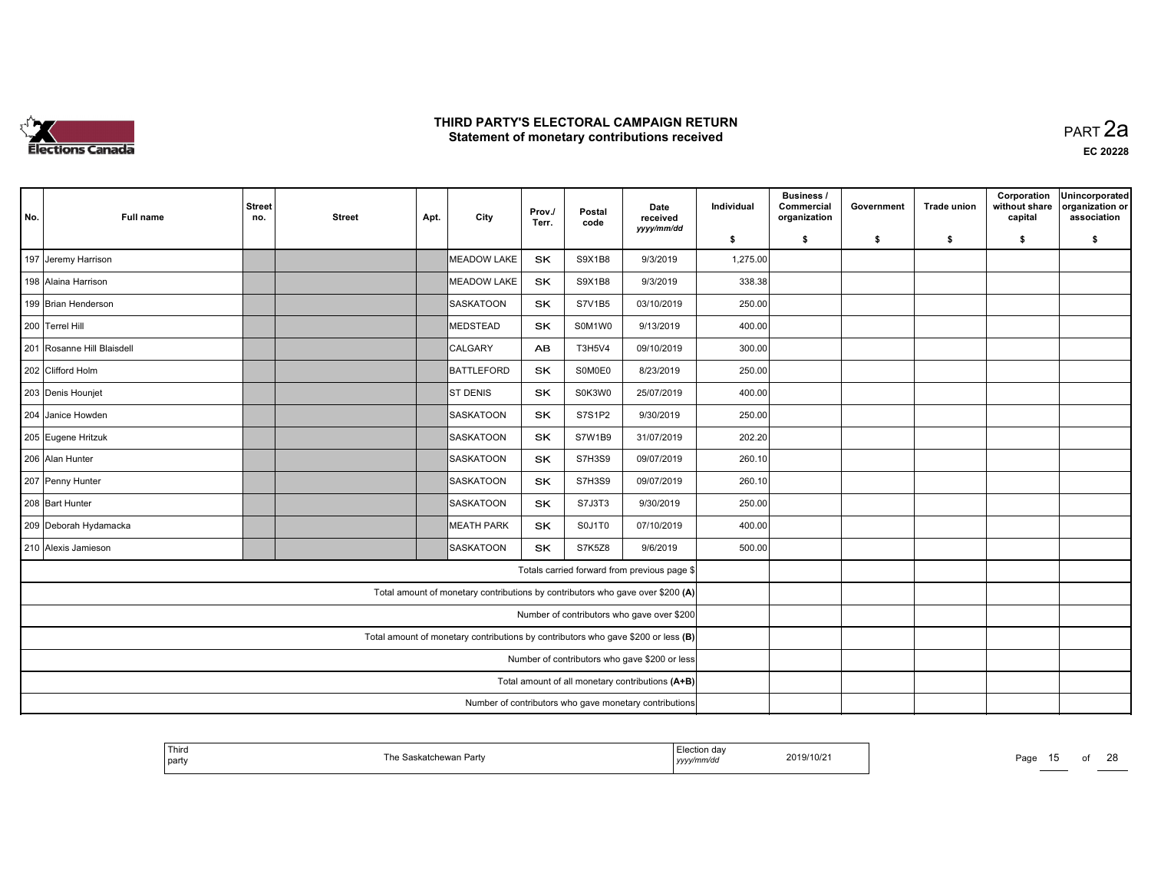

 PART 2aEC <sup>20228</sup>

| No. | <b>Full name</b>           | <b>Street</b><br>no.                                   | <b>Street</b>                                                                     | Apt. | City                                                                           | Prov./<br>Terr. | Postal<br>code | Date<br>received<br>yyyy/mm/dd                   | Individual | <b>Business /</b><br>Commercial<br>organization | Government | <b>Trade union</b> | Corporation<br>without share<br>capital | Unincorporated<br>organization or<br>association |
|-----|----------------------------|--------------------------------------------------------|-----------------------------------------------------------------------------------|------|--------------------------------------------------------------------------------|-----------------|----------------|--------------------------------------------------|------------|-------------------------------------------------|------------|--------------------|-----------------------------------------|--------------------------------------------------|
|     |                            |                                                        |                                                                                   |      |                                                                                |                 |                |                                                  | \$         | \$                                              | \$         | \$                 | \$                                      | \$                                               |
|     | 197 Jeremy Harrison        |                                                        |                                                                                   |      | MEADOW LAKE                                                                    | SK              | S9X1B8         | 9/3/2019                                         | 1,275.00   |                                                 |            |                    |                                         |                                                  |
|     | 198 Alaina Harrison        |                                                        |                                                                                   |      | MEADOW LAKE                                                                    | SK              | S9X1B8         | 9/3/2019                                         | 338.38     |                                                 |            |                    |                                         |                                                  |
|     | 199 Brian Henderson        |                                                        |                                                                                   |      | SASKATOON                                                                      | SK              | S7V1B5         | 03/10/2019                                       | 250.00     |                                                 |            |                    |                                         |                                                  |
|     | 200 Terrel Hill            |                                                        |                                                                                   |      | MEDSTEAD                                                                       | SK              | S0M1W0         | 9/13/2019                                        | 400.00     |                                                 |            |                    |                                         |                                                  |
|     | 201 Rosanne Hill Blaisdell |                                                        |                                                                                   |      | CALGARY                                                                        | <b>AB</b>       | T3H5V4         | 09/10/2019                                       | 300.00     |                                                 |            |                    |                                         |                                                  |
|     | 202 Clifford Holm          |                                                        |                                                                                   |      | BATTLEFORD                                                                     | <b>SK</b>       | S0M0E0         | 8/23/2019                                        | 250.00     |                                                 |            |                    |                                         |                                                  |
|     | 203 Denis Hounjet          |                                                        |                                                                                   |      | <b>ST DENIS</b>                                                                | <b>SK</b>       | S0K3W0         | 25/07/2019                                       | 400.00     |                                                 |            |                    |                                         |                                                  |
|     | 204 Janice Howden          |                                                        |                                                                                   |      | <b>SASKATOON</b>                                                               | <b>SK</b>       | S7S1P2         | 9/30/2019                                        | 250.00     |                                                 |            |                    |                                         |                                                  |
|     | 205 Eugene Hritzuk         |                                                        |                                                                                   |      | SASKATOON                                                                      | SK              | S7W1B9         | 31/07/2019                                       | 202.20     |                                                 |            |                    |                                         |                                                  |
|     | 206 Alan Hunter            |                                                        |                                                                                   |      | SASKATOON                                                                      | <b>SK</b>       | <b>S7H3S9</b>  | 09/07/2019                                       | 260.10     |                                                 |            |                    |                                         |                                                  |
|     | 207 Penny Hunter           |                                                        |                                                                                   |      | SASKATOON                                                                      | SK              | <b>S7H3S9</b>  | 09/07/2019                                       | 260.10     |                                                 |            |                    |                                         |                                                  |
|     | 208 Bart Hunter            |                                                        |                                                                                   |      | SASKATOON                                                                      | SK              | S7J3T3         | 9/30/2019                                        | 250.00     |                                                 |            |                    |                                         |                                                  |
|     | 209 Deborah Hydamacka      |                                                        |                                                                                   |      | <b>MEATH PARK</b>                                                              | <b>SK</b>       | S0J1T0         | 07/10/2019                                       | 400.00     |                                                 |            |                    |                                         |                                                  |
|     | 210 Alexis Jamieson        |                                                        |                                                                                   |      | <b>SASKATOON</b>                                                               | <b>SK</b>       | <b>S7K5Z8</b>  | 9/6/2019                                         | 500.00     |                                                 |            |                    |                                         |                                                  |
|     |                            |                                                        |                                                                                   |      |                                                                                |                 |                | Totals carried forward from previous page \$     |            |                                                 |            |                    |                                         |                                                  |
|     |                            |                                                        |                                                                                   |      | Total amount of monetary contributions by contributors who gave over \$200 (A) |                 |                |                                                  |            |                                                 |            |                    |                                         |                                                  |
|     |                            |                                                        |                                                                                   |      |                                                                                |                 |                | Number of contributors who gave over \$200       |            |                                                 |            |                    |                                         |                                                  |
|     |                            |                                                        | Total amount of monetary contributions by contributors who gave \$200 or less (B) |      |                                                                                |                 |                |                                                  |            |                                                 |            |                    |                                         |                                                  |
|     |                            |                                                        | Number of contributors who gave \$200 or less                                     |      |                                                                                |                 |                |                                                  |            |                                                 |            |                    |                                         |                                                  |
|     |                            |                                                        |                                                                                   |      |                                                                                |                 |                | Total amount of all monetary contributions (A+B) |            |                                                 |            |                    |                                         |                                                  |
|     |                            | Number of contributors who gave monetary contributions |                                                                                   |      |                                                                                |                 |                |                                                  |            |                                                 |            |                    |                                         |                                                  |

| Third<br>  party | The .<br><sup>२</sup> askatchewan Partv | Flection day<br>2019/10/21<br>yyyy/mm/dd | Page<br>.<br><b>STATISTICS</b> |
|------------------|-----------------------------------------|------------------------------------------|--------------------------------|
|------------------|-----------------------------------------|------------------------------------------|--------------------------------|

15 of 28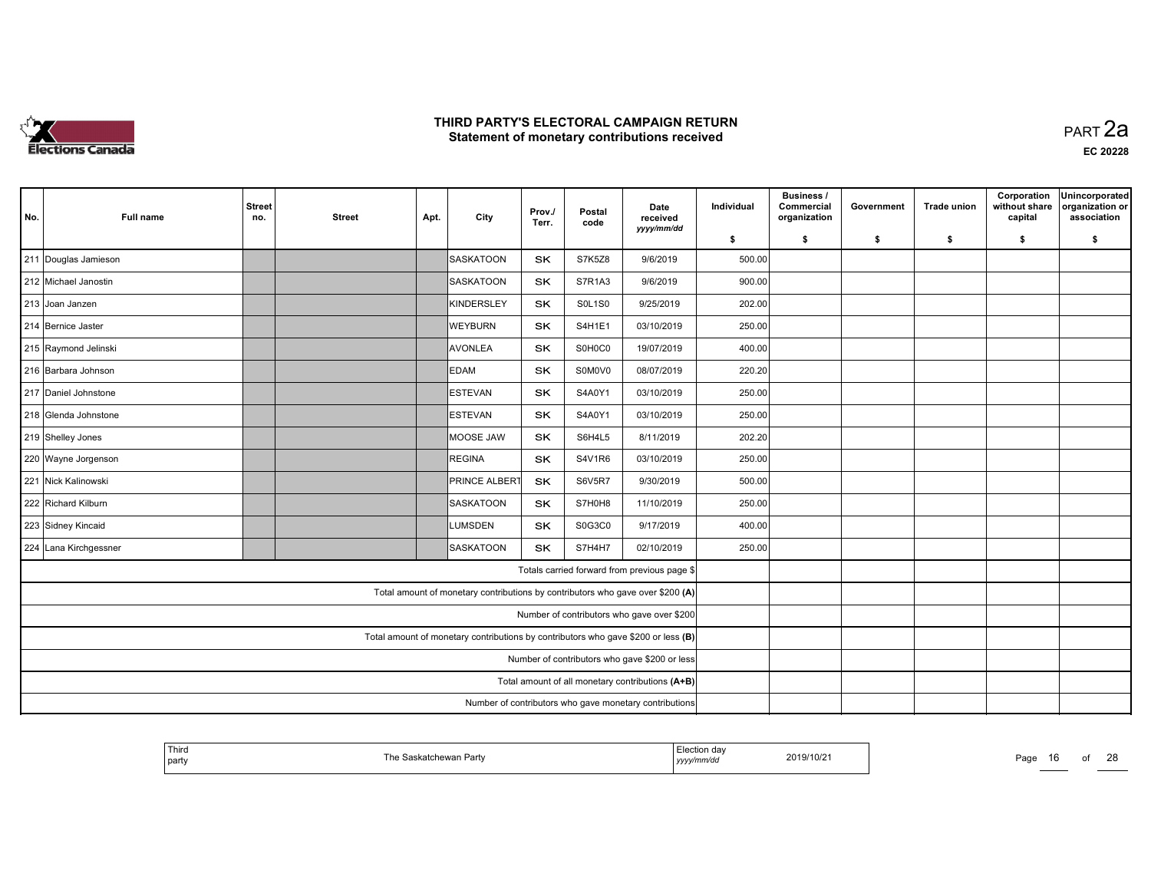

 PART 2aEC <sup>20228</sup>

| No. | <b>Full name</b>                                                                  | <b>Street</b><br>no.                                   | <b>Street</b> | Apt. | City                                                                           | Prov./<br>Terr. | Postal<br>code | Date<br>received<br>yyyy/mm/dd                   | Individual | <b>Business /</b><br>Commercial<br>organization | Government | <b>Trade union</b> | Corporation<br>without share<br>capital | Unincorporated<br>organization or<br>association |
|-----|-----------------------------------------------------------------------------------|--------------------------------------------------------|---------------|------|--------------------------------------------------------------------------------|-----------------|----------------|--------------------------------------------------|------------|-------------------------------------------------|------------|--------------------|-----------------------------------------|--------------------------------------------------|
|     |                                                                                   |                                                        |               |      |                                                                                |                 |                |                                                  | \$         | \$                                              | \$         | \$                 | \$                                      | \$                                               |
|     | 211 Douglas Jamieson                                                              |                                                        |               |      | SASKATOON                                                                      | SK              | <b>S7K5Z8</b>  | 9/6/2019                                         | 500.00     |                                                 |            |                    |                                         |                                                  |
|     | 212 Michael Janostin                                                              |                                                        |               |      | <b>SASKATOON</b>                                                               | SK.             | S7R1A3         | 9/6/2019                                         | 900.00     |                                                 |            |                    |                                         |                                                  |
|     | 213 Joan Janzen                                                                   |                                                        |               |      | KINDERSLEY                                                                     | SK              | <b>SOL1SO</b>  | 9/25/2019                                        | 202.00     |                                                 |            |                    |                                         |                                                  |
|     | 214 Bernice Jaster                                                                |                                                        |               |      | <b>WEYBURN</b>                                                                 | <b>SK</b>       | S4H1E1         | 03/10/2019                                       | 250.00     |                                                 |            |                    |                                         |                                                  |
|     | 215 Raymond Jelinski                                                              |                                                        |               |      | AVONLEA                                                                        | <b>SK</b>       | S0H0C0         | 19/07/2019                                       | 400.00     |                                                 |            |                    |                                         |                                                  |
|     | 216 Barbara Johnson                                                               |                                                        |               |      | <b>EDAM</b>                                                                    | <b>SK</b>       | S0M0V0         | 08/07/2019                                       | 220.20     |                                                 |            |                    |                                         |                                                  |
|     | 217 Daniel Johnstone                                                              |                                                        |               |      | <b>IESTEVAN</b>                                                                | <b>SK</b>       | S4A0Y1         | 03/10/2019                                       | 250.00     |                                                 |            |                    |                                         |                                                  |
|     | 218 Glenda Johnstone                                                              |                                                        |               |      | ESTEVAN                                                                        | SK              | S4A0Y1         | 03/10/2019                                       | 250.00     |                                                 |            |                    |                                         |                                                  |
|     | 219 Shelley Jones                                                                 |                                                        |               |      | MOOSE JAW                                                                      | SK.             | S6H4L5         | 8/11/2019                                        | 202.20     |                                                 |            |                    |                                         |                                                  |
|     | 220 Wayne Jorgenson                                                               |                                                        |               |      | REGINA                                                                         | SK              | <b>S4V1R6</b>  | 03/10/2019                                       | 250.00     |                                                 |            |                    |                                         |                                                  |
|     | 221 Nick Kalinowski                                                               |                                                        |               |      | <b>PRINCE ALBERT</b>                                                           | SK              | <b>S6V5R7</b>  | 9/30/2019                                        | 500.00     |                                                 |            |                    |                                         |                                                  |
|     | 222 Richard Kilburn                                                               |                                                        |               |      | <b>SASKATOON</b>                                                               | <b>SK</b>       | S7H0H8         | 11/10/2019                                       | 250.00     |                                                 |            |                    |                                         |                                                  |
|     | 223 Sidney Kincaid                                                                |                                                        |               |      | <b>LUMSDEN</b>                                                                 | <b>SK</b>       | S0G3C0         | 9/17/2019                                        | 400.00     |                                                 |            |                    |                                         |                                                  |
|     | 224 Lana Kirchgessner                                                             |                                                        |               |      | SASKATOON                                                                      | <b>SK</b>       | S7H4H7         | 02/10/2019                                       | 250.00     |                                                 |            |                    |                                         |                                                  |
|     |                                                                                   |                                                        |               |      |                                                                                |                 |                | Totals carried forward from previous page \$     |            |                                                 |            |                    |                                         |                                                  |
|     |                                                                                   |                                                        |               |      | Total amount of monetary contributions by contributors who gave over \$200 (A) |                 |                |                                                  |            |                                                 |            |                    |                                         |                                                  |
|     | Number of contributors who gave over \$200                                        |                                                        |               |      |                                                                                |                 |                |                                                  |            |                                                 |            |                    |                                         |                                                  |
|     | Total amount of monetary contributions by contributors who gave \$200 or less (B) |                                                        |               |      |                                                                                |                 |                |                                                  |            |                                                 |            |                    |                                         |                                                  |
|     |                                                                                   |                                                        |               |      |                                                                                |                 |                | Number of contributors who gave \$200 or less    |            |                                                 |            |                    |                                         |                                                  |
|     |                                                                                   |                                                        |               |      |                                                                                |                 |                | Total amount of all monetary contributions (A+B) |            |                                                 |            |                    |                                         |                                                  |
|     |                                                                                   | Number of contributors who gave monetary contributions |               |      |                                                                                |                 |                |                                                  |            |                                                 |            |                    |                                         |                                                  |

| ' Third<br>party | ∛askatchewan Partv<br>⊺he S | Election dav<br>с еслог<br>2019/10/21<br>yyyy/mm/dd | Page<br>IO. |
|------------------|-----------------------------|-----------------------------------------------------|-------------|
|                  |                             |                                                     |             |

16 of 28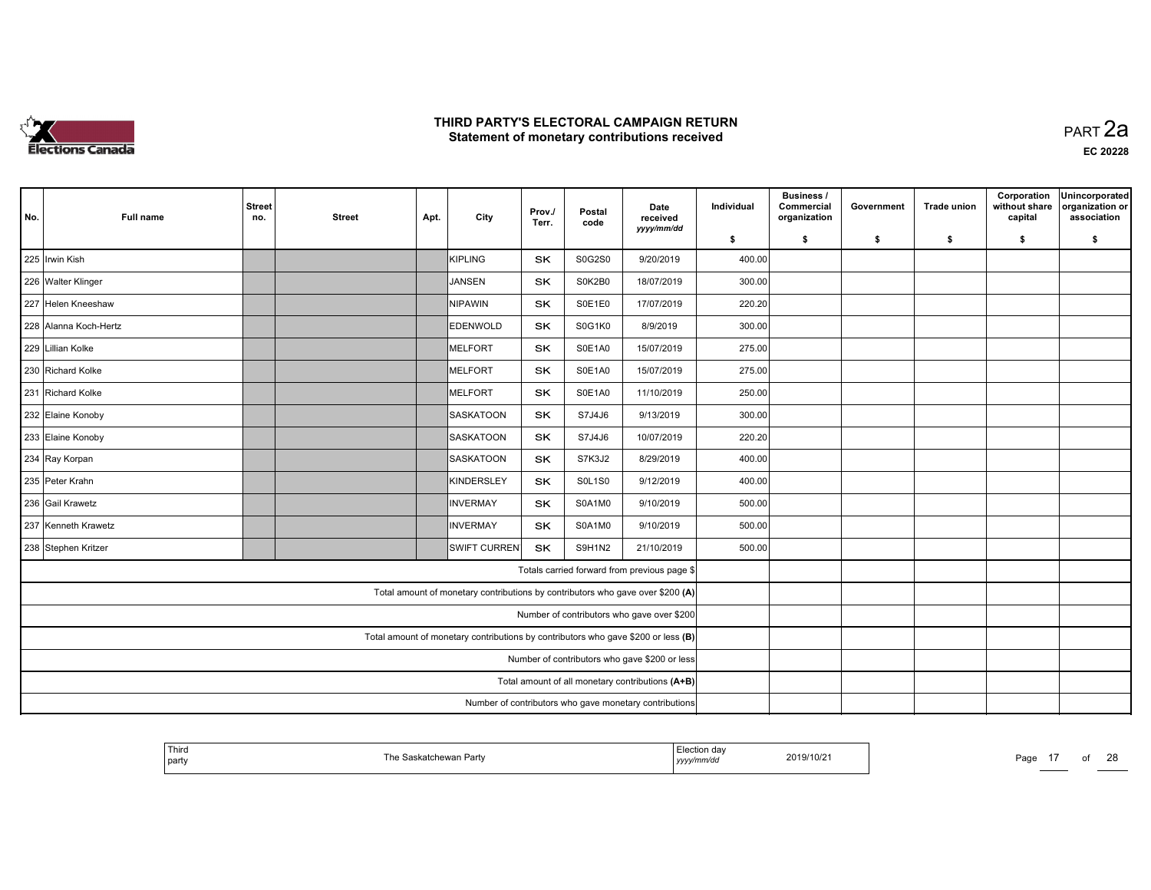

| No.                                                                               | <b>Full name</b>                                       | <b>Street</b><br>no. | <b>Street</b> | Apt. | City                                                                           | Prov./<br>Terr. | Postal<br>code | Date<br>received<br>yyyy/mm/dd               | Individual | Business /<br>Commercial<br>organization | Government | <b>Trade union</b> | Corporation<br>without share<br>capital | Unincorporated<br>organization or<br>association |
|-----------------------------------------------------------------------------------|--------------------------------------------------------|----------------------|---------------|------|--------------------------------------------------------------------------------|-----------------|----------------|----------------------------------------------|------------|------------------------------------------|------------|--------------------|-----------------------------------------|--------------------------------------------------|
|                                                                                   |                                                        |                      |               |      |                                                                                |                 |                |                                              | \$         | \$                                       | \$         | \$                 | \$                                      | \$                                               |
| 225 Irwin Kish                                                                    |                                                        |                      |               |      | KIPLING                                                                        | <b>SK</b>       | S0G2S0         | 9/20/2019                                    | 400.00     |                                          |            |                    |                                         |                                                  |
| 226 Walter Klinger                                                                |                                                        |                      |               |      | JANSEN                                                                         | <b>SK</b>       | S0K2B0         | 18/07/2019                                   | 300.00     |                                          |            |                    |                                         |                                                  |
|                                                                                   | 227 Helen Kneeshaw                                     |                      |               |      | NIPAWIN                                                                        | SK              | S0E1E0         | 17/07/2019                                   | 220.20     |                                          |            |                    |                                         |                                                  |
|                                                                                   | 228 Alanna Koch-Hertz                                  |                      |               |      | <b>EDENWOLD</b>                                                                | <b>SK</b>       | S0G1K0         | 8/9/2019                                     | 300.00     |                                          |            |                    |                                         |                                                  |
|                                                                                   | 229 Lillian Kolke                                      |                      |               |      | <b>MELFORT</b>                                                                 | <b>SK</b>       | S0E1A0         | 15/07/2019                                   | 275.00     |                                          |            |                    |                                         |                                                  |
|                                                                                   | 230 Richard Kolke                                      |                      |               |      | MELFORT                                                                        | <b>SK</b>       | S0E1A0         | 15/07/2019                                   | 275.00     |                                          |            |                    |                                         |                                                  |
|                                                                                   | 231 Richard Kolke                                      |                      |               |      | MELFORT                                                                        | <b>SK</b>       | S0E1A0         | 11/10/2019                                   | 250.00     |                                          |            |                    |                                         |                                                  |
|                                                                                   | 232 Elaine Konoby                                      |                      |               |      | <b>SASKATOON</b>                                                               | <b>SK</b>       | S7J4J6         | 9/13/2019                                    | 300.00     |                                          |            |                    |                                         |                                                  |
|                                                                                   | 233 Elaine Konoby                                      |                      |               |      | SASKATOON                                                                      | SK              | S7J4J6         | 10/07/2019                                   | 220.20     |                                          |            |                    |                                         |                                                  |
|                                                                                   | 234 Ray Korpan                                         |                      |               |      | SASKATOON                                                                      | <b>SK</b>       | S7K3J2         | 8/29/2019                                    | 400.00     |                                          |            |                    |                                         |                                                  |
|                                                                                   | 235 Peter Krahn                                        |                      |               |      | KINDERSLEY                                                                     | SK              | <b>S0L1S0</b>  | 9/12/2019                                    | 400.00     |                                          |            |                    |                                         |                                                  |
|                                                                                   | 236 Gail Krawetz                                       |                      |               |      | INVERMAY                                                                       | SK              | S0A1M0         | 9/10/2019                                    | 500.00     |                                          |            |                    |                                         |                                                  |
|                                                                                   | 237 Kenneth Krawetz                                    |                      |               |      | INVERMAY                                                                       | <b>SK</b>       | S0A1M0         | 9/10/2019                                    | 500.00     |                                          |            |                    |                                         |                                                  |
|                                                                                   | 238 Stephen Kritzer                                    |                      |               |      | <b>SWIFT CURREN</b>                                                            | <b>SK</b>       | S9H1N2         | 21/10/2019                                   | 500.00     |                                          |            |                    |                                         |                                                  |
|                                                                                   |                                                        |                      |               |      |                                                                                |                 |                | Totals carried forward from previous page \$ |            |                                          |            |                    |                                         |                                                  |
|                                                                                   |                                                        |                      |               |      | Total amount of monetary contributions by contributors who gave over \$200 (A) |                 |                |                                              |            |                                          |            |                    |                                         |                                                  |
| Number of contributors who gave over \$200                                        |                                                        |                      |               |      |                                                                                |                 |                |                                              |            |                                          |            |                    |                                         |                                                  |
| Total amount of monetary contributions by contributors who gave \$200 or less (B) |                                                        |                      |               |      |                                                                                |                 |                |                                              |            |                                          |            |                    |                                         |                                                  |
| Number of contributors who gave \$200 or less                                     |                                                        |                      |               |      |                                                                                |                 |                |                                              |            |                                          |            |                    |                                         |                                                  |
|                                                                                   | Total amount of all monetary contributions (A+B)       |                      |               |      |                                                                                |                 |                |                                              |            |                                          |            |                    |                                         |                                                  |
|                                                                                   | Number of contributors who gave monetary contributions |                      |               |      |                                                                                |                 |                |                                              |            |                                          |            |                    |                                         |                                                  |

| <sup>1</sup> Third<br>The Saskatchewan Party<br>' party | -----<br>⊧lection dav<br>2019/10/21<br>71MV QI<br>,,,,, | $\sim$<br>Page |
|---------------------------------------------------------|---------------------------------------------------------|----------------|
|---------------------------------------------------------|---------------------------------------------------------|----------------|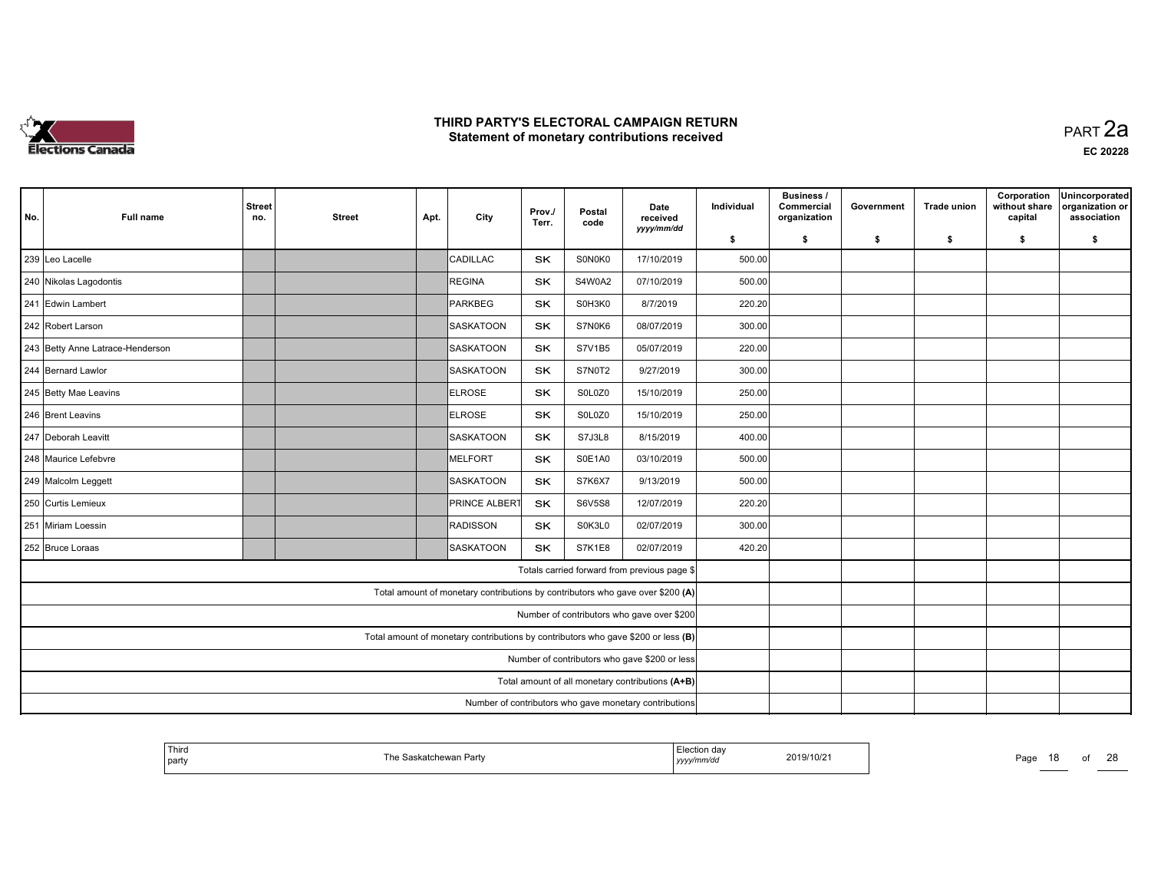

| No.                                                                               | <b>Full name</b>                                                                   | <b>Street</b><br>no. | <b>Street</b> | Apt. | City                                                                           | Prov./<br>Terr. | Postal<br>code | Date<br>received<br>yyyy/mm/dd               | Individual | Business /<br>Commercial<br>organization | Government | <b>Trade union</b> | Corporation<br>without share<br>capital | Unincorporated<br>organization or<br>association |
|-----------------------------------------------------------------------------------|------------------------------------------------------------------------------------|----------------------|---------------|------|--------------------------------------------------------------------------------|-----------------|----------------|----------------------------------------------|------------|------------------------------------------|------------|--------------------|-----------------------------------------|--------------------------------------------------|
|                                                                                   |                                                                                    |                      |               |      |                                                                                |                 |                |                                              | \$         | \$                                       | \$         | \$                 | \$                                      | \$                                               |
|                                                                                   | 239 Leo Lacelle                                                                    |                      |               |      | CADILLAC                                                                       | <b>SK</b>       | S0N0K0         | 17/10/2019                                   | 500.00     |                                          |            |                    |                                         |                                                  |
| 240 Nikolas Lagodontis<br><b>REGINA</b>                                           |                                                                                    |                      |               |      |                                                                                | <b>SK</b>       | S4W0A2         | 07/10/2019                                   | 500.00     |                                          |            |                    |                                         |                                                  |
|                                                                                   | 241 Edwin Lambert                                                                  |                      |               |      | PARKBEG                                                                        | SK              | S0H3K0         | 8/7/2019                                     | 220.20     |                                          |            |                    |                                         |                                                  |
|                                                                                   | 242 Robert Larson                                                                  |                      |               |      | SASKATOON                                                                      | <b>SK</b>       | S7N0K6         | 08/07/2019                                   | 300.00     |                                          |            |                    |                                         |                                                  |
|                                                                                   | 243 Betty Anne Latrace-Henderson<br>SASKATOON<br><b>SK</b><br>S7V1B5<br>05/07/2019 |                      |               |      |                                                                                |                 |                | 220.00                                       |            |                                          |            |                    |                                         |                                                  |
|                                                                                   | 244 Bernard Lawlor                                                                 |                      |               |      | SASKATOON                                                                      | <b>SK</b>       | S7N0T2         | 9/27/2019                                    | 300.00     |                                          |            |                    |                                         |                                                  |
|                                                                                   | 245 Betty Mae Leavins                                                              |                      |               |      | ELROSE                                                                         | <b>SK</b>       | S0L0Z0         | 15/10/2019                                   | 250.00     |                                          |            |                    |                                         |                                                  |
|                                                                                   | 246 Brent Leavins                                                                  |                      |               |      | ELROSE                                                                         | SK              | S0L0Z0         | 15/10/2019                                   | 250.00     |                                          |            |                    |                                         |                                                  |
|                                                                                   | 247 Deborah Leavitt                                                                |                      |               |      | ISASKATOON                                                                     | <b>SK</b>       | S7J3L8         | 8/15/2019                                    | 400.00     |                                          |            |                    |                                         |                                                  |
|                                                                                   | 248 Maurice Lefebvre                                                               |                      |               |      | MELFORT                                                                        | <b>SK</b>       | S0E1A0         | 03/10/2019                                   | 500.00     |                                          |            |                    |                                         |                                                  |
|                                                                                   | 249 Malcolm Leggett                                                                |                      |               |      | SASKATOON                                                                      | SK              | S7K6X7         | 9/13/2019                                    | 500.00     |                                          |            |                    |                                         |                                                  |
|                                                                                   | 250 Curtis Lemieux                                                                 |                      |               |      | <b>PRINCE ALBERT</b>                                                           | SK              | <b>S6V5S8</b>  | 12/07/2019                                   | 220.20     |                                          |            |                    |                                         |                                                  |
|                                                                                   | 251 Miriam Loessin                                                                 |                      |               |      | RADISSON                                                                       | <b>SK</b>       | S0K3L0         | 02/07/2019                                   | 300.00     |                                          |            |                    |                                         |                                                  |
|                                                                                   | 252 Bruce Loraas                                                                   |                      |               |      | <b>SASKATOON</b>                                                               | <b>SK</b>       | <b>S7K1E8</b>  | 02/07/2019                                   | 420.20     |                                          |            |                    |                                         |                                                  |
|                                                                                   |                                                                                    |                      |               |      |                                                                                |                 |                | Totals carried forward from previous page \$ |            |                                          |            |                    |                                         |                                                  |
|                                                                                   |                                                                                    |                      |               |      | Total amount of monetary contributions by contributors who gave over \$200 (A) |                 |                |                                              |            |                                          |            |                    |                                         |                                                  |
| Number of contributors who gave over \$200                                        |                                                                                    |                      |               |      |                                                                                |                 |                |                                              |            |                                          |            |                    |                                         |                                                  |
| Total amount of monetary contributions by contributors who gave \$200 or less (B) |                                                                                    |                      |               |      |                                                                                |                 |                |                                              |            |                                          |            |                    |                                         |                                                  |
| Number of contributors who gave \$200 or less                                     |                                                                                    |                      |               |      |                                                                                |                 |                |                                              |            |                                          |            |                    |                                         |                                                  |
| Total amount of all monetary contributions (A+B)                                  |                                                                                    |                      |               |      |                                                                                |                 |                |                                              |            |                                          |            |                    |                                         |                                                  |
| Number of contributors who gave monetary contributions                            |                                                                                    |                      |               |      |                                                                                |                 |                |                                              |            |                                          |            |                    |                                         |                                                  |

| ' Thiro<br>  party | `askatchewan Partv | . .<br>⊩Election dav<br>2019/10/21<br>yyyy/mm/aa | $\sim$<br>Page<br>$\sim$ |
|--------------------|--------------------|--------------------------------------------------|--------------------------|
|                    |                    |                                                  |                          |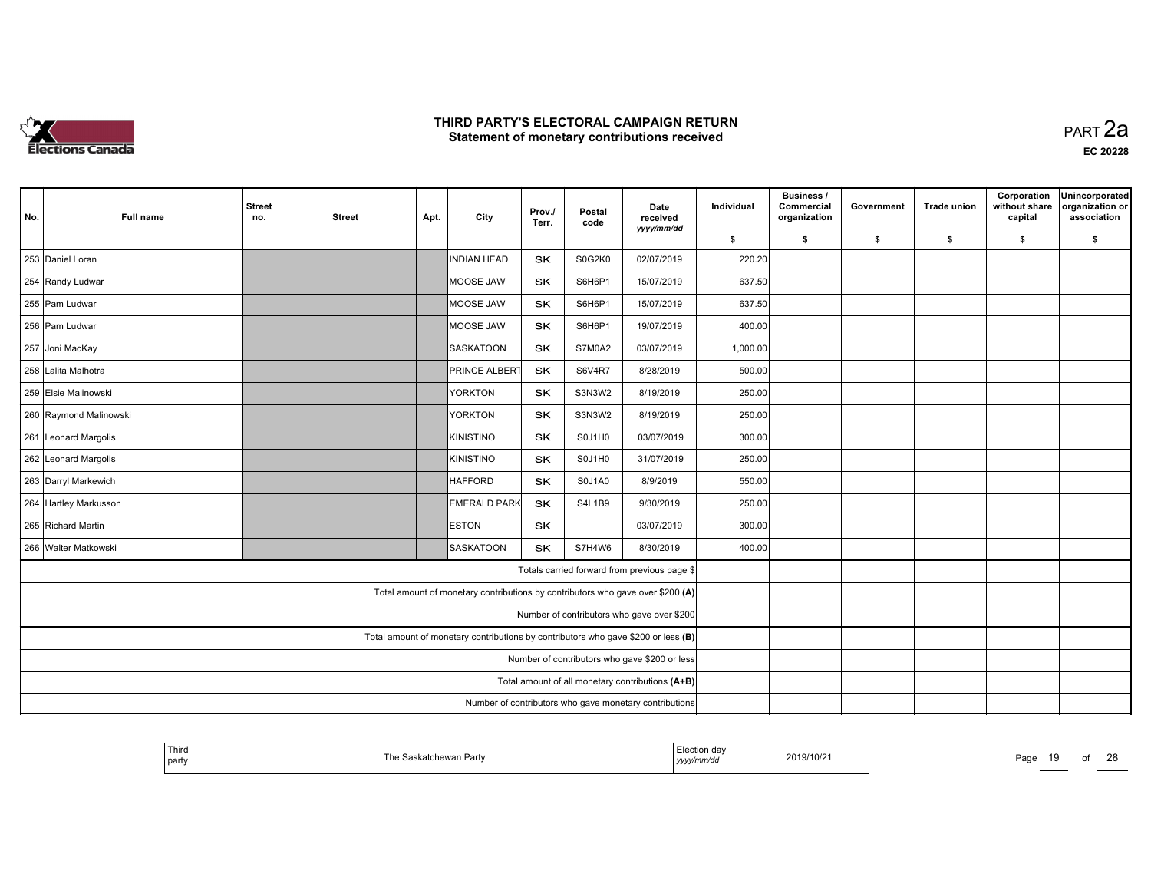

| No.                                                                               | <b>Full name</b>                                       | <b>Street</b><br>no. | <b>Street</b> | Apt. | City                                                                           | Prov./<br>Terr. | Postal<br>code | Date<br>received<br>yyyy/mm/dd               | Individual | Business /<br>Commercial<br>organization | Government | <b>Trade union</b> | Corporation<br>without share<br>capital | Unincorporated<br>organization or<br>association |
|-----------------------------------------------------------------------------------|--------------------------------------------------------|----------------------|---------------|------|--------------------------------------------------------------------------------|-----------------|----------------|----------------------------------------------|------------|------------------------------------------|------------|--------------------|-----------------------------------------|--------------------------------------------------|
|                                                                                   |                                                        |                      |               |      |                                                                                |                 |                |                                              | \$         | \$                                       | \$         | \$                 | \$                                      | \$                                               |
|                                                                                   | 253 Daniel Loran                                       |                      |               |      | INDIAN HEAD                                                                    | <b>SK</b>       | S0G2K0         | 02/07/2019                                   | 220.20     |                                          |            |                    |                                         |                                                  |
|                                                                                   | 254 Randy Ludwar                                       |                      |               |      | MOOSE JAW                                                                      | <b>SK</b>       | S6H6P1         | 15/07/2019                                   | 637.50     |                                          |            |                    |                                         |                                                  |
|                                                                                   | 255 Pam Ludwar                                         |                      |               |      | MOOSE JAW                                                                      | SK              | S6H6P1         | 15/07/2019                                   | 637.50     |                                          |            |                    |                                         |                                                  |
|                                                                                   | 256 Pam Ludwar                                         |                      |               |      | MOOSE JAW                                                                      | SK              | S6H6P1         | 19/07/2019                                   | 400.00     |                                          |            |                    |                                         |                                                  |
|                                                                                   | 257 Joni MacKay                                        |                      |               |      | <b>SASKATOON</b>                                                               | <b>SK</b>       | S7M0A2         | 03/07/2019                                   | 1,000.00   |                                          |            |                    |                                         |                                                  |
|                                                                                   | 258 Lalita Malhotra                                    |                      |               |      | <b>PRINCE ALBERT</b>                                                           | <b>SK</b>       | S6V4R7         | 8/28/2019                                    | 500.00     |                                          |            |                    |                                         |                                                  |
|                                                                                   | 259 Elsie Malinowski                                   |                      |               |      | YORKTON                                                                        | <b>SK</b>       | S3N3W2         | 8/19/2019                                    | 250.00     |                                          |            |                    |                                         |                                                  |
|                                                                                   | 260 Raymond Malinowski                                 |                      |               |      | <b>YORKTON</b>                                                                 | SK              | S3N3W2         | 8/19/2019                                    | 250.00     |                                          |            |                    |                                         |                                                  |
|                                                                                   | 261 Leonard Margolis                                   |                      |               |      | KINISTINO                                                                      | SK              | S0J1H0         | 03/07/2019                                   | 300.00     |                                          |            |                    |                                         |                                                  |
|                                                                                   | 262 Leonard Margolis                                   |                      |               |      | KINISTINO                                                                      | <b>SK</b>       | S0J1H0         | 31/07/2019                                   | 250.00     |                                          |            |                    |                                         |                                                  |
|                                                                                   | 263 Darryl Markewich                                   |                      |               |      | HAFFORD                                                                        | SK              | S0J1A0         | 8/9/2019                                     | 550.00     |                                          |            |                    |                                         |                                                  |
|                                                                                   | 264 Hartley Markusson                                  |                      |               |      | <b>EMERALD PARK</b>                                                            | SK              | <b>S4L1B9</b>  | 9/30/2019                                    | 250.00     |                                          |            |                    |                                         |                                                  |
|                                                                                   | 265 Richard Martin                                     |                      |               |      | <b>ESTON</b>                                                                   | <b>SK</b>       |                | 03/07/2019                                   | 300.00     |                                          |            |                    |                                         |                                                  |
|                                                                                   | 266 Walter Matkowski                                   |                      |               |      | <b>SASKATOON</b>                                                               | <b>SK</b>       | S7H4W6         | 8/30/2019                                    | 400.00     |                                          |            |                    |                                         |                                                  |
|                                                                                   |                                                        |                      |               |      |                                                                                |                 |                | Totals carried forward from previous page \$ |            |                                          |            |                    |                                         |                                                  |
|                                                                                   |                                                        |                      |               |      | Total amount of monetary contributions by contributors who gave over \$200 (A) |                 |                |                                              |            |                                          |            |                    |                                         |                                                  |
| Number of contributors who gave over \$200                                        |                                                        |                      |               |      |                                                                                |                 |                |                                              |            |                                          |            |                    |                                         |                                                  |
| Total amount of monetary contributions by contributors who gave \$200 or less (B) |                                                        |                      |               |      |                                                                                |                 |                |                                              |            |                                          |            |                    |                                         |                                                  |
| Number of contributors who gave \$200 or less                                     |                                                        |                      |               |      |                                                                                |                 |                |                                              |            |                                          |            |                    |                                         |                                                  |
| Total amount of all monetary contributions (A+B)                                  |                                                        |                      |               |      |                                                                                |                 |                |                                              |            |                                          |            |                    |                                         |                                                  |
|                                                                                   | Number of contributors who gave monetary contributions |                      |               |      |                                                                                |                 |                |                                              |            |                                          |            |                    |                                         |                                                  |

| <sup>l</sup> Thira<br>  party | ∵katchewan Partv | ∃lection daγ<br>yyyymmaa | 2019/10/2 <sup>-</sup> | Page<br>10.<br>$\sim$ | $\sim$ |
|-------------------------------|------------------|--------------------------|------------------------|-----------------------|--------|
|                               |                  |                          |                        |                       |        |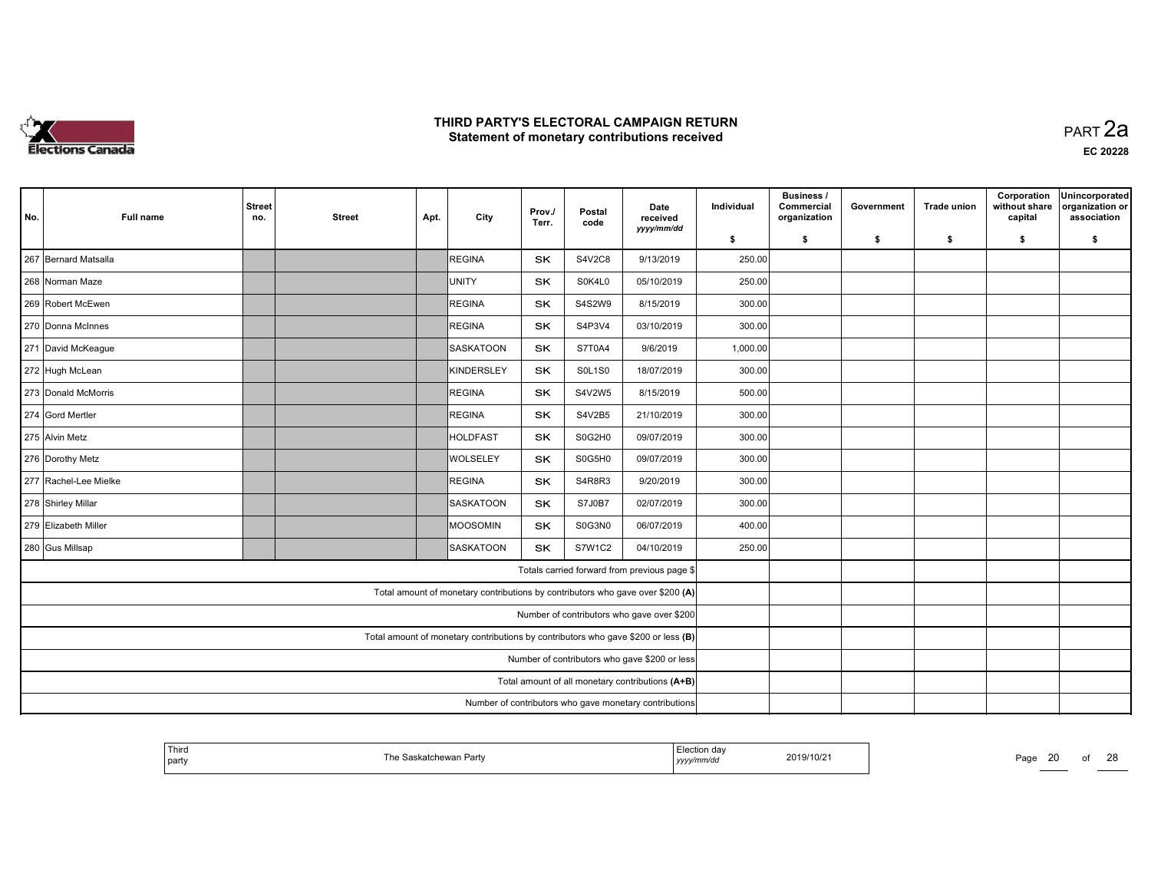

 PART 2aEC <sup>20228</sup>

| No.                                                                               | <b>Full name</b>                                       | <b>Street</b><br>no. | <b>Street</b> | Apt. | City             | Prov./<br>Terr. | Postal<br>code | Date<br>received<br>yyyy/mm/dd                                                 | Individual | Business /<br>Commercial<br>organization | Government | <b>Trade union</b> | Corporation<br>without share<br>capital | Unincorporated<br>organization or<br>association |
|-----------------------------------------------------------------------------------|--------------------------------------------------------|----------------------|---------------|------|------------------|-----------------|----------------|--------------------------------------------------------------------------------|------------|------------------------------------------|------------|--------------------|-----------------------------------------|--------------------------------------------------|
|                                                                                   |                                                        |                      |               |      |                  |                 |                |                                                                                | \$         | \$                                       | \$         | \$                 | \$                                      | \$                                               |
|                                                                                   | 267 Bernard Matsalla                                   |                      |               |      | REGINA           | <b>SK</b>       | S4V2C8         | 9/13/2019                                                                      | 250.00     |                                          |            |                    |                                         |                                                  |
| 268 Norman Maze                                                                   |                                                        |                      |               |      | UNITY            | <b>SK</b>       | S0K4L0         | 05/10/2019                                                                     | 250.00     |                                          |            |                    |                                         |                                                  |
|                                                                                   | 269 Robert McEwen                                      |                      |               |      | REGINA           | SK              | S4S2W9         | 8/15/2019                                                                      | 300.00     |                                          |            |                    |                                         |                                                  |
|                                                                                   | 270 Donna McInnes                                      |                      |               |      | REGINA           | <b>SK</b>       | S4P3V4         | 03/10/2019                                                                     | 300.00     |                                          |            |                    |                                         |                                                  |
|                                                                                   | 271 David McKeague                                     |                      |               |      | <b>SASKATOON</b> | <b>SK</b>       | S7T0A4         | 9/6/2019                                                                       | 1,000.00   |                                          |            |                    |                                         |                                                  |
|                                                                                   | 272 Hugh McLean                                        |                      |               |      | KINDERSLEY       | <b>SK</b>       | <b>SOL1SO</b>  | 18/07/2019                                                                     | 300.00     |                                          |            |                    |                                         |                                                  |
|                                                                                   | 273 Donald McMorris                                    |                      |               |      | REGINA           | <b>SK</b>       | S4V2W5         | 8/15/2019                                                                      | 500.00     |                                          |            |                    |                                         |                                                  |
|                                                                                   | 274 Gord Mertler                                       |                      |               |      | <b>REGINA</b>    | <b>SK</b>       | S4V2B5         | 21/10/2019                                                                     | 300.00     |                                          |            |                    |                                         |                                                  |
|                                                                                   | 275 Alvin Metz                                         |                      |               |      | HOLDFAST         | SK              | S0G2H0         | 09/07/2019                                                                     | 300.00     |                                          |            |                    |                                         |                                                  |
|                                                                                   | 276 Dorothy Metz                                       |                      |               |      | <b>WOLSELEY</b>  | <b>SK</b>       | S0G5H0         | 09/07/2019                                                                     | 300.00     |                                          |            |                    |                                         |                                                  |
|                                                                                   | 277 Rachel-Lee Mielke                                  |                      |               |      | REGINA           | SK              | S4R8R3         | 9/20/2019                                                                      | 300.00     |                                          |            |                    |                                         |                                                  |
|                                                                                   | 278 Shirley Millar                                     |                      |               |      | SASKATOON        | SK              | <b>S7J0B7</b>  | 02/07/2019                                                                     | 300.00     |                                          |            |                    |                                         |                                                  |
|                                                                                   | 279 Elizabeth Miller                                   |                      |               |      | MOOSOMIN         | <b>SK</b>       | S0G3N0         | 06/07/2019                                                                     | 400.00     |                                          |            |                    |                                         |                                                  |
|                                                                                   | 280 Gus Millsap                                        |                      |               |      | <b>SASKATOON</b> | <b>SK</b>       | <b>S7W1C2</b>  | 04/10/2019                                                                     | 250.00     |                                          |            |                    |                                         |                                                  |
|                                                                                   |                                                        |                      |               |      |                  |                 |                | Totals carried forward from previous page \$                                   |            |                                          |            |                    |                                         |                                                  |
|                                                                                   |                                                        |                      |               |      |                  |                 |                | Total amount of monetary contributions by contributors who gave over \$200 (A) |            |                                          |            |                    |                                         |                                                  |
| Number of contributors who gave over \$200                                        |                                                        |                      |               |      |                  |                 |                |                                                                                |            |                                          |            |                    |                                         |                                                  |
| Total amount of monetary contributions by contributors who gave \$200 or less (B) |                                                        |                      |               |      |                  |                 |                |                                                                                |            |                                          |            |                    |                                         |                                                  |
| Number of contributors who gave \$200 or less                                     |                                                        |                      |               |      |                  |                 |                |                                                                                |            |                                          |            |                    |                                         |                                                  |
| Total amount of all monetary contributions (A+B)                                  |                                                        |                      |               |      |                  |                 |                |                                                                                |            |                                          |            |                    |                                         |                                                  |
|                                                                                   | Number of contributors who gave monetary contributions |                      |               |      |                  |                 |                |                                                                                |            |                                          |            |                    |                                         |                                                  |

| Third<br>  party | . Saskatchewan Party | Election dav<br>2019/10/21<br>yyyymm⁄aa | Page |
|------------------|----------------------|-----------------------------------------|------|
|------------------|----------------------|-----------------------------------------|------|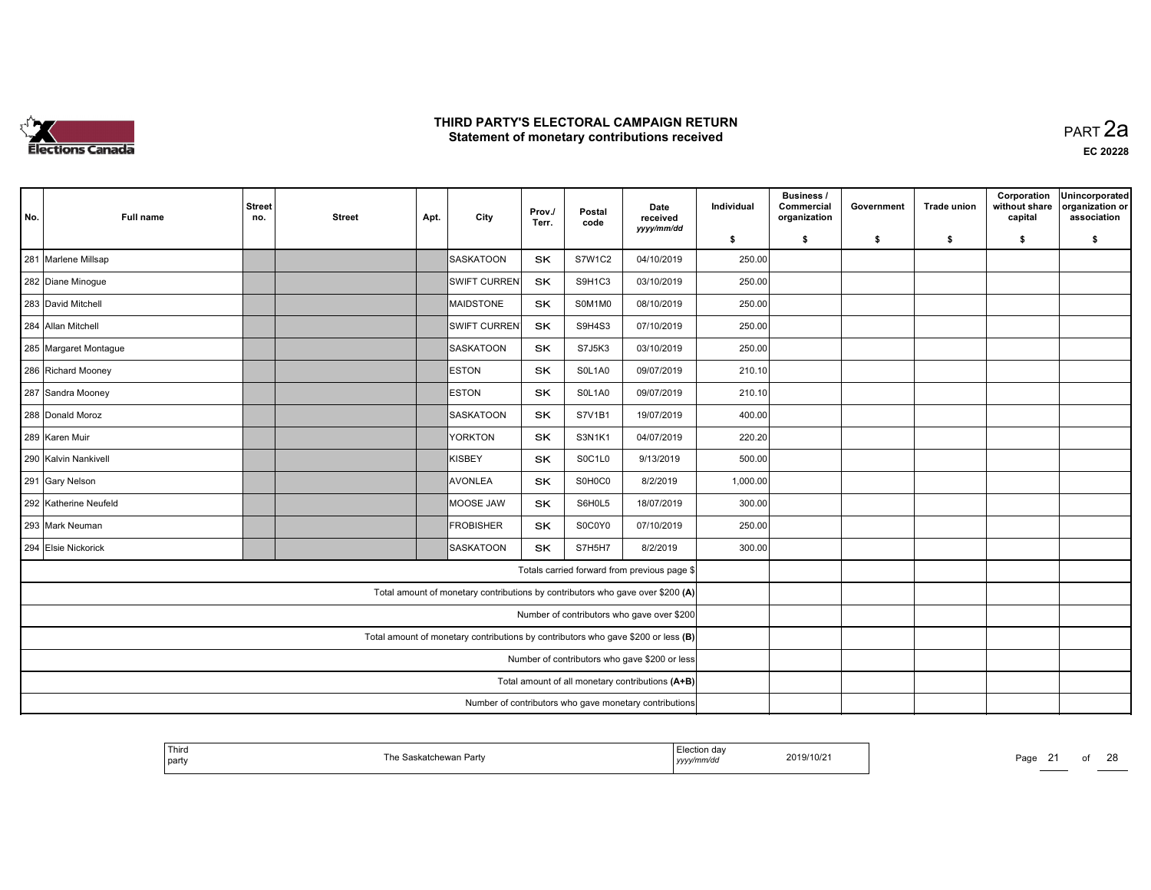

| No.                                                                               | <b>Full name</b>      | <b>Street</b><br>no.                                   | <b>Street</b> | Apt. | City                                                                           | Prov./<br>Terr. | Postal<br>code | Date<br>received                             | Individual | <b>Business /</b><br>Commercial<br>organization | Government | <b>Trade union</b> | Corporation<br>without share<br>capital | Unincorporated<br>organization or<br>association |
|-----------------------------------------------------------------------------------|-----------------------|--------------------------------------------------------|---------------|------|--------------------------------------------------------------------------------|-----------------|----------------|----------------------------------------------|------------|-------------------------------------------------|------------|--------------------|-----------------------------------------|--------------------------------------------------|
|                                                                                   |                       |                                                        |               |      |                                                                                |                 |                | yyyy/mm/dd                                   | \$         | \$                                              | \$         | \$                 | \$                                      | \$                                               |
|                                                                                   | 281 Marlene Millsap   |                                                        |               |      | SASKATOON                                                                      | <b>SK</b>       | <b>S7W1C2</b>  | 04/10/2019                                   | 250.00     |                                                 |            |                    |                                         |                                                  |
|                                                                                   | 282 Diane Minogue     |                                                        |               |      | <b>SWIFT CURREN</b>                                                            | SK              | S9H1C3         | 03/10/2019                                   | 250.00     |                                                 |            |                    |                                         |                                                  |
|                                                                                   | 283 David Mitchell    |                                                        |               |      | MAIDSTONE                                                                      | <b>SK</b>       | S0M1M0         | 08/10/2019                                   | 250.00     |                                                 |            |                    |                                         |                                                  |
|                                                                                   | 284 Allan Mitchell    |                                                        |               |      | <b>SWIFT CURREN</b>                                                            | <b>SK</b>       | S9H4S3         | 07/10/2019                                   | 250.00     |                                                 |            |                    |                                         |                                                  |
|                                                                                   | 285 Margaret Montague |                                                        |               |      | SASKATOON                                                                      | SK              | S7J5K3         | 03/10/2019                                   | 250.00     |                                                 |            |                    |                                         |                                                  |
|                                                                                   | 286 Richard Mooney    |                                                        |               |      | <b>ESTON</b>                                                                   | SK              | SOL1A0         | 09/07/2019                                   | 210.10     |                                                 |            |                    |                                         |                                                  |
|                                                                                   | 287 Sandra Mooney     |                                                        |               |      | <b>ESTON</b>                                                                   | <b>SK</b>       | SOL1A0         | 09/07/2019                                   | 210.10     |                                                 |            |                    |                                         |                                                  |
|                                                                                   | 288 Donald Moroz      |                                                        |               |      | SASKATOON                                                                      | <b>SK</b>       | S7V1B1         | 19/07/2019                                   | 400.00     |                                                 |            |                    |                                         |                                                  |
|                                                                                   | 289 Karen Muir        |                                                        |               |      | <b>YORKTON</b>                                                                 | <b>SK</b>       | <b>S3N1K1</b>  | 04/07/2019                                   | 220.20     |                                                 |            |                    |                                         |                                                  |
|                                                                                   | 290 Kalvin Nankivell  |                                                        |               |      | KISBEY                                                                         | SK              | S0C1L0         | 9/13/2019                                    | 500.00     |                                                 |            |                    |                                         |                                                  |
|                                                                                   | 291 Gary Nelson       |                                                        |               |      | <b>AVONLEA</b>                                                                 | <b>SK</b>       | S0H0C0         | 8/2/2019                                     | 1,000.00   |                                                 |            |                    |                                         |                                                  |
|                                                                                   | 292 Katherine Neufeld |                                                        |               |      | MOOSE JAW                                                                      | <b>SK</b>       | S6H0L5         | 18/07/2019                                   | 300.00     |                                                 |            |                    |                                         |                                                  |
|                                                                                   | 293 Mark Neuman       |                                                        |               |      | FROBISHER                                                                      | SK              | S0C0Y0         | 07/10/2019                                   | 250.00     |                                                 |            |                    |                                         |                                                  |
|                                                                                   | 294 Elsie Nickorick   |                                                        |               |      | <b>SASKATOON</b>                                                               | <b>SK</b>       | S7H5H7         | 8/2/2019                                     | 300.00     |                                                 |            |                    |                                         |                                                  |
|                                                                                   |                       |                                                        |               |      |                                                                                |                 |                | Totals carried forward from previous page \$ |            |                                                 |            |                    |                                         |                                                  |
|                                                                                   |                       |                                                        |               |      | Total amount of monetary contributions by contributors who gave over \$200 (A) |                 |                |                                              |            |                                                 |            |                    |                                         |                                                  |
| Number of contributors who gave over \$200                                        |                       |                                                        |               |      |                                                                                |                 |                |                                              |            |                                                 |            |                    |                                         |                                                  |
| Total amount of monetary contributions by contributors who gave \$200 or less (B) |                       |                                                        |               |      |                                                                                |                 |                |                                              |            |                                                 |            |                    |                                         |                                                  |
| Number of contributors who gave \$200 or less                                     |                       |                                                        |               |      |                                                                                |                 |                |                                              |            |                                                 |            |                    |                                         |                                                  |
| Total amount of all monetary contributions (A+B)                                  |                       |                                                        |               |      |                                                                                |                 |                |                                              |            |                                                 |            |                    |                                         |                                                  |
|                                                                                   |                       | Number of contributors who gave monetary contributions |               |      |                                                                                |                 |                |                                              |            |                                                 |            |                    |                                         |                                                  |

| <sup>!</sup> Third | e Saskatchewan Partv | ∠lection daγ<br>. | 2019/10/21 | Page |  | $\sim$ |
|--------------------|----------------------|-------------------|------------|------|--|--------|
| party              |                      | yyyymm/aa         |            |      |  | ۷C     |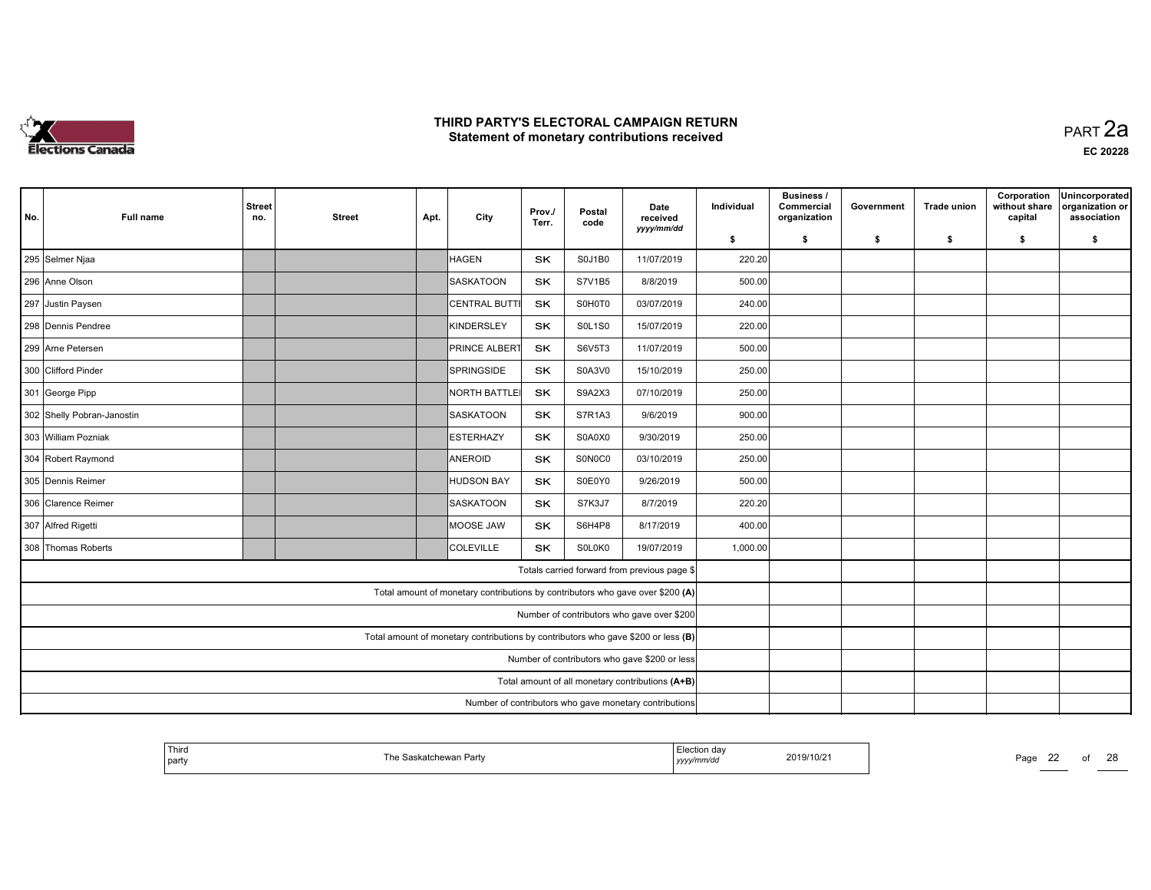

|                                                                                   |                                                                              |                      |               |      |                                                                                |                 |                |                                              |            | <b>Business /</b>          |            |                    | Corporation              | Unincorporated                 |
|-----------------------------------------------------------------------------------|------------------------------------------------------------------------------|----------------------|---------------|------|--------------------------------------------------------------------------------|-----------------|----------------|----------------------------------------------|------------|----------------------------|------------|--------------------|--------------------------|--------------------------------|
| No.                                                                               | <b>Full name</b>                                                             | <b>Street</b><br>no. | <b>Street</b> | Apt. | City                                                                           | Prov./<br>Terr. | Postal<br>code | Date<br>received                             | Individual | Commercial<br>organization | Government | <b>Trade union</b> | without share<br>capital | organization or<br>association |
|                                                                                   |                                                                              |                      |               |      |                                                                                |                 |                | yyyy/mm/dd                                   | \$         | \$                         | \$         | \$                 | \$                       | \$                             |
|                                                                                   | 295 Selmer Njaa                                                              |                      |               |      | HAGEN                                                                          | <b>SK</b>       | <b>S0J1B0</b>  | 11/07/2019                                   | 220.20     |                            |            |                    |                          |                                |
|                                                                                   | 296 Anne Olson                                                               |                      |               |      | SASKATOON                                                                      | SK              | S7V1B5         | 8/8/2019                                     | 500.00     |                            |            |                    |                          |                                |
|                                                                                   | 297 Justin Paysen                                                            |                      |               |      | <b>CENTRAL BUTTI</b>                                                           | SK              | S0H0T0         | 03/07/2019                                   | 240.00     |                            |            |                    |                          |                                |
|                                                                                   | 298 Dennis Pendree                                                           |                      |               |      | KINDERSLEY                                                                     | <b>SK</b>       | <b>SOL1SO</b>  | 15/07/2019                                   | 220.00     |                            |            |                    |                          |                                |
|                                                                                   | 299 Arne Petersen                                                            |                      |               |      | <b>PRINCE ALBERT</b>                                                           | SK              | S6V5T3         | 11/07/2019                                   | 500.00     |                            |            |                    |                          |                                |
|                                                                                   | 300 Clifford Pinder<br>SPRINGSIDE<br>SK<br>S0A3V0<br>15/10/2019              |                      |               |      |                                                                                |                 |                |                                              | 250.00     |                            |            |                    |                          |                                |
|                                                                                   | <b>SK</b><br><b>NORTH BATTLEI</b><br>S9A2X3<br>07/10/2019<br>301 George Pipp |                      |               |      |                                                                                |                 |                |                                              |            |                            |            |                    |                          |                                |
|                                                                                   | 302 Shelly Pobran-Janostin                                                   |                      |               |      | <b>SASKATOON</b>                                                               | <b>SK</b>       | S7R1A3         | 9/6/2019                                     | 900.00     |                            |            |                    |                          |                                |
|                                                                                   | 303 William Pozniak                                                          |                      |               |      | ESTERHAZY                                                                      | SK.             | S0A0X0         | 9/30/2019                                    | 250.00     |                            |            |                    |                          |                                |
|                                                                                   | 304 Robert Raymond                                                           |                      |               |      | ANEROID                                                                        | SK              | S0N0C0         | 03/10/2019                                   | 250.00     |                            |            |                    |                          |                                |
|                                                                                   | 305 Dennis Reimer                                                            |                      |               |      | HUDSON BAY                                                                     | SK              | S0E0Y0         | 9/26/2019                                    | 500.00     |                            |            |                    |                          |                                |
|                                                                                   | 306 Clarence Reimer                                                          |                      |               |      | SASKATOON                                                                      | SK              | S7K3J7         | 8/7/2019                                     | 220.20     |                            |            |                    |                          |                                |
|                                                                                   | 307 Alfred Rigetti                                                           |                      |               |      | MOOSE JAW                                                                      | SK              | S6H4P8         | 8/17/2019                                    | 400.00     |                            |            |                    |                          |                                |
|                                                                                   | 308 Thomas Roberts                                                           |                      |               |      | COLEVILLE                                                                      | <b>SK</b>       | SOLOKO         | 19/07/2019                                   | 1,000.00   |                            |            |                    |                          |                                |
|                                                                                   |                                                                              |                      |               |      |                                                                                |                 |                | Totals carried forward from previous page \$ |            |                            |            |                    |                          |                                |
|                                                                                   |                                                                              |                      |               |      | Total amount of monetary contributions by contributors who gave over \$200 (A) |                 |                |                                              |            |                            |            |                    |                          |                                |
| Number of contributors who gave over \$200                                        |                                                                              |                      |               |      |                                                                                |                 |                |                                              |            |                            |            |                    |                          |                                |
| Total amount of monetary contributions by contributors who gave \$200 or less (B) |                                                                              |                      |               |      |                                                                                |                 |                |                                              |            |                            |            |                    |                          |                                |
| Number of contributors who gave \$200 or less                                     |                                                                              |                      |               |      |                                                                                |                 |                |                                              |            |                            |            |                    |                          |                                |
| Total amount of all monetary contributions (A+B)                                  |                                                                              |                      |               |      |                                                                                |                 |                |                                              |            |                            |            |                    |                          |                                |
| Number of contributors who gave monetary contributions                            |                                                                              |                      |               |      |                                                                                |                 |                |                                              |            |                            |            |                    |                          |                                |

| ' Third<br>  party | ۲he S<br>skatchewan Partv<br>--- | <b>Loction</b><br>Liection dav<br>yyyymmaa | 2019/10/21 | Pago | $\sim$<br>__ | $\sim$<br>∠c |
|--------------------|----------------------------------|--------------------------------------------|------------|------|--------------|--------------|
|                    |                                  |                                            |            |      |              |              |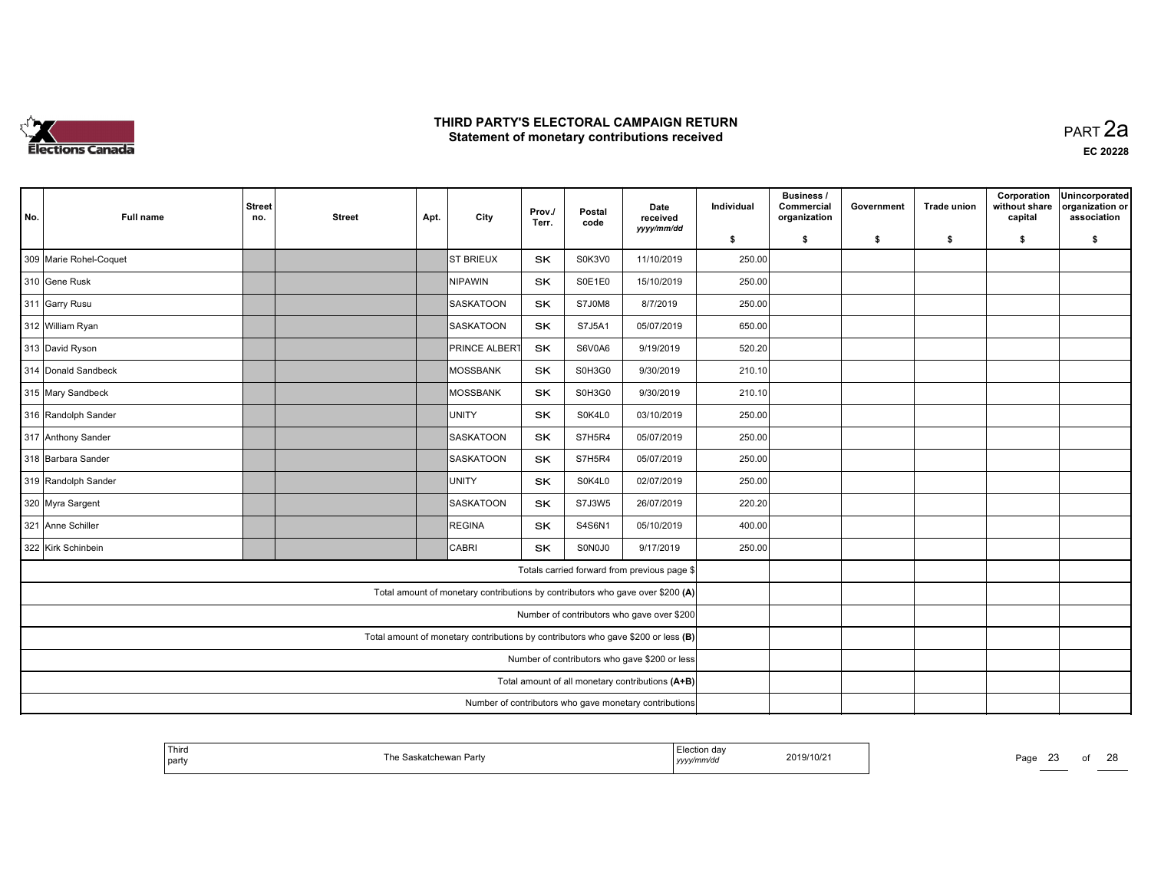

 PART 2aEC <sup>20228</sup>

| No. | <b>Full name</b>       | <b>Street</b><br>no. | <b>Street</b> | Apt. | City                                                                              | Prov./<br>Terr. | Postal<br>code | Date<br>received<br>yyyy/mm/dd                | Individual | Business /<br>Commercial<br>organization | Government | <b>Trade union</b> | Corporation<br>without share<br>capital | Unincorporated<br>organization or<br>association |
|-----|------------------------|----------------------|---------------|------|-----------------------------------------------------------------------------------|-----------------|----------------|-----------------------------------------------|------------|------------------------------------------|------------|--------------------|-----------------------------------------|--------------------------------------------------|
|     |                        |                      |               |      |                                                                                   |                 |                |                                               | \$         | \$                                       | \$         | \$                 | \$                                      | \$                                               |
|     | 309 Marie Rohel-Coquet |                      |               |      | <b>ST BRIEUX</b>                                                                  | <b>SK</b>       | S0K3V0         | 11/10/2019                                    | 250.00     |                                          |            |                    |                                         |                                                  |
|     | 310 Gene Rusk          |                      |               |      | NIPAWIN                                                                           | <b>SK</b>       | S0E1E0         | 15/10/2019                                    | 250.00     |                                          |            |                    |                                         |                                                  |
|     | 311 Garry Rusu         |                      |               |      | SASKATOON                                                                         | SK              | S7J0M8         | 8/7/2019                                      | 250.00     |                                          |            |                    |                                         |                                                  |
|     | 312 William Ryan       |                      |               |      | SASKATOON                                                                         | <b>SK</b>       | S7J5A1         | 05/07/2019                                    | 650.00     |                                          |            |                    |                                         |                                                  |
|     | 313 David Ryson        |                      |               |      | <b>PRINCE ALBERT</b>                                                              | <b>SK</b>       | S6V0A6         | 9/19/2019                                     | 520.20     |                                          |            |                    |                                         |                                                  |
|     | 314 Donald Sandbeck    |                      |               |      | MOSSBANK                                                                          | <b>SK</b>       | S0H3G0         | 9/30/2019                                     | 210.10     |                                          |            |                    |                                         |                                                  |
|     | 315 Mary Sandbeck      |                      |               |      | MOSSBANK                                                                          | <b>SK</b>       | S0H3G0         | 9/30/2019                                     | 210.10     |                                          |            |                    |                                         |                                                  |
|     | 316 Randolph Sander    |                      |               |      | IUNITY                                                                            | <b>SK</b>       | S0K4L0         | 03/10/2019                                    | 250.00     |                                          |            |                    |                                         |                                                  |
|     | 317 Anthony Sander     |                      |               |      | SASKATOON                                                                         | SK              | S7H5R4         | 05/07/2019                                    | 250.00     |                                          |            |                    |                                         |                                                  |
|     | 318 Barbara Sander     |                      |               |      | SASKATOON                                                                         | <b>SK</b>       | S7H5R4         | 05/07/2019                                    | 250.00     |                                          |            |                    |                                         |                                                  |
|     | 319 Randolph Sander    |                      |               |      | UNITY                                                                             | SK              | S0K4L0         | 02/07/2019                                    | 250.00     |                                          |            |                    |                                         |                                                  |
|     | 320 Myra Sargent       |                      |               |      | SASKATOON                                                                         | SK              | S7J3W5         | 26/07/2019                                    | 220.20     |                                          |            |                    |                                         |                                                  |
|     | 321 Anne Schiller      |                      |               |      | REGINA                                                                            | <b>SK</b>       | S4S6N1         | 05/10/2019                                    | 400.00     |                                          |            |                    |                                         |                                                  |
|     | 322 Kirk Schinbein     |                      |               |      | <b>CABRI</b>                                                                      | <b>SK</b>       | S0N0J0         | 9/17/2019                                     | 250.00     |                                          |            |                    |                                         |                                                  |
|     |                        |                      |               |      |                                                                                   |                 |                | Totals carried forward from previous page \$  |            |                                          |            |                    |                                         |                                                  |
|     |                        |                      |               |      | Total amount of monetary contributions by contributors who gave over \$200 (A)    |                 |                |                                               |            |                                          |            |                    |                                         |                                                  |
|     |                        |                      |               |      |                                                                                   |                 |                | Number of contributors who gave over \$200    |            |                                          |            |                    |                                         |                                                  |
|     |                        |                      |               |      | Total amount of monetary contributions by contributors who gave \$200 or less (B) |                 |                |                                               |            |                                          |            |                    |                                         |                                                  |
|     |                        |                      |               |      |                                                                                   |                 |                | Number of contributors who gave \$200 or less |            |                                          |            |                    |                                         |                                                  |
|     |                        |                      |               |      |                                                                                   |                 |                |                                               |            |                                          |            |                    |                                         |                                                  |
|     |                        |                      |               |      |                                                                                   |                 |                |                                               |            |                                          |            |                    |                                         |                                                  |

| Third<br>  party | ™e<br>ੋaskatchewan Partv | Election dav<br>2019/10/21<br>yyyy/mm/aa | Page<br>້ |
|------------------|--------------------------|------------------------------------------|-----------|
|                  |                          |                                          |           |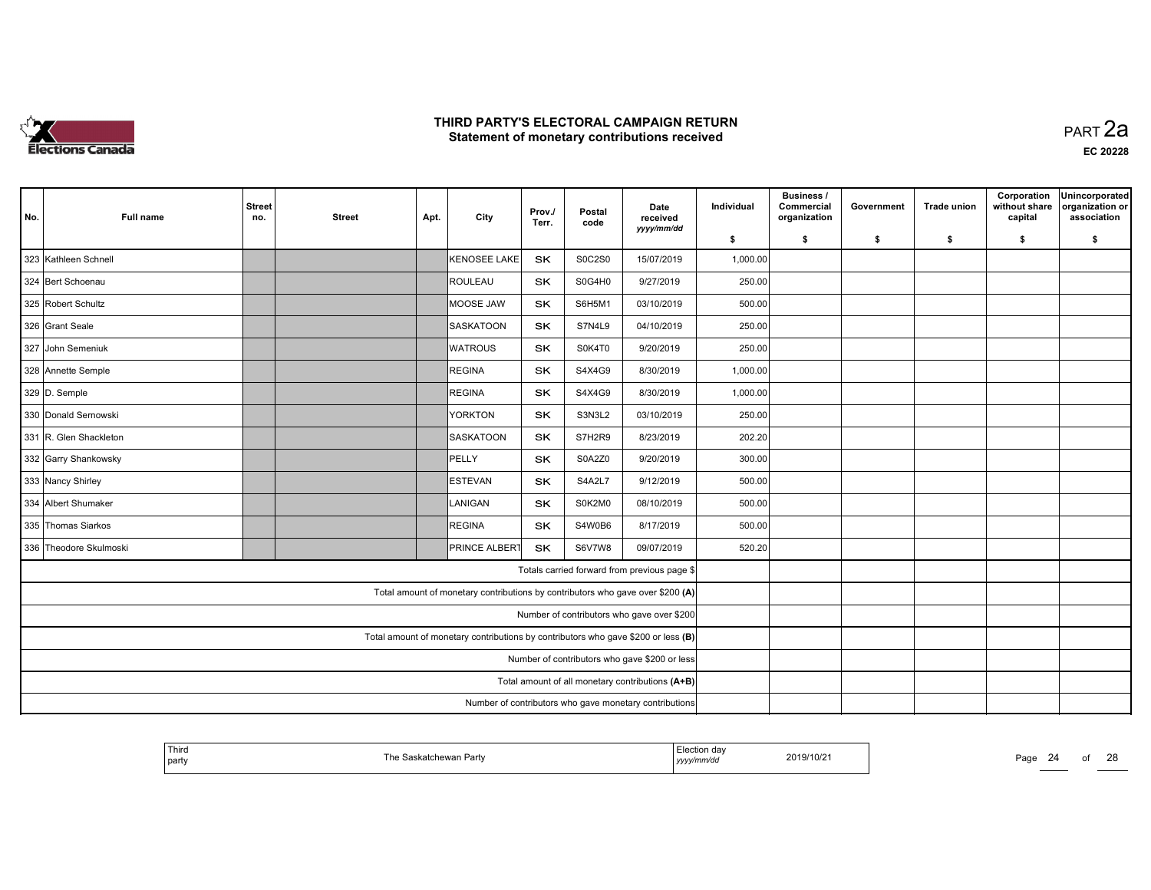

| No.                                              | <b>Full name</b>                                       | <b>Street</b><br>no. | <b>Street</b> | Apt. | City                                                                              | Prov./<br>Terr. | Postal<br>code | Date<br>received<br>yyyy/mm/dd                | Individual | <b>Business /</b><br>Commercial<br>organization | Government | <b>Trade union</b> | Corporation<br>without share<br>capital | Unincorporated<br>organization or<br>association |
|--------------------------------------------------|--------------------------------------------------------|----------------------|---------------|------|-----------------------------------------------------------------------------------|-----------------|----------------|-----------------------------------------------|------------|-------------------------------------------------|------------|--------------------|-----------------------------------------|--------------------------------------------------|
|                                                  |                                                        |                      |               |      |                                                                                   |                 |                |                                               | \$         | \$                                              | - \$       | \$                 | \$                                      | \$                                               |
|                                                  | 323 Kathleen Schnell                                   |                      |               |      | KENOSEE LAKE                                                                      | SK              | <b>S0C2S0</b>  | 15/07/2019                                    | 1,000.00   |                                                 |            |                    |                                         |                                                  |
|                                                  | 324 Bert Schoenau                                      |                      |               |      | <b>ROULEAU</b>                                                                    | SK              | S0G4H0         | 9/27/2019                                     | 250.00     |                                                 |            |                    |                                         |                                                  |
|                                                  | 325 Robert Schultz                                     |                      |               |      | MOOSE JAW                                                                         | SK              | S6H5M1         | 03/10/2019                                    | 500.00     |                                                 |            |                    |                                         |                                                  |
|                                                  | 326 Grant Seale                                        |                      |               |      | SASKATOON                                                                         | <b>SK</b>       | S7N4L9         | 04/10/2019                                    | 250.00     |                                                 |            |                    |                                         |                                                  |
|                                                  | 327 John Semeniuk                                      |                      |               |      | <b>WATROUS</b>                                                                    | SK              | S0K4T0         | 9/20/2019                                     | 250.00     |                                                 |            |                    |                                         |                                                  |
|                                                  | 328 Annette Semple                                     |                      |               |      | REGINA                                                                            | SK              | S4X4G9         | 8/30/2019                                     | 1,000.00   |                                                 |            |                    |                                         |                                                  |
|                                                  | 329 D. Semple                                          |                      |               |      | REGINA                                                                            | SK              | S4X4G9         | 8/30/2019                                     | 1,000.00   |                                                 |            |                    |                                         |                                                  |
|                                                  | 330 Donald Sernowski                                   |                      |               |      | YORKTON                                                                           | SK              | S3N3L2         | 03/10/2019                                    | 250.00     |                                                 |            |                    |                                         |                                                  |
|                                                  | 331 R. Glen Shackleton                                 |                      |               |      | <b>SASKATOON</b>                                                                  | SK              | S7H2R9         | 8/23/2019                                     | 202.20     |                                                 |            |                    |                                         |                                                  |
|                                                  | 332 Garry Shankowsky                                   |                      |               |      | PELLY                                                                             | SK              | S0A2Z0         | 9/20/2019                                     | 300.00     |                                                 |            |                    |                                         |                                                  |
|                                                  | 333 Nancy Shirley                                      |                      |               |      | <b>IESTEVAN</b>                                                                   | <b>SK</b>       | S4A2L7         | 9/12/2019                                     | 500.00     |                                                 |            |                    |                                         |                                                  |
|                                                  | 334 Albert Shumaker                                    |                      |               |      | LANIGAN                                                                           | <b>SK</b>       | S0K2M0         | 08/10/2019                                    | 500.00     |                                                 |            |                    |                                         |                                                  |
|                                                  | 335 Thomas Siarkos                                     |                      |               |      | REGINA                                                                            | SK              | S4W0B6         | 8/17/2019                                     | 500.00     |                                                 |            |                    |                                         |                                                  |
|                                                  | 336 Theodore Skulmoski                                 |                      |               |      | <b>PRINCE ALBERT</b>                                                              | <b>SK</b>       | S6V7W8         | 09/07/2019                                    | 520.20     |                                                 |            |                    |                                         |                                                  |
|                                                  |                                                        |                      |               |      |                                                                                   |                 |                | Totals carried forward from previous page \$  |            |                                                 |            |                    |                                         |                                                  |
|                                                  |                                                        |                      |               |      | Total amount of monetary contributions by contributors who gave over \$200 (A)    |                 |                |                                               |            |                                                 |            |                    |                                         |                                                  |
|                                                  |                                                        |                      |               |      |                                                                                   |                 |                | Number of contributors who gave over \$200    |            |                                                 |            |                    |                                         |                                                  |
|                                                  |                                                        |                      |               |      | Total amount of monetary contributions by contributors who gave \$200 or less (B) |                 |                |                                               |            |                                                 |            |                    |                                         |                                                  |
|                                                  |                                                        |                      |               |      |                                                                                   |                 |                | Number of contributors who gave \$200 or less |            |                                                 |            |                    |                                         |                                                  |
| Total amount of all monetary contributions (A+B) |                                                        |                      |               |      |                                                                                   |                 |                |                                               |            |                                                 |            |                    |                                         |                                                  |
|                                                  | Number of contributors who gave monetary contributions |                      |               |      |                                                                                   |                 |                |                                               |            |                                                 |            |                    |                                         |                                                  |

| Thira<br>$\lambda$<br>Election daγ<br>2019/10/21<br>™h≙<br>$P$ age<br>≅skatchewan Partv<br>  party<br>nmrac<br>,,,,, |  |  | ററ<br>╱ |
|----------------------------------------------------------------------------------------------------------------------|--|--|---------|
|----------------------------------------------------------------------------------------------------------------------|--|--|---------|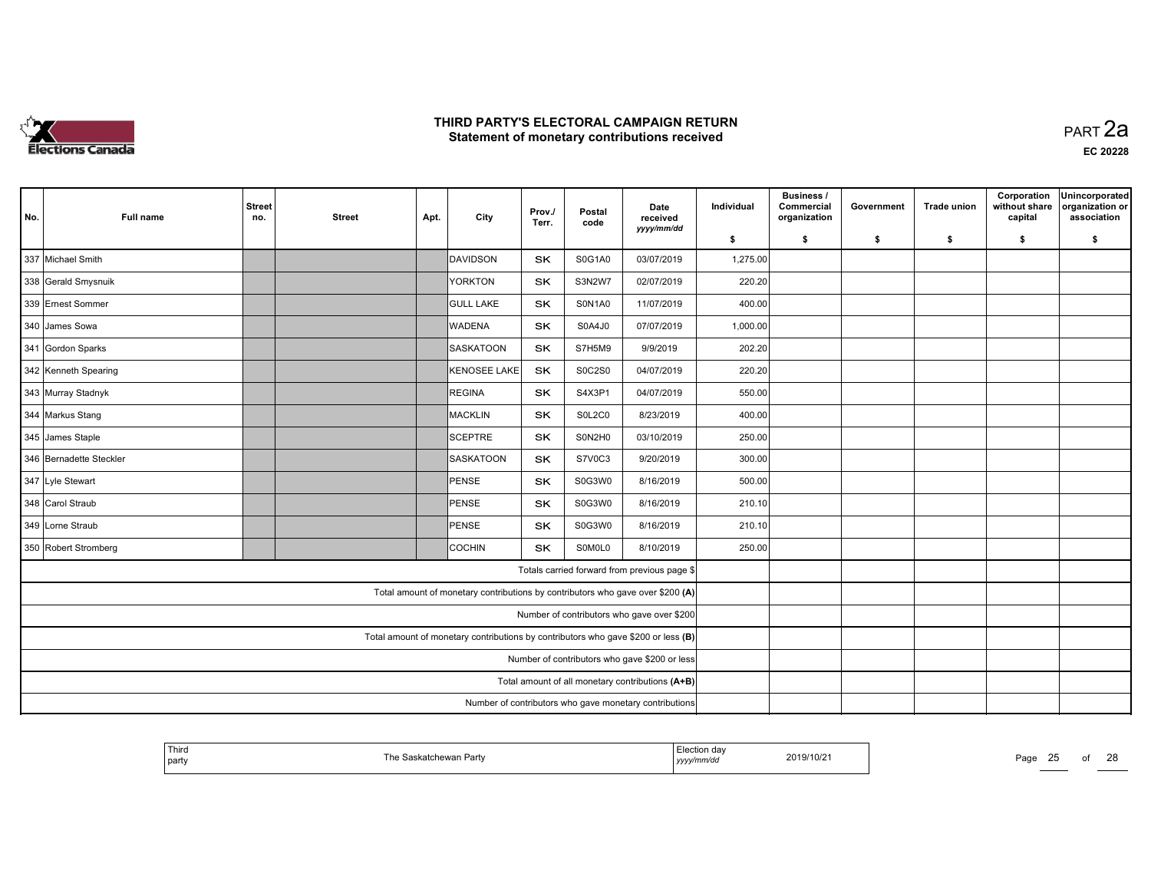

 PART 2aEC <sup>20228</sup>

| No. | <b>Full name</b>                                       | <b>Street</b><br>no. | <b>Street</b> | Apt. | City                                                                              | Prov./<br>Terr. | Postal<br>code | Date<br>received<br>yyyy/mm/dd                   | Individual | Business /<br>Commercial<br>organization | Government | <b>Trade union</b> | Corporation<br>without share<br>capital | Unincorporated<br>organization or<br>association |
|-----|--------------------------------------------------------|----------------------|---------------|------|-----------------------------------------------------------------------------------|-----------------|----------------|--------------------------------------------------|------------|------------------------------------------|------------|--------------------|-----------------------------------------|--------------------------------------------------|
|     |                                                        |                      |               |      |                                                                                   |                 |                |                                                  | \$         | \$                                       | \$         | \$                 | \$                                      | \$                                               |
|     | 337 Michael Smith                                      |                      |               |      | DAVIDSON                                                                          | <b>SK</b>       | S0G1A0         | 03/07/2019                                       | 1,275.00   |                                          |            |                    |                                         |                                                  |
|     | 338 Gerald Smysnuik                                    |                      |               |      | YORKTON                                                                           | <b>SK</b>       | S3N2W7         | 02/07/2019                                       | 220.20     |                                          |            |                    |                                         |                                                  |
|     | 339 Ernest Sommer                                      |                      |               |      | <b>GULL LAKE</b>                                                                  | SK              | S0N1A0         | 11/07/2019                                       | 400.00     |                                          |            |                    |                                         |                                                  |
|     | 340 James Sowa                                         |                      |               |      | <b>WADENA</b>                                                                     | <b>SK</b>       | S0A4J0         | 07/07/2019                                       | 1,000.00   |                                          |            |                    |                                         |                                                  |
|     | 341 Gordon Sparks                                      |                      |               |      | <b>SASKATOON</b>                                                                  | <b>SK</b>       | S7H5M9         | 9/9/2019                                         | 202.20     |                                          |            |                    |                                         |                                                  |
|     | 342 Kenneth Spearing                                   |                      |               |      | KENOSEE LAKE                                                                      | <b>SK</b>       | <b>S0C2S0</b>  | 04/07/2019                                       | 220.20     |                                          |            |                    |                                         |                                                  |
|     | 343 Murray Stadnyk                                     |                      |               |      | REGINA                                                                            | <b>SK</b>       | S4X3P1         | 04/07/2019                                       | 550.00     |                                          |            |                    |                                         |                                                  |
|     | 344 Markus Stang                                       |                      |               |      | MACKLIN                                                                           | <b>SK</b>       | S0L2C0         | 8/23/2019                                        | 400.00     |                                          |            |                    |                                         |                                                  |
|     | 345 James Staple                                       |                      |               |      | SCEPTRE                                                                           | SK              | S0N2H0         | 03/10/2019                                       | 250.00     |                                          |            |                    |                                         |                                                  |
|     | 346 Bernadette Steckler                                |                      |               |      | SASKATOON                                                                         | <b>SK</b>       | S7V0C3         | 9/20/2019                                        | 300.00     |                                          |            |                    |                                         |                                                  |
|     | 347 Lyle Stewart                                       |                      |               |      | PENSE                                                                             | SK              | S0G3W0         | 8/16/2019                                        | 500.00     |                                          |            |                    |                                         |                                                  |
|     | 348 Carol Straub                                       |                      |               |      | PENSE                                                                             | SK              | S0G3W0         | 8/16/2019                                        | 210.10     |                                          |            |                    |                                         |                                                  |
|     | 349 Lorne Straub                                       |                      |               |      | PENSE                                                                             | <b>SK</b>       | S0G3W0         | 8/16/2019                                        | 210.10     |                                          |            |                    |                                         |                                                  |
|     | 350 Robert Stromberg                                   |                      |               |      | COCHIN                                                                            | <b>SK</b>       | SOMOLO         | 8/10/2019                                        | 250.00     |                                          |            |                    |                                         |                                                  |
|     |                                                        |                      |               |      |                                                                                   |                 |                | Totals carried forward from previous page \$     |            |                                          |            |                    |                                         |                                                  |
|     |                                                        |                      |               |      | Total amount of monetary contributions by contributors who gave over \$200 (A)    |                 |                |                                                  |            |                                          |            |                    |                                         |                                                  |
|     |                                                        |                      |               |      |                                                                                   |                 |                | Number of contributors who gave over \$200       |            |                                          |            |                    |                                         |                                                  |
|     |                                                        |                      |               |      | Total amount of monetary contributions by contributors who gave \$200 or less (B) |                 |                |                                                  |            |                                          |            |                    |                                         |                                                  |
|     |                                                        |                      |               |      |                                                                                   |                 |                | Number of contributors who gave \$200 or less    |            |                                          |            |                    |                                         |                                                  |
|     |                                                        |                      |               |      |                                                                                   |                 |                | Total amount of all monetary contributions (A+B) |            |                                          |            |                    |                                         |                                                  |
|     | Number of contributors who gave monetary contributions |                      |               |      |                                                                                   |                 |                |                                                  |            |                                          |            |                    |                                         |                                                  |

| Third<br>  party | Saskatchewan Party<br>' he | Election dav<br>yyyymm/aa | 2019/10/21 | Page<br>2 J |  |
|------------------|----------------------------|---------------------------|------------|-------------|--|
|                  |                            |                           |            |             |  |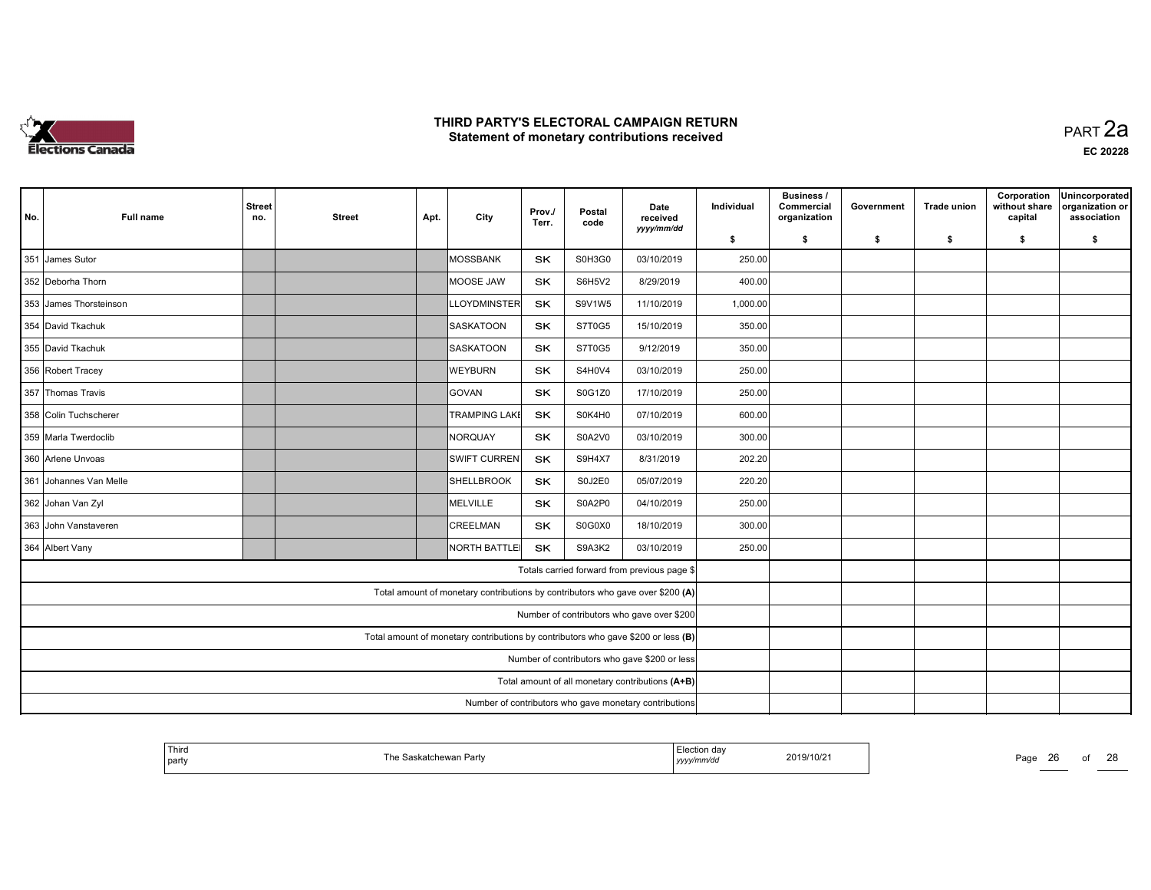

 PART 2aEC <sup>20228</sup>

| No. | <b>Full name</b>       | <b>Street</b><br>no.                                   | <b>Street</b> | Apt. | City                                                                           | Prov./<br>Terr. | Postal<br>code | Date<br>received                                                                  | Individual | <b>Business /</b><br>Commercial<br>organization | Government | <b>Trade union</b> | Corporation<br>without share<br>capital | Unincorporated<br>organization or<br>association |
|-----|------------------------|--------------------------------------------------------|---------------|------|--------------------------------------------------------------------------------|-----------------|----------------|-----------------------------------------------------------------------------------|------------|-------------------------------------------------|------------|--------------------|-----------------------------------------|--------------------------------------------------|
|     |                        |                                                        |               |      |                                                                                |                 |                | yyyy/mm/dd                                                                        | \$         | \$                                              | \$         | \$                 | \$                                      | \$                                               |
|     | 351 James Sutor        |                                                        |               |      | MOSSBANK                                                                       | SK              | S0H3G0         | 03/10/2019                                                                        | 250.00     |                                                 |            |                    |                                         |                                                  |
|     | 352 Deborha Thorn      |                                                        |               |      | MOOSE JAW                                                                      | SK              | S6H5V2         | 8/29/2019                                                                         | 400.00     |                                                 |            |                    |                                         |                                                  |
|     | 353 James Thorsteinson |                                                        |               |      | <b>LLOYDMINSTER</b>                                                            | SK              | S9V1W5         | 11/10/2019                                                                        | 1,000.00   |                                                 |            |                    |                                         |                                                  |
|     | 354 David Tkachuk      |                                                        |               |      | <b>SASKATOON</b>                                                               | <b>SK</b>       | S7T0G5         | 15/10/2019                                                                        | 350.00     |                                                 |            |                    |                                         |                                                  |
|     | 355 David Tkachuk      |                                                        |               |      | <b>SASKATOON</b>                                                               | <b>SK</b>       | S7T0G5         | 9/12/2019                                                                         | 350.00     |                                                 |            |                    |                                         |                                                  |
|     | 356 Robert Tracey      |                                                        |               |      | <b>WEYBURN</b>                                                                 | <b>SK</b>       | S4H0V4         | 03/10/2019                                                                        | 250.00     |                                                 |            |                    |                                         |                                                  |
|     | 357 Thomas Travis      |                                                        |               |      | GOVAN                                                                          | <b>SK</b>       | S0G1Z0         | 17/10/2019                                                                        | 250.00     |                                                 |            |                    |                                         |                                                  |
|     | 358 Colin Tuchscherer  |                                                        |               |      | <b>TRAMPING LAKE</b>                                                           | SK              | S0K4H0         | 07/10/2019                                                                        | 600.00     |                                                 |            |                    |                                         |                                                  |
|     | 359 Marla Twerdoclib   |                                                        |               |      | NORQUAY                                                                        | <b>SK</b>       | S0A2V0         | 03/10/2019                                                                        | 300.00     |                                                 |            |                    |                                         |                                                  |
|     | 360 Arlene Unvoas      |                                                        |               |      | <b>SWIFT CURREN</b>                                                            | SK              | <b>S9H4X7</b>  | 8/31/2019                                                                         | 202.20     |                                                 |            |                    |                                         |                                                  |
|     | 361 Johannes Van Melle |                                                        |               |      | SHELLBROOK                                                                     | SK              | S0J2E0         | 05/07/2019                                                                        | 220.20     |                                                 |            |                    |                                         |                                                  |
|     | 362 Johan Van Zyl      |                                                        |               |      | MELVILLE                                                                       | <b>SK</b>       | S0A2P0         | 04/10/2019                                                                        | 250.00     |                                                 |            |                    |                                         |                                                  |
|     | 363 John Vanstaveren   |                                                        |               |      | <b>CREELMAN</b>                                                                | <b>SK</b>       | S0G0X0         | 18/10/2019                                                                        | 300.00     |                                                 |            |                    |                                         |                                                  |
|     | 364 Albert Vany        |                                                        |               |      | NORTH BATTLE                                                                   | SK              | S9A3K2         | 03/10/2019                                                                        | 250.00     |                                                 |            |                    |                                         |                                                  |
|     |                        |                                                        |               |      |                                                                                |                 |                | Totals carried forward from previous page \$                                      |            |                                                 |            |                    |                                         |                                                  |
|     |                        |                                                        |               |      | Total amount of monetary contributions by contributors who gave over \$200 (A) |                 |                |                                                                                   |            |                                                 |            |                    |                                         |                                                  |
|     |                        |                                                        |               |      |                                                                                |                 |                | Number of contributors who gave over \$200                                        |            |                                                 |            |                    |                                         |                                                  |
|     |                        |                                                        |               |      |                                                                                |                 |                | Total amount of monetary contributions by contributors who gave \$200 or less (B) |            |                                                 |            |                    |                                         |                                                  |
|     |                        |                                                        |               |      |                                                                                |                 |                | Number of contributors who gave \$200 or less                                     |            |                                                 |            |                    |                                         |                                                  |
|     |                        |                                                        |               |      |                                                                                |                 |                | Total amount of all monetary contributions (A+B)                                  |            |                                                 |            |                    |                                         |                                                  |
|     |                        | Number of contributors who gave monetary contributions |               |      |                                                                                |                 |                |                                                                                   |            |                                                 |            |                    |                                         |                                                  |

| Third<br>Election dav<br>2019/10/21<br>Saskatchewan Party<br>l he<br>  party<br>yyyymm/aa | Page<br>-20 |
|-------------------------------------------------------------------------------------------|-------------|
|-------------------------------------------------------------------------------------------|-------------|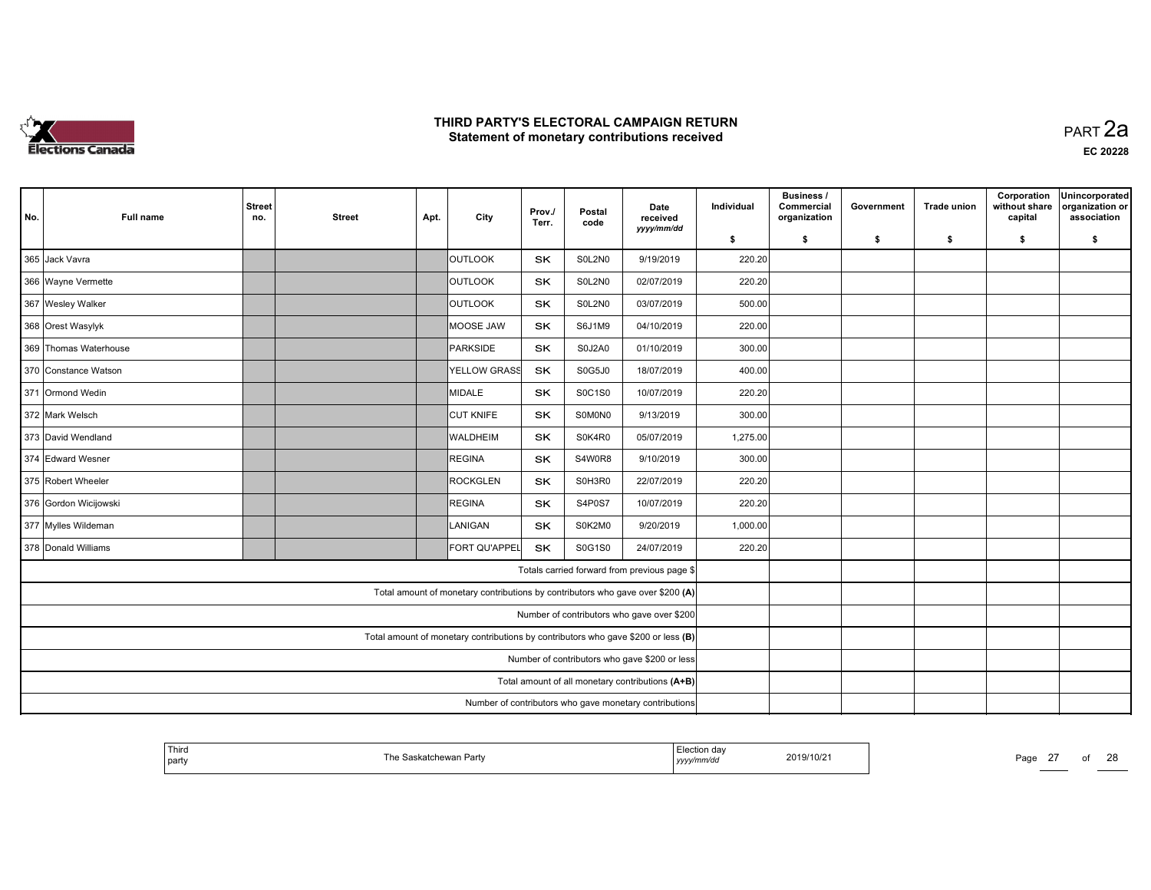

|     |                                                        |                      |               |      |                                                                                   |                 |                |                                                  |            | <b>Business /</b>          |            |                    | Corporation              | Unincorporated                 |
|-----|--------------------------------------------------------|----------------------|---------------|------|-----------------------------------------------------------------------------------|-----------------|----------------|--------------------------------------------------|------------|----------------------------|------------|--------------------|--------------------------|--------------------------------|
| No. | Full name                                              | <b>Street</b><br>no. | <b>Street</b> | Apt. | City                                                                              | Prov./<br>Terr. | Postal<br>code | Date<br>received                                 | Individual | Commercial<br>organization | Government | <b>Trade union</b> | without share<br>capital | organization or<br>association |
|     |                                                        |                      |               |      |                                                                                   |                 |                | yyyy/mm/dd                                       | \$         | s.                         | \$         | s.                 | \$                       | \$                             |
|     | 365 Jack Vavra                                         |                      |               |      | <b>OUTLOOK</b>                                                                    | <b>SK</b>       | S0L2N0         | 9/19/2019                                        | 220.20     |                            |            |                    |                          |                                |
|     | 366 Wayne Vermette                                     |                      |               |      | <b>OUTLOOK</b>                                                                    | SK              | S0L2N0         | 02/07/2019                                       | 220.20     |                            |            |                    |                          |                                |
|     | 367 Wesley Walker                                      |                      |               |      | <b>OUTLOOK</b>                                                                    | SK              | SOL2NO         | 03/07/2019                                       | 500.00     |                            |            |                    |                          |                                |
|     | 368 Orest Wasylyk                                      |                      |               |      | MOOSE JAW                                                                         | SK              | S6J1M9         | 04/10/2019                                       | 220.00     |                            |            |                    |                          |                                |
|     | 369 Thomas Waterhouse                                  |                      |               |      | PARKSIDE                                                                          | <b>SK</b>       | S0J2A0         | 01/10/2019                                       | 300.00     |                            |            |                    |                          |                                |
|     | 370 Constance Watson                                   |                      |               |      | <b>YELLOW GRASS</b>                                                               | SK              | S0G5J0         | 18/07/2019                                       | 400.00     |                            |            |                    |                          |                                |
|     | 371 Ormond Wedin                                       |                      |               |      | MIDALE                                                                            | <b>SK</b>       | S0C1S0         | 10/07/2019                                       | 220.20     |                            |            |                    |                          |                                |
|     | 372 Mark Welsch                                        |                      |               |      | <b>CUT KNIFE</b>                                                                  | SK              | S0M0N0         | 9/13/2019                                        | 300.00     |                            |            |                    |                          |                                |
|     | 373 David Wendland                                     |                      |               |      | <b>WALDHEIM</b>                                                                   | <b>SK</b>       | S0K4R0         | 05/07/2019                                       | 1,275.00   |                            |            |                    |                          |                                |
|     | 374 Edward Wesner                                      |                      |               |      | REGINA                                                                            | <b>SK</b>       | S4W0R8         | 9/10/2019                                        | 300.00     |                            |            |                    |                          |                                |
|     | 375 Robert Wheeler                                     |                      |               |      | ROCKGLEN                                                                          | SK              | S0H3R0         | 22/07/2019                                       | 220.20     |                            |            |                    |                          |                                |
|     | 376 Gordon Wicijowski                                  |                      |               |      | REGINA                                                                            | <b>SK</b>       | S4P0S7         | 10/07/2019                                       | 220.20     |                            |            |                    |                          |                                |
|     | 377 Mylles Wildeman                                    |                      |               |      | <b>LANIGAN</b>                                                                    | SK              | S0K2M0         | 9/20/2019                                        | 1,000.00   |                            |            |                    |                          |                                |
|     | 378 Donald Williams                                    |                      |               |      | FORT QU'APPEL                                                                     | <b>SK</b>       | S0G1S0         | 24/07/2019                                       | 220.20     |                            |            |                    |                          |                                |
|     |                                                        |                      |               |      |                                                                                   |                 |                | Totals carried forward from previous page \$     |            |                            |            |                    |                          |                                |
|     |                                                        |                      |               |      | Total amount of monetary contributions by contributors who gave over \$200 (A)    |                 |                |                                                  |            |                            |            |                    |                          |                                |
|     |                                                        |                      |               |      |                                                                                   |                 |                | Number of contributors who gave over \$200       |            |                            |            |                    |                          |                                |
|     |                                                        |                      |               |      | Total amount of monetary contributions by contributors who gave \$200 or less (B) |                 |                |                                                  |            |                            |            |                    |                          |                                |
|     |                                                        |                      |               |      |                                                                                   |                 |                | Number of contributors who gave \$200 or less    |            |                            |            |                    |                          |                                |
|     |                                                        |                      |               |      |                                                                                   |                 |                | Total amount of all monetary contributions (A+B) |            |                            |            |                    |                          |                                |
|     | Number of contributors who gave monetary contributions |                      |               |      |                                                                                   |                 |                |                                                  |            |                            |            |                    |                          |                                |

| ' Third<br>party | e Saskatchewan Partv | ⊥lection day<br>yyyymmua | 2019/10/21 | Page | $\sim$ | co |
|------------------|----------------------|--------------------------|------------|------|--------|----|
|                  |                      | .                        |            |      |        |    |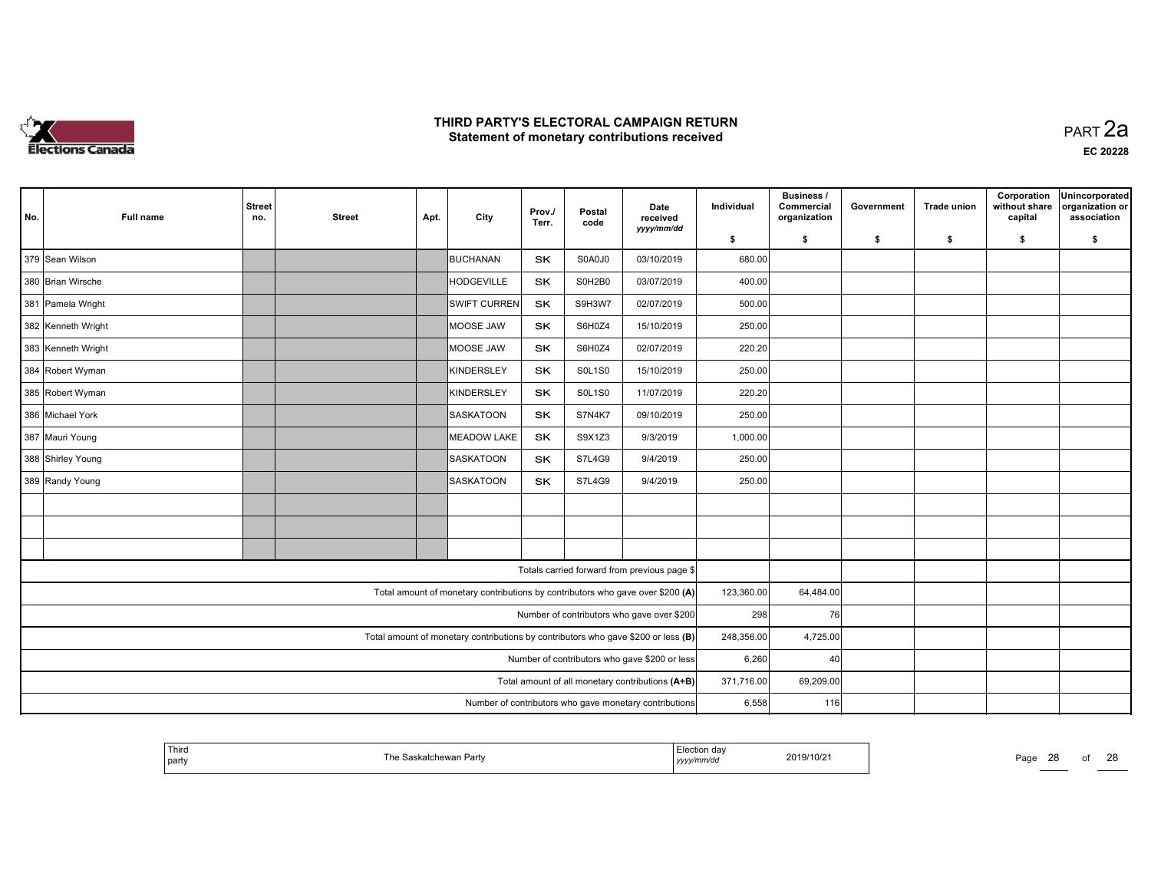

| No. | <b>Full name</b>   | <b>Street</b><br>no. | <b>Street</b> | Apt. | City                                                                              | Prov./<br>Terr. | Postal<br>code | Date<br>received                              | Individual | Business /<br>Commercial<br>organization | Government | <b>Trade union</b> | Corporation<br>without share<br>capital | Unincorporated<br>organization or<br>association |
|-----|--------------------|----------------------|---------------|------|-----------------------------------------------------------------------------------|-----------------|----------------|-----------------------------------------------|------------|------------------------------------------|------------|--------------------|-----------------------------------------|--------------------------------------------------|
|     |                    |                      |               |      |                                                                                   |                 |                | yyyy/mm/dd                                    | \$         | \$                                       | \$         | \$                 | \$                                      | \$                                               |
|     | 379 Sean Wilson    |                      |               |      | BUCHANAN                                                                          | <b>SK</b>       | S0A0J0         | 03/10/2019                                    | 680.00     |                                          |            |                    |                                         |                                                  |
|     | 380 Brian Wirsche  |                      |               |      | <b>HODGEVILLE</b>                                                                 | <b>SK</b>       | S0H2B0         | 03/07/2019                                    | 400.00     |                                          |            |                    |                                         |                                                  |
|     | 381 Pamela Wright  |                      |               |      | <b>SWIFT CURREN</b>                                                               | SK              | S9H3W7         | 02/07/2019                                    | 500.00     |                                          |            |                    |                                         |                                                  |
|     | 382 Kenneth Wright |                      |               |      | MOOSE JAW                                                                         | <b>SK</b>       | S6H0Z4         | 15/10/2019                                    | 250.00     |                                          |            |                    |                                         |                                                  |
|     | 383 Kenneth Wright |                      |               |      | MOOSE JAW                                                                         | <b>SK</b>       | S6H0Z4         | 02/07/2019                                    | 220.20     |                                          |            |                    |                                         |                                                  |
|     | 384 Robert Wyman   |                      |               |      | KINDERSLEY                                                                        | <b>SK</b>       | <b>S0L1S0</b>  | 15/10/2019                                    | 250.00     |                                          |            |                    |                                         |                                                  |
|     | 385 Robert Wyman   |                      |               |      | KINDERSLEY                                                                        | SK              | <b>S0L1S0</b>  | 11/07/2019                                    | 220.20     |                                          |            |                    |                                         |                                                  |
|     | 386 Michael York   |                      |               |      | SASKATOON                                                                         | SK              | <b>S7N4K7</b>  | 09/10/2019                                    | 250.00     |                                          |            |                    |                                         |                                                  |
|     | 387 Mauri Young    |                      |               |      | MEADOW LAKE                                                                       | SK              | S9X1Z3         | 9/3/2019                                      | 1,000.00   |                                          |            |                    |                                         |                                                  |
|     | 388 Shirley Young  |                      |               |      | SASKATOON                                                                         | <b>SK</b>       | <b>S7L4G9</b>  | 9/4/2019                                      | 250.00     |                                          |            |                    |                                         |                                                  |
|     | 389 Randy Young    |                      |               |      | SASKATOON                                                                         | <b>SK</b>       | S7L4G9         | 9/4/2019                                      | 250.00     |                                          |            |                    |                                         |                                                  |
|     |                    |                      |               |      |                                                                                   |                 |                |                                               |            |                                          |            |                    |                                         |                                                  |
|     |                    |                      |               |      |                                                                                   |                 |                |                                               |            |                                          |            |                    |                                         |                                                  |
|     |                    |                      |               |      |                                                                                   |                 |                |                                               |            |                                          |            |                    |                                         |                                                  |
|     |                    |                      |               |      |                                                                                   |                 |                | Totals carried forward from previous page \$  |            |                                          |            |                    |                                         |                                                  |
|     |                    |                      |               |      | Total amount of monetary contributions by contributors who gave over \$200 (A)    |                 |                |                                               | 123,360.00 | 64,484.00                                |            |                    |                                         |                                                  |
|     |                    |                      |               |      |                                                                                   |                 |                | Number of contributors who gave over \$200    | 298        | 76I                                      |            |                    |                                         |                                                  |
|     |                    |                      |               |      | Total amount of monetary contributions by contributors who gave \$200 or less (B) |                 |                |                                               | 248,356.00 | 4,725.00                                 |            |                    |                                         |                                                  |
|     |                    |                      |               |      |                                                                                   |                 |                | Number of contributors who gave \$200 or less | 6,260      | 40                                       |            |                    |                                         |                                                  |
|     |                    | 371,716.00           | 69,209.00     |      |                                                                                   |                 |                |                                               |            |                                          |            |                    |                                         |                                                  |
|     |                    | 6,558                | 116           |      |                                                                                   |                 |                |                                               |            |                                          |            |                    |                                         |                                                  |

| ' Third<br>party | ∵ Saskatchewan Party | <sub>—</sub> .ാധ∪on dav<br>2019/10/21<br>yyyyınınvao | Page<br>- - - | വ | $\sim$<br>∠⊂ |
|------------------|----------------------|------------------------------------------------------|---------------|---|--------------|
|------------------|----------------------|------------------------------------------------------|---------------|---|--------------|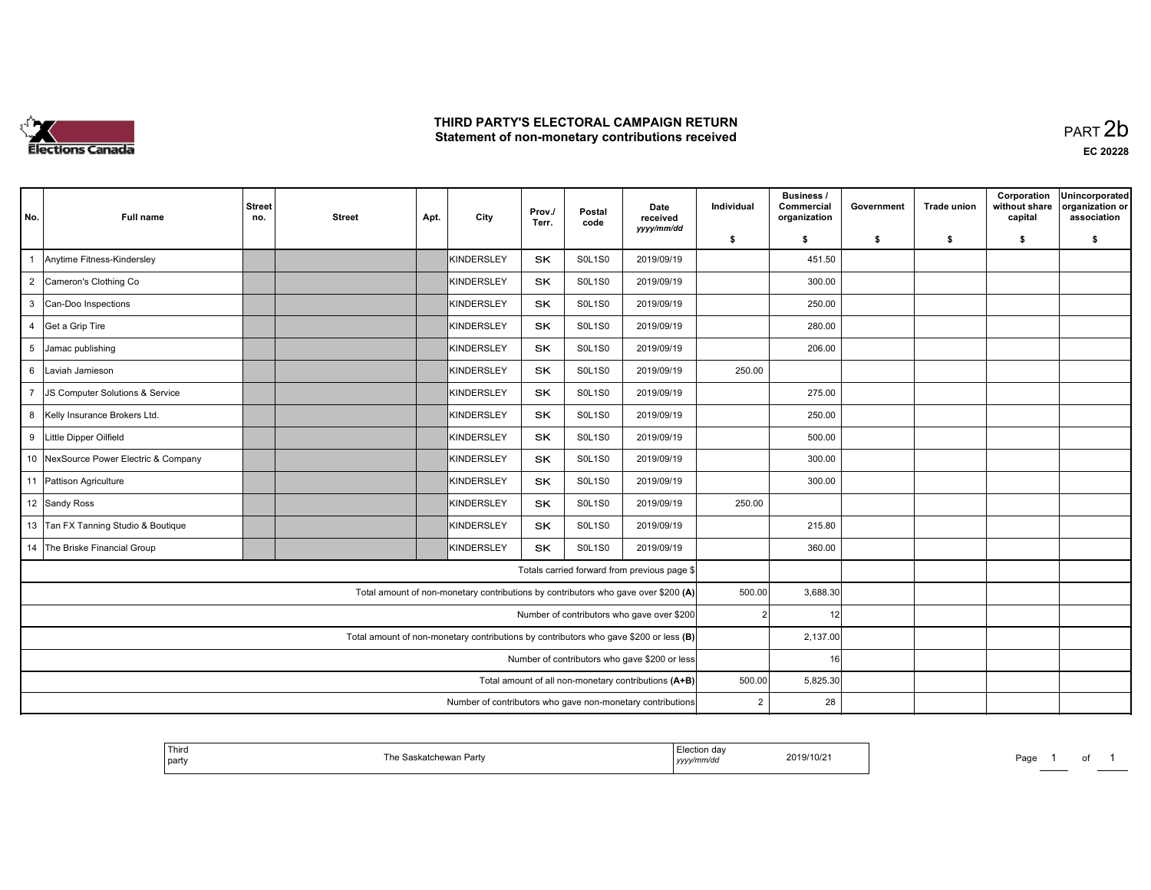

| No.                                                                                     | <b>Full name</b>                      | <b>Street</b><br>no. | <b>Street</b> | Apt. | City              | Prov./<br>Terr. | Postal<br>code | Date<br>received<br>yyyy/mm/dd                                                     | Individual     | <b>Business /</b><br>Commercial<br>organization | Government | <b>Trade union</b> | Corporation<br>without share<br>capital | Unincorporated<br>organization or<br>association |
|-----------------------------------------------------------------------------------------|---------------------------------------|----------------------|---------------|------|-------------------|-----------------|----------------|------------------------------------------------------------------------------------|----------------|-------------------------------------------------|------------|--------------------|-----------------------------------------|--------------------------------------------------|
|                                                                                         |                                       |                      |               |      |                   |                 |                |                                                                                    | \$             | \$                                              | s.         | - \$               | s.                                      | \$                                               |
| $\mathbf{1}$                                                                            | Anytime Fitness-Kindersley            |                      |               |      | KINDERSLEY        | SK              | <b>S0L1S0</b>  | 2019/09/19                                                                         |                | 451.50                                          |            |                    |                                         |                                                  |
|                                                                                         | 2 Cameron's Clothing Co               |                      |               |      | KINDERSLEY        | <b>SK</b>       | <b>S0L1S0</b>  | 2019/09/19                                                                         |                | 300.00                                          |            |                    |                                         |                                                  |
|                                                                                         | 3 Can-Doo Inspections                 |                      |               |      | <b>KINDERSLEY</b> | <b>SK</b>       | <b>S0L1S0</b>  | 2019/09/19                                                                         |                | 250.00                                          |            |                    |                                         |                                                  |
|                                                                                         | 4 Get a Grip Tire                     |                      |               |      | <b>KINDERSLEY</b> | SK              | <b>S0L1S0</b>  | 2019/09/19                                                                         |                | 280.00                                          |            |                    |                                         |                                                  |
|                                                                                         | 5 Jamac publishing                    |                      |               |      | <b>KINDERSLEY</b> | <b>SK</b>       | <b>S0L1S0</b>  | 2019/09/19                                                                         |                | 206.00                                          |            |                    |                                         |                                                  |
| 6                                                                                       | Laviah Jamieson                       |                      |               |      | <b>KINDERSLEY</b> | <b>SK</b>       | <b>S0L1S0</b>  | 2019/09/19                                                                         | 250.00         |                                                 |            |                    |                                         |                                                  |
| $7^{\circ}$                                                                             | JS Computer Solutions & Service       |                      |               |      | KINDERSLEY        | <b>SK</b>       | <b>SOL1S0</b>  | 2019/09/19                                                                         |                | 275.00                                          |            |                    |                                         |                                                  |
|                                                                                         | 8 Kelly Insurance Brokers Ltd.        |                      |               |      | <b>KINDERSLEY</b> | <b>SK</b>       | <b>S0L1S0</b>  | 2019/09/19                                                                         |                | 250.00                                          |            |                    |                                         |                                                  |
|                                                                                         | 9 Little Dipper Oilfield              |                      |               |      | <b>KINDERSLEY</b> | <b>SK</b>       | <b>S0L1S0</b>  | 2019/09/19                                                                         |                | 500.00                                          |            |                    |                                         |                                                  |
|                                                                                         | 10 NexSource Power Electric & Company |                      |               |      | <b>KINDERSLEY</b> | <b>SK</b>       | <b>S0L1S0</b>  | 2019/09/19                                                                         |                | 300.00                                          |            |                    |                                         |                                                  |
|                                                                                         | 11 Pattison Agriculture               |                      |               |      | KINDERSLEY        | <b>SK</b>       | <b>S0L1S0</b>  | 2019/09/19                                                                         |                | 300.00                                          |            |                    |                                         |                                                  |
|                                                                                         | 12 Sandy Ross                         |                      |               |      | <b>KINDERSLEY</b> | <b>SK</b>       | <b>S0L1S0</b>  | 2019/09/19                                                                         | 250.00         |                                                 |            |                    |                                         |                                                  |
|                                                                                         | 13 Tan FX Tanning Studio & Boutique   |                      |               |      | KINDERSLEY        | SK              | <b>SOL1S0</b>  | 2019/09/19                                                                         |                | 215.80                                          |            |                    |                                         |                                                  |
|                                                                                         | 14 The Briske Financial Group         |                      |               |      | KINDERSLEY        | <b>SK</b>       | <b>S0L1S0</b>  | 2019/09/19                                                                         |                | 360.00                                          |            |                    |                                         |                                                  |
|                                                                                         |                                       |                      |               |      |                   |                 |                | Totals carried forward from previous page \$                                       |                |                                                 |            |                    |                                         |                                                  |
|                                                                                         |                                       |                      |               |      |                   |                 |                | Total amount of non-monetary contributions by contributors who gave over \$200 (A) | 500.00         | 3,688.30                                        |            |                    |                                         |                                                  |
|                                                                                         |                                       |                      |               |      |                   |                 |                | Number of contributors who gave over \$200                                         | $\overline{2}$ | 12                                              |            |                    |                                         |                                                  |
| Total amount of non-monetary contributions by contributors who gave \$200 or less $(B)$ |                                       |                      |               |      |                   |                 |                |                                                                                    | 2,137.00       |                                                 |            |                    |                                         |                                                  |
|                                                                                         |                                       |                      |               |      |                   |                 |                | Number of contributors who gave \$200 or less                                      |                | 16                                              |            |                    |                                         |                                                  |
|                                                                                         |                                       |                      |               |      |                   |                 |                | Total amount of all non-monetary contributions (A+B)                               | 500.00         | 5,825.30                                        |            |                    |                                         |                                                  |
|                                                                                         |                                       |                      |               |      |                   |                 |                | Number of contributors who gave non-monetary contributions                         | $\overline{2}$ | 28                                              |            |                    |                                         |                                                  |

|  | Third<br>and the control of the con-<br>' party |  | ,,,,, | 2019/10/2 | ∽∼<br>au' |  | וש |  |
|--|-------------------------------------------------|--|-------|-----------|-----------|--|----|--|
|--|-------------------------------------------------|--|-------|-----------|-----------|--|----|--|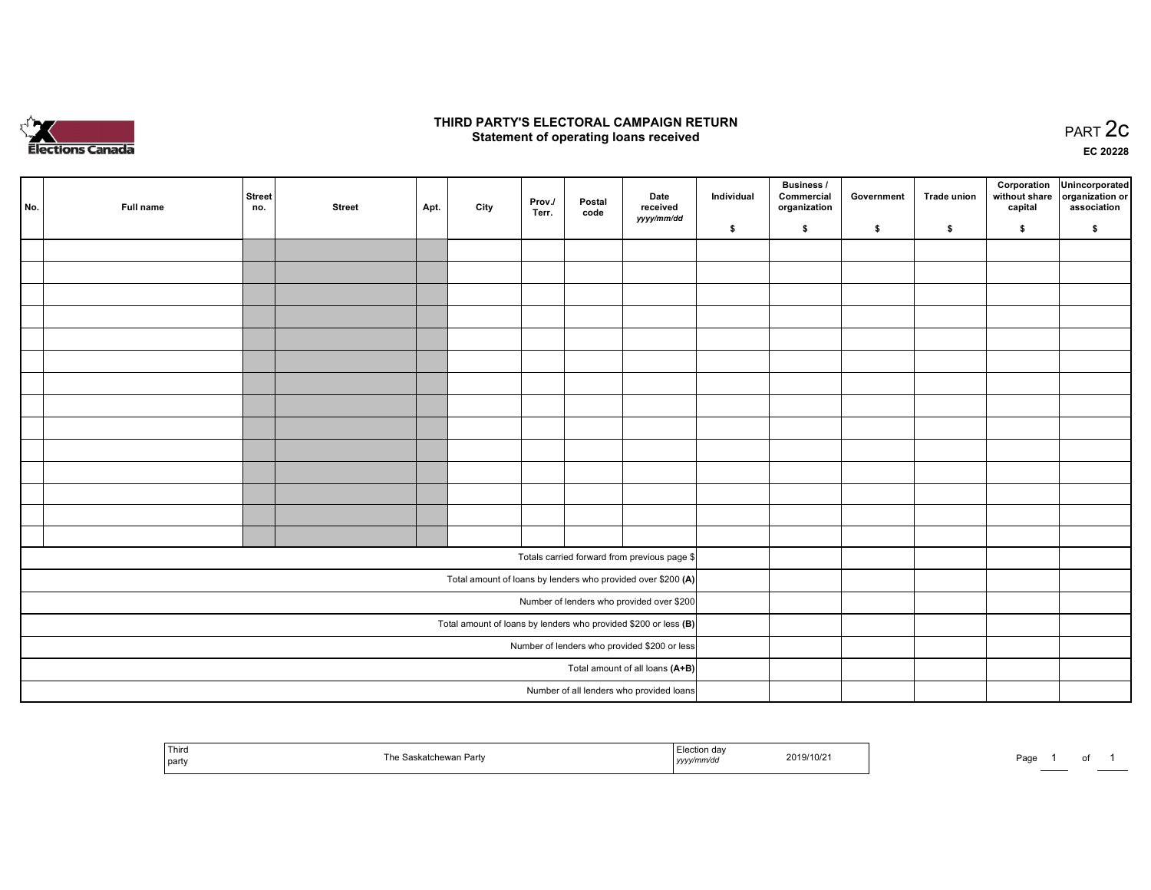

#### THIRD PARTY'S ELECTORAL CAMPAIGN RETURN PARTY'S ELECTORAL CAMPAIGN RETURN<br>Statement of operating loans received PART 2C

EC <sup>20228</sup>

| No. | Full name | Street<br>no. | <b>Street</b> | Apt. | City | Prov./<br>Terr. | Postal<br>code | Date<br>received<br>yyyy/mm/dd                                    | Individual | Business /<br>Commercial<br>organization | Government | Trade union | Corporation<br>without share<br>capital | Unincorporated<br>organization or<br>association |
|-----|-----------|---------------|---------------|------|------|-----------------|----------------|-------------------------------------------------------------------|------------|------------------------------------------|------------|-------------|-----------------------------------------|--------------------------------------------------|
|     |           |               |               |      |      |                 |                |                                                                   | \$         | \$                                       | \$         | \$          | \$                                      | \$                                               |
|     |           |               |               |      |      |                 |                |                                                                   |            |                                          |            |             |                                         |                                                  |
|     |           |               |               |      |      |                 |                |                                                                   |            |                                          |            |             |                                         |                                                  |
|     |           |               |               |      |      |                 |                |                                                                   |            |                                          |            |             |                                         |                                                  |
|     |           |               |               |      |      |                 |                |                                                                   |            |                                          |            |             |                                         |                                                  |
|     |           |               |               |      |      |                 |                |                                                                   |            |                                          |            |             |                                         |                                                  |
|     |           |               |               |      |      |                 |                |                                                                   |            |                                          |            |             |                                         |                                                  |
|     |           |               |               |      |      |                 |                |                                                                   |            |                                          |            |             |                                         |                                                  |
|     |           |               |               |      |      |                 |                |                                                                   |            |                                          |            |             |                                         |                                                  |
|     |           |               |               |      |      |                 |                |                                                                   |            |                                          |            |             |                                         |                                                  |
|     |           |               |               |      |      |                 |                |                                                                   |            |                                          |            |             |                                         |                                                  |
|     |           |               |               |      |      |                 |                |                                                                   |            |                                          |            |             |                                         |                                                  |
|     |           |               |               |      |      |                 |                |                                                                   |            |                                          |            |             |                                         |                                                  |
|     |           |               |               |      |      |                 |                |                                                                   |            |                                          |            |             |                                         |                                                  |
|     |           |               |               |      |      |                 |                |                                                                   |            |                                          |            |             |                                         |                                                  |
|     |           |               |               |      |      |                 |                | Totals carried forward from previous page \$                      |            |                                          |            |             |                                         |                                                  |
|     |           |               |               |      |      |                 |                | Total amount of loans by lenders who provided over \$200 (A)      |            |                                          |            |             |                                         |                                                  |
|     |           |               |               |      |      |                 |                | Number of lenders who provided over \$200                         |            |                                          |            |             |                                         |                                                  |
|     |           |               |               |      |      |                 |                | Total amount of loans by lenders who provided \$200 or less $(B)$ |            |                                          |            |             |                                         |                                                  |
|     |           |               |               |      |      |                 |                | Number of lenders who provided \$200 or less                      |            |                                          |            |             |                                         |                                                  |
|     |           |               |               |      |      |                 |                | Total amount of all loans (A+B)                                   |            |                                          |            |             |                                         |                                                  |
|     |           |               |               |      |      |                 |                | Number of all lenders who provided loans                          |            |                                          |            |             |                                         |                                                  |

| <sup>l</sup> Third<br>$D$ orh<br>laskatchewan<br>ar tv<br>party | $\sim$<br>Tlection dav<br>2019/10/21<br>yyyy/mm/dd | Page<br>o<br>$\overline{\phantom{a}}$ |
|-----------------------------------------------------------------|----------------------------------------------------|---------------------------------------|
|-----------------------------------------------------------------|----------------------------------------------------|---------------------------------------|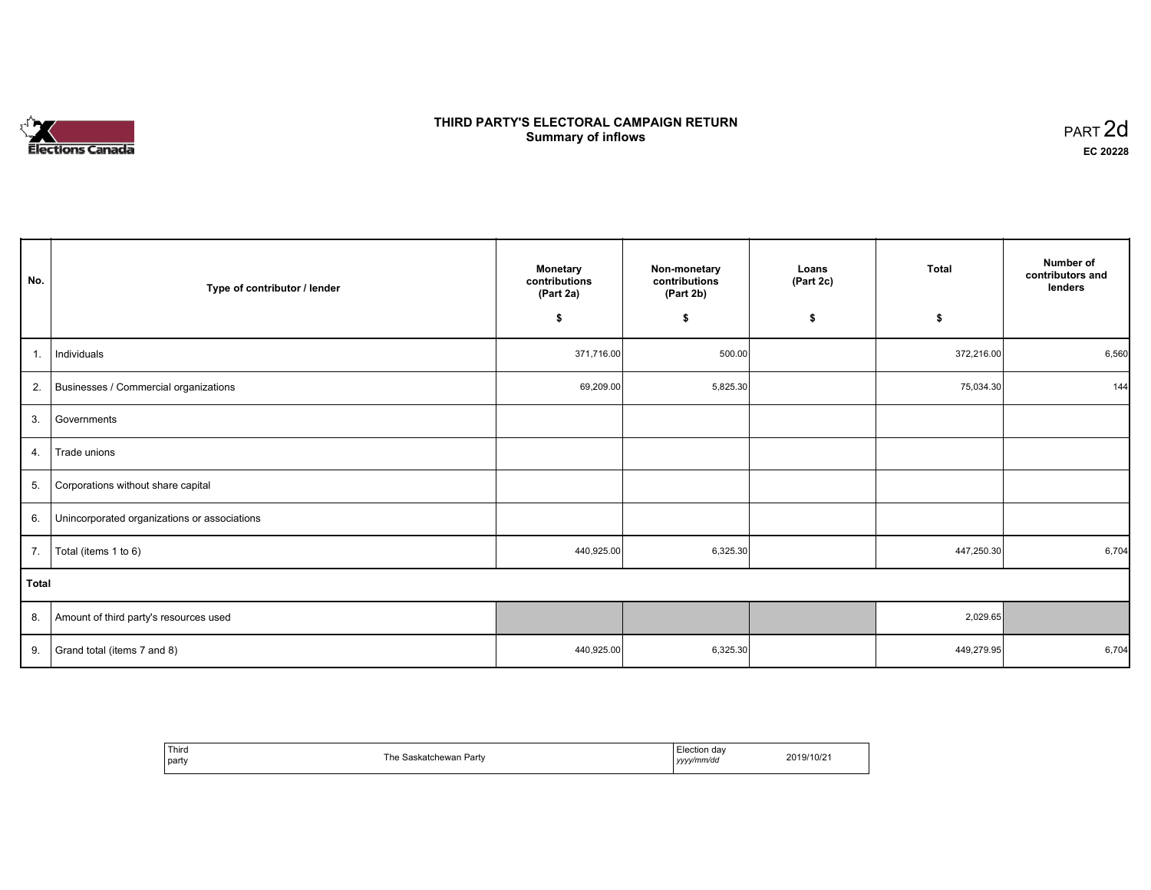# **Elections Canada**

#### THIRD PARTY'S ELECTORAL CAMPAIGN RETURN **Summary of inflows**  $\sigma$  of inflows  $\sigma$  inflows  $\sigma$  inflows  $\sigma$  inflows  $\sigma$

| No.          | Type of contributor / lender                 | <b>Monetary</b><br>contributions<br>(Part 2a) | Non-monetary<br>contributions<br>(Part 2b) | Loans<br>(Part 2c) | Total      | Number of<br>contributors and<br>lenders |
|--------------|----------------------------------------------|-----------------------------------------------|--------------------------------------------|--------------------|------------|------------------------------------------|
|              |                                              | \$                                            | \$                                         | \$                 | \$         |                                          |
| 1.           | Individuals                                  | 371,716.00                                    | 500.00                                     |                    | 372,216.00 | 6,560                                    |
|              | 2. Businesses / Commercial organizations     | 69,209.00                                     | 5,825.30                                   |                    | 75,034.30  | 144                                      |
| 3.           | Governments                                  |                                               |                                            |                    |            |                                          |
| 4.           | Trade unions                                 |                                               |                                            |                    |            |                                          |
| 5.           | Corporations without share capital           |                                               |                                            |                    |            |                                          |
| 6.           | Unincorporated organizations or associations |                                               |                                            |                    |            |                                          |
| 7.           | Total (items 1 to 6)                         | 440,925.00                                    | 6,325.30                                   |                    | 447,250.30 | 6,704                                    |
| <b>Total</b> |                                              |                                               |                                            |                    |            |                                          |
|              | 8. Amount of third party's resources used    |                                               |                                            |                    | 2,029.65   |                                          |
| 9.           | Grand total (items 7 and 8)                  | 440,925.00                                    | 6,325.30                                   |                    | 449,279.95 | 6,704                                    |

| Third<br>party | Th<br>.askatchewan Partv | ∃lection dav<br>yyyy/mm/dd<br>,,,, | 2019/10/21 |
|----------------|--------------------------|------------------------------------|------------|
|----------------|--------------------------|------------------------------------|------------|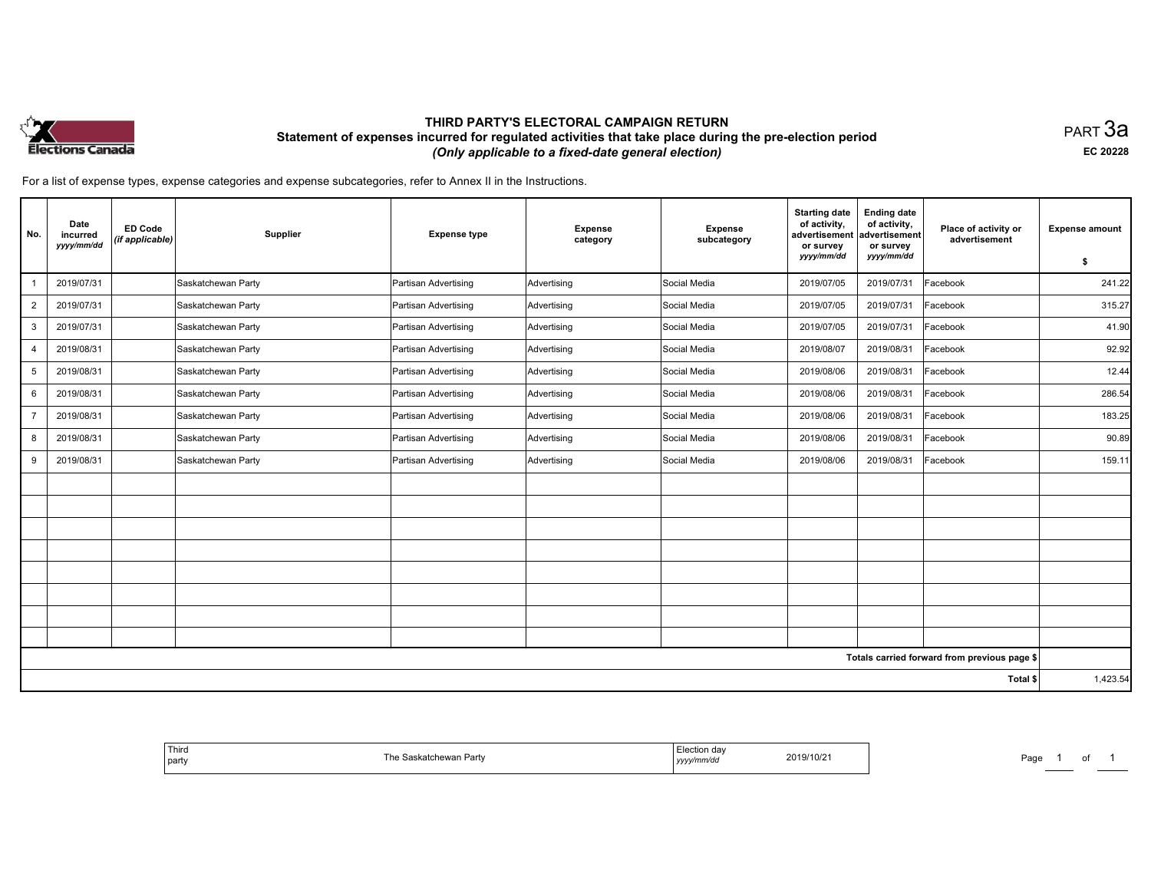

### THIRD PARTY'S ELECTORAL CAMPAIGN RETURN Statement of expenses incurred for regulated activities that take place during the pre-election period (Only applicable to <sup>a</sup> fixed-date general election)

равт $\,3$ а EC <sup>20228</sup>

Page 1 of 1

For <sup>a</sup> list of expense types, expense categories and expense subcategories, refer to Annex II in the Instructions.

| No.            | Date<br><b>ED Code</b><br>incurred<br>(if applicable)<br>yyyy/mm/dd | Supplier           | <b>Expense type</b>  | <b>Expense</b><br>category | <b>Expense</b><br>subcategory | <b>Starting date</b><br>of activity,<br>advertisement<br>or survey<br>yyyy/mm/dd | <b>Ending date</b><br>of activity,<br>advertisement<br>or survey<br>yyyy/mm/dd | Place of activity or<br>advertisement        | <b>Expense amount</b><br>\$ |
|----------------|---------------------------------------------------------------------|--------------------|----------------------|----------------------------|-------------------------------|----------------------------------------------------------------------------------|--------------------------------------------------------------------------------|----------------------------------------------|-----------------------------|
|                | 2019/07/31                                                          | Saskatchewan Party | Partisan Advertising | Advertising                | Social Media                  | 2019/07/05                                                                       | 2019/07/31                                                                     | Facebook                                     | 241.22                      |
| $\overline{2}$ | 2019/07/31                                                          | Saskatchewan Party | Partisan Advertising | Advertising                | Social Media                  | 2019/07/05                                                                       | 2019/07/31                                                                     | Facebook                                     | 315.27                      |
| 3              | 2019/07/31                                                          | Saskatchewan Party | Partisan Advertising | Advertising                | Social Media                  | 2019/07/05                                                                       | 2019/07/31                                                                     | Facebook                                     | 41.90                       |
| 4              | 2019/08/31                                                          | Saskatchewan Party | Partisan Advertising | Advertising                | Social Media                  | 2019/08/07                                                                       | 2019/08/31                                                                     | Facebook                                     | 92.92                       |
| 5              | 2019/08/31                                                          | Saskatchewan Party | Partisan Advertising | Advertising                | Social Media                  | 2019/08/06                                                                       | 2019/08/31                                                                     | Facebook                                     | 12.44                       |
| 6              | 2019/08/31                                                          | Saskatchewan Party | Partisan Advertising | Advertising                | Social Media                  | 2019/08/06                                                                       | 2019/08/31                                                                     | Facebook                                     | 286.54                      |
| $\overline{7}$ | 2019/08/31                                                          | Saskatchewan Party | Partisan Advertising | Advertising                | Social Media                  | 2019/08/06                                                                       | 2019/08/31                                                                     | Facebook                                     | 183.25                      |
| 8              | 2019/08/31                                                          | Saskatchewan Party | Partisan Advertising | Advertising                | Social Media                  | 2019/08/06                                                                       | 2019/08/31                                                                     | Facebook                                     | 90.89                       |
| 9              | 2019/08/31                                                          | Saskatchewan Party | Partisan Advertising | Advertising                | Social Media                  | 2019/08/06                                                                       | 2019/08/31                                                                     | Facebook                                     | 159.11                      |
|                |                                                                     |                    |                      |                            |                               |                                                                                  |                                                                                |                                              |                             |
|                |                                                                     |                    |                      |                            |                               |                                                                                  |                                                                                |                                              |                             |
|                |                                                                     |                    |                      |                            |                               |                                                                                  |                                                                                |                                              |                             |
|                |                                                                     |                    |                      |                            |                               |                                                                                  |                                                                                |                                              |                             |
|                |                                                                     |                    |                      |                            |                               |                                                                                  |                                                                                |                                              |                             |
|                |                                                                     |                    |                      |                            |                               |                                                                                  |                                                                                |                                              |                             |
|                |                                                                     |                    |                      |                            |                               |                                                                                  |                                                                                |                                              |                             |
|                |                                                                     |                    |                      |                            |                               |                                                                                  |                                                                                |                                              |                             |
|                |                                                                     |                    |                      |                            |                               |                                                                                  |                                                                                | Totals carried forward from previous page \$ |                             |
|                |                                                                     |                    |                      |                            |                               |                                                                                  |                                                                                | Total \$                                     | 1,423.54                    |

| 2019/10/21<br>≞Partv<br>Saskatchewan<br>ne ະ<br>∵w/mm/au<br>  party<br>, y y y y | ' Third | Election day | Page<br>_____ |
|----------------------------------------------------------------------------------|---------|--------------|---------------|
|----------------------------------------------------------------------------------|---------|--------------|---------------|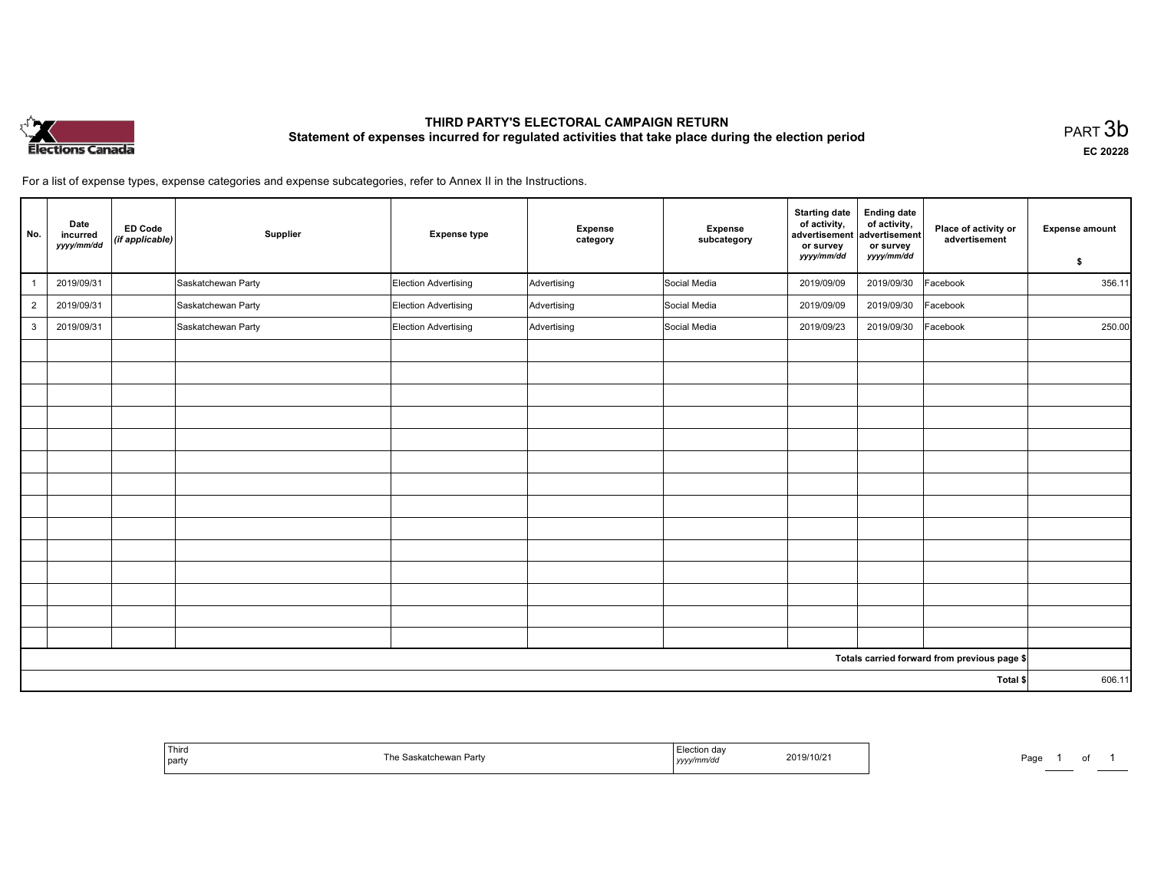

## THIRD PARTY'S ELECTORAL CAMPAIGN RETURN THIRD PARTT'S ELECTORAL CAMPAIGN RETURN<br>Statement of expenses incurred for regulated activities that take place during the election period PART 3b

EC <sup>20228</sup>

For <sup>a</sup> list of expense types, expense categories and expense subcategories, refer to Annex II in the Instructions.

| No.            | Date<br>incurred<br>yyyy/mm/dd | <b>ED Code</b><br>(if applicable) | Supplier           | <b>Expense type</b>         | <b>Expense</b><br>category | <b>Expense</b><br>subcategory | <b>Starting date</b><br>of activity,<br>advertisement<br>or survey<br>yyyy/mm/dd | <b>Ending date</b><br>of activity,<br>advertisement<br>or survey<br>yyyy/mm/dd | Place of activity or<br>advertisement        | <b>Expense amount</b><br>\$ |
|----------------|--------------------------------|-----------------------------------|--------------------|-----------------------------|----------------------------|-------------------------------|----------------------------------------------------------------------------------|--------------------------------------------------------------------------------|----------------------------------------------|-----------------------------|
|                | 2019/09/31                     |                                   | Saskatchewan Party | Election Advertising        | Advertising                | Social Media                  | 2019/09/09                                                                       | 2019/09/30                                                                     | Facebook                                     | 356.11                      |
| $\overline{2}$ | 2019/09/31                     |                                   | Saskatchewan Party | <b>Election Advertising</b> | Advertising                | Social Media                  | 2019/09/09                                                                       | 2019/09/30                                                                     | Facebook                                     |                             |
| $\mathbf{3}$   | 2019/09/31                     |                                   | Saskatchewan Party | Election Advertising        | Advertising                | Social Media                  | 2019/09/23                                                                       | 2019/09/30                                                                     | Facebook                                     | 250.00                      |
|                |                                |                                   |                    |                             |                            |                               |                                                                                  |                                                                                |                                              |                             |
|                |                                |                                   |                    |                             |                            |                               |                                                                                  |                                                                                |                                              |                             |
|                |                                |                                   |                    |                             |                            |                               |                                                                                  |                                                                                |                                              |                             |
|                |                                |                                   |                    |                             |                            |                               |                                                                                  |                                                                                |                                              |                             |
|                |                                |                                   |                    |                             |                            |                               |                                                                                  |                                                                                |                                              |                             |
|                |                                |                                   |                    |                             |                            |                               |                                                                                  |                                                                                |                                              |                             |
|                |                                |                                   |                    |                             |                            |                               |                                                                                  |                                                                                |                                              |                             |
|                |                                |                                   |                    |                             |                            |                               |                                                                                  |                                                                                |                                              |                             |
|                |                                |                                   |                    |                             |                            |                               |                                                                                  |                                                                                |                                              |                             |
|                |                                |                                   |                    |                             |                            |                               |                                                                                  |                                                                                |                                              |                             |
|                |                                |                                   |                    |                             |                            |                               |                                                                                  |                                                                                |                                              |                             |
|                |                                |                                   |                    |                             |                            |                               |                                                                                  |                                                                                |                                              |                             |
|                |                                |                                   |                    |                             |                            |                               |                                                                                  |                                                                                |                                              |                             |
|                |                                |                                   |                    |                             |                            |                               |                                                                                  |                                                                                |                                              |                             |
|                |                                |                                   |                    |                             |                            |                               |                                                                                  |                                                                                | Totals carried forward from previous page \$ |                             |
|                |                                |                                   |                    |                             |                            |                               |                                                                                  |                                                                                | Total \$                                     | 606.11                      |

| Third<br>  party | . artv<br>150001 | do.<br>2019/10<br>/10/2<br>yyyy/mm/da | Pag |
|------------------|------------------|---------------------------------------|-----|
|------------------|------------------|---------------------------------------|-----|